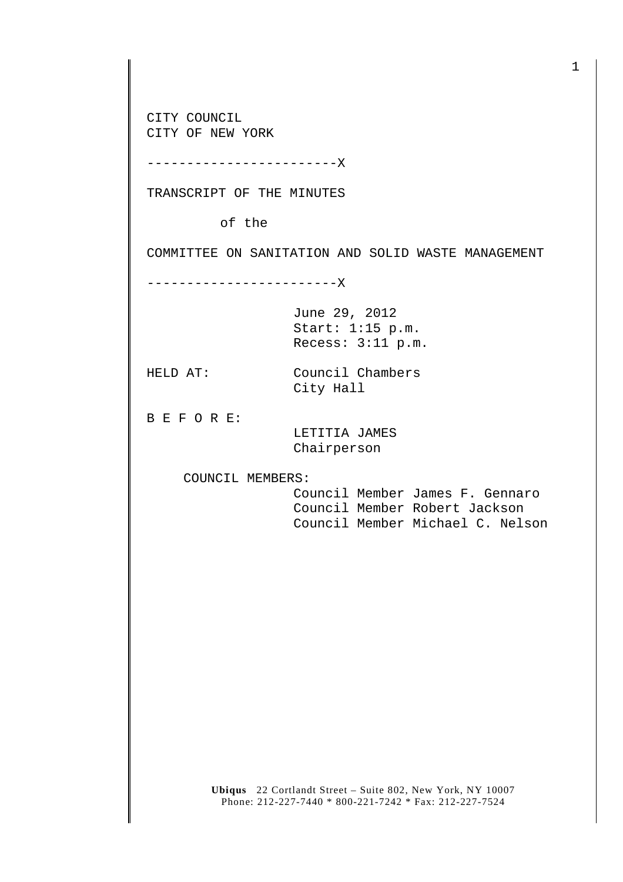CITY COUNCIL CITY OF NEW YORK

------------------------X

TRANSCRIPT OF THE MINUTES

of the

COMMITTEE ON SANITATION AND SOLID WASTE MANAGEMENT

------------------------X

June 29, 2012 Start: 1:15 p.m. Recess: 3:11 p.m.

HELD AT: Council Chambers City Hall

B E F O R E:

 LETITIA JAMES Chairperson

COUNCIL MEMBERS:

 Council Member James F. Gennaro Council Member Robert Jackson Council Member Michael C. Nelson

**Ubiqus** 22 Cortlandt Street – Suite 802, New York, NY 10007 Phone: 212-227-7440 \* 800-221-7242 \* Fax: 212-227-7524

1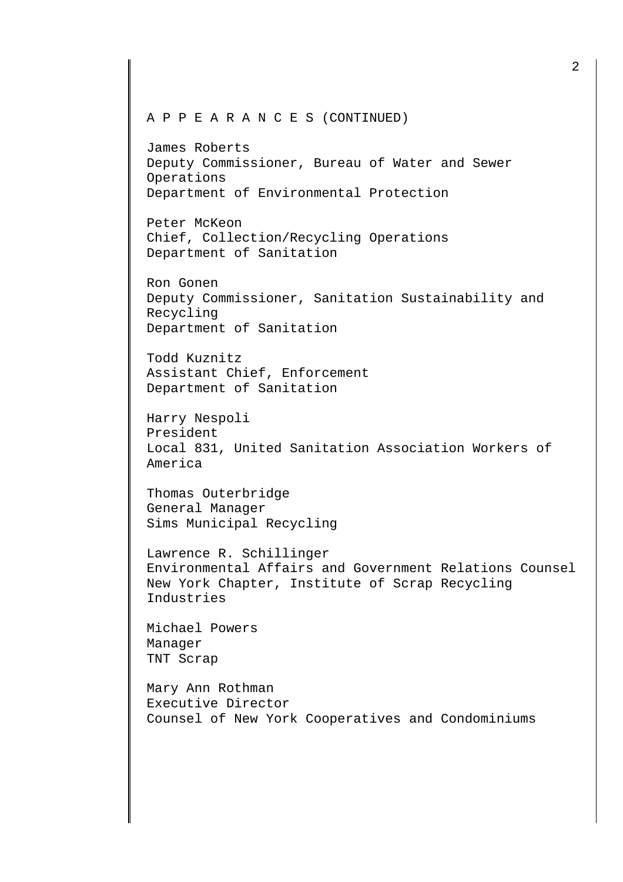## A P P E A R A N C E S (CONTINUED)

James Roberts Deputy Commissioner, Bureau of Water and Sewer Operations Department of Environmental Protection

Peter McKeon Chief, Collection/Recycling Operations Department of Sanitation

Ron Gonen Deputy Commissioner, Sanitation Sustainability and Recycling Department of Sanitation

Todd Kuznitz Assistant Chief, Enforcement Department of Sanitation

Harry Nespoli President Local 831, United Sanitation Association Workers of America

Thomas Outerbridge General Manager Sims Municipal Recycling

Lawrence R. Schillinger Environmental Affairs and Government Relations Counsel New York Chapter, Institute of Scrap Recycling Industries

Michael Powers Manager TNT Scrap

Mary Ann Rothman Executive Director Counsel of New York Cooperatives and Condominiums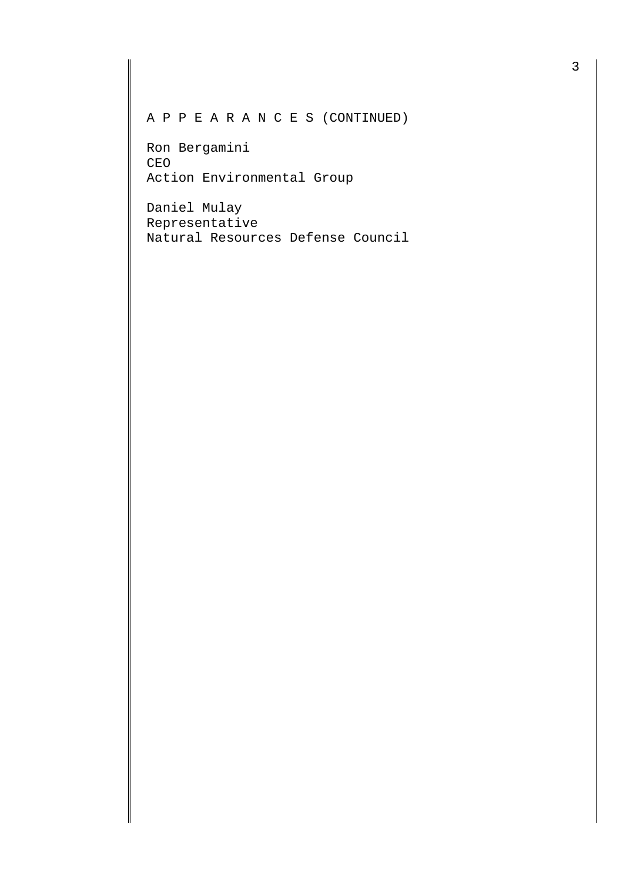A P P E A R A N C E S (CONTINUED)

Ron Bergamini CEO Action Environmental Group

Daniel Mulay Representative Natural Resources Defense Council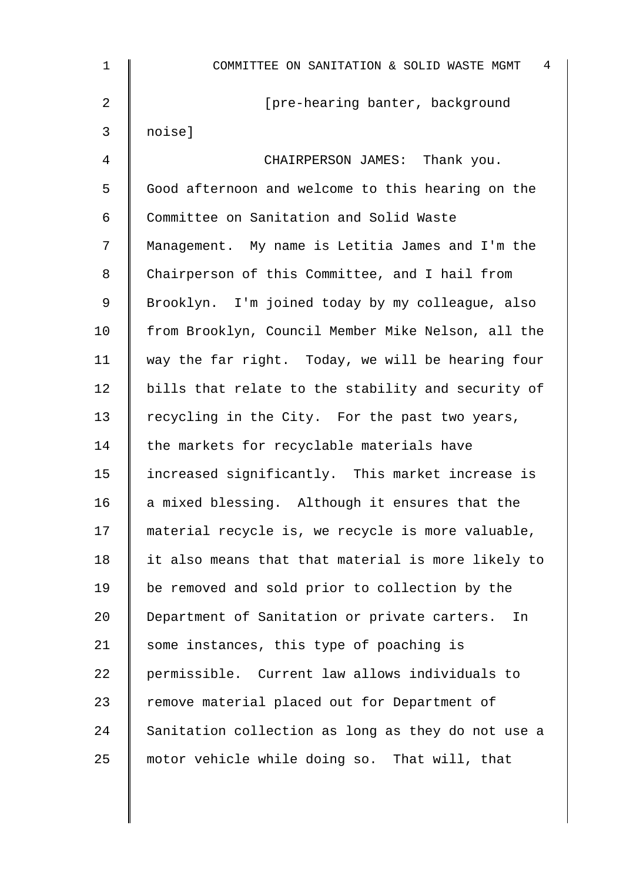| $\mathbf 1$ | 4<br>COMMITTEE ON SANITATION & SOLID WASTE MGMT    |
|-------------|----------------------------------------------------|
| 2           | [pre-hearing banter, background                    |
| 3           | noise]                                             |
| 4           | CHAIRPERSON JAMES: Thank you.                      |
| 5           | Good afternoon and welcome to this hearing on the  |
| 6           | Committee on Sanitation and Solid Waste            |
| 7           | Management. My name is Letitia James and I'm the   |
| 8           | Chairperson of this Committee, and I hail from     |
| 9           | Brooklyn. I'm joined today by my colleague, also   |
| 10          | from Brooklyn, Council Member Mike Nelson, all the |
| 11          | way the far right. Today, we will be hearing four  |
| 12          | bills that relate to the stability and security of |
| 13          | recycling in the City. For the past two years,     |
| 14          | the markets for recyclable materials have          |
| 15          | increased significantly. This market increase is   |
| 16          | a mixed blessing. Although it ensures that the     |
| 17          | material recycle is, we recycle is more valuable,  |
| 18          | it also means that that material is more likely to |
| 19          | be removed and sold prior to collection by the     |
| 20          | Department of Sanitation or private carters.<br>In |
| 21          | some instances, this type of poaching is           |
| 22          | permissible. Current law allows individuals to     |
| 23          | remove material placed out for Department of       |
| 24          | Sanitation collection as long as they do not use a |
| 25          | motor vehicle while doing so. That will, that      |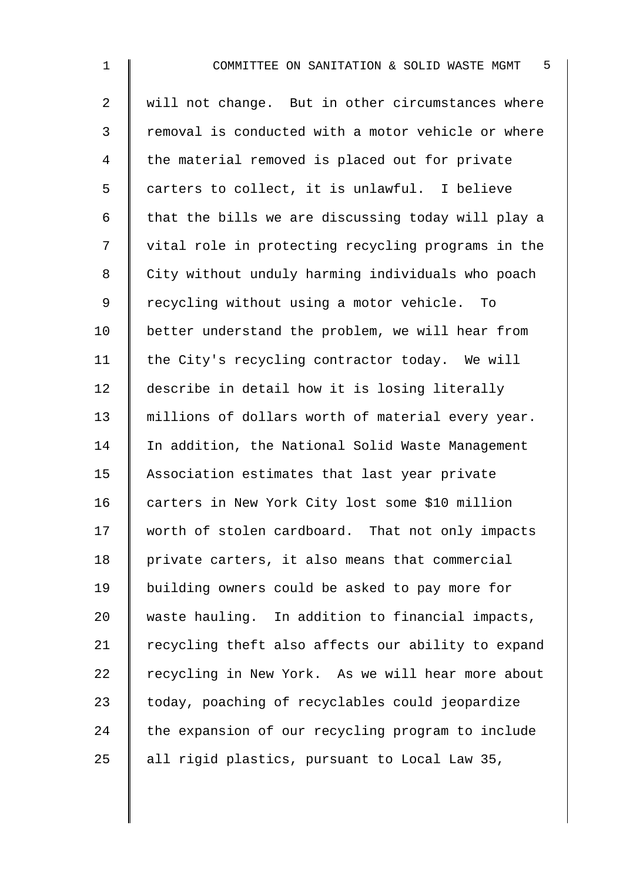| $\mathbf 1$    | COMMITTEE ON SANITATION & SOLID WASTE MGMT 5       |
|----------------|----------------------------------------------------|
| $\overline{a}$ | will not change. But in other circumstances where  |
| 3              | removal is conducted with a motor vehicle or where |
| 4              | the material removed is placed out for private     |
| 5              | carters to collect, it is unlawful. I believe      |
| 6              | that the bills we are discussing today will play a |
| 7              | vital role in protecting recycling programs in the |
| 8              | City without unduly harming individuals who poach  |
| $\mathsf 9$    | recycling without using a motor vehicle. To        |
| 10             | better understand the problem, we will hear from   |
| 11             | the City's recycling contractor today. We will     |
| 12             | describe in detail how it is losing literally      |
| 13             | millions of dollars worth of material every year.  |
| 14             | In addition, the National Solid Waste Management   |
| 15             | Association estimates that last year private       |
| 16             | carters in New York City lost some \$10 million    |
| 17             | worth of stolen cardboard. That not only impacts   |
| 18             | private carters, it also means that commercial     |
| 19             | building owners could be asked to pay more for     |
| 20             | waste hauling. In addition to financial impacts,   |
| 21             | recycling theft also affects our ability to expand |
| 22             | recycling in New York. As we will hear more about  |
| 23             | today, poaching of recyclables could jeopardize    |
| 24             | the expansion of our recycling program to include  |
| 25             | all rigid plastics, pursuant to Local Law 35,      |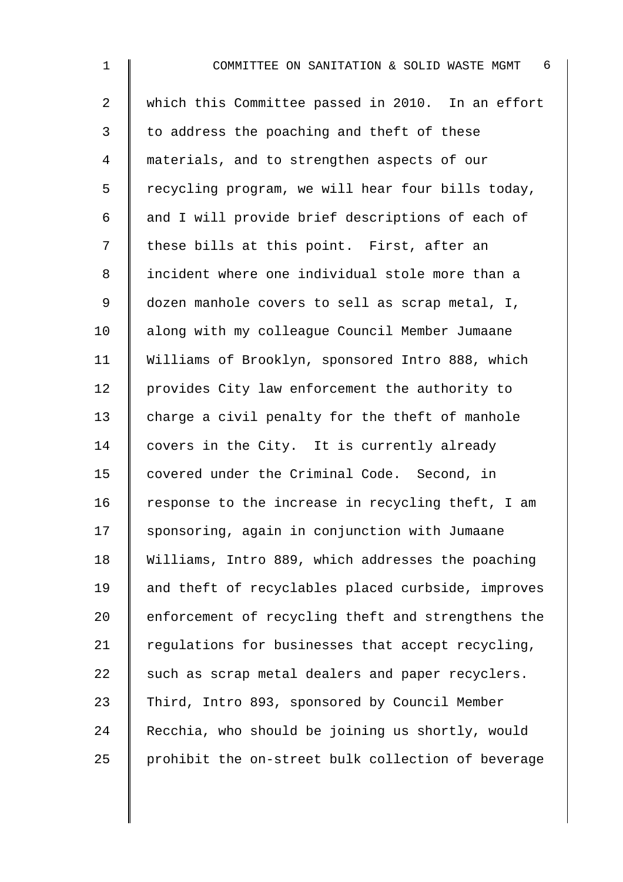| $\mathbf 1$    | COMMITTEE ON SANITATION & SOLID WASTE MGMT<br>- 6  |
|----------------|----------------------------------------------------|
| $\overline{2}$ | which this Committee passed in 2010. In an effort  |
| 3              | to address the poaching and theft of these         |
| 4              | materials, and to strengthen aspects of our        |
| 5              | recycling program, we will hear four bills today,  |
| 6              | and I will provide brief descriptions of each of   |
| 7              | these bills at this point. First, after an         |
| 8              | incident where one individual stole more than a    |
| 9              | dozen manhole covers to sell as scrap metal, I,    |
| 10             | along with my colleague Council Member Jumaane     |
| 11             | Williams of Brooklyn, sponsored Intro 888, which   |
| 12             | provides City law enforcement the authority to     |
| 13             | charge a civil penalty for the theft of manhole    |
| 14             | covers in the City. It is currently already        |
| 15             | covered under the Criminal Code. Second, in        |
| 16             | response to the increase in recycling theft, I am  |
| 17             | sponsoring, again in conjunction with Jumaane      |
| 18             | Williams, Intro 889, which addresses the poaching  |
| 19             | and theft of recyclables placed curbside, improves |
| 20             | enforcement of recycling theft and strengthens the |
| 21             | regulations for businesses that accept recycling,  |
| 22             | such as scrap metal dealers and paper recyclers.   |
| 23             | Third, Intro 893, sponsored by Council Member      |
| 24             | Recchia, who should be joining us shortly, would   |
| 25             | prohibit the on-street bulk collection of beverage |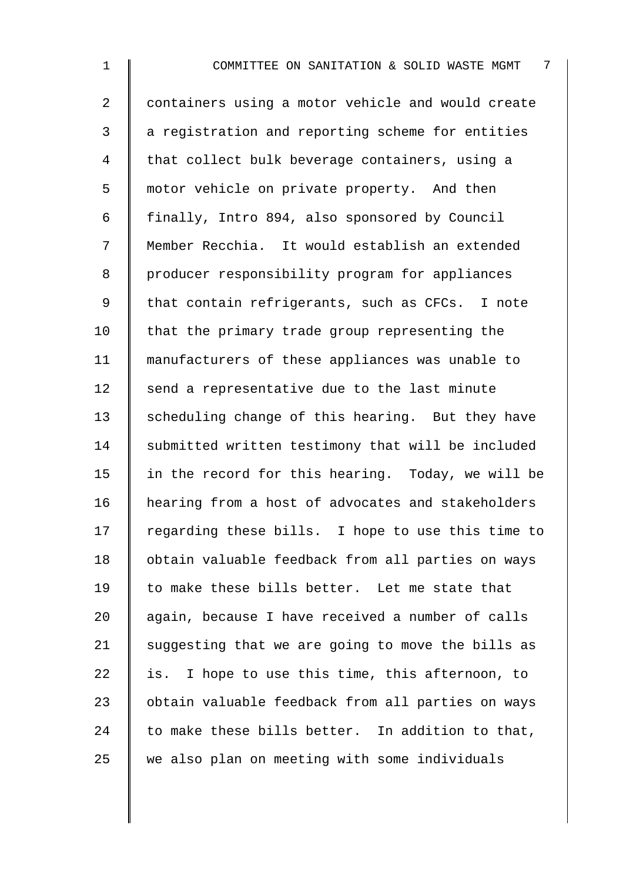2 | containers using a motor vehicle and would create 3 a registration and reporting scheme for entities 4 That collect bulk beverage containers, using a 5 motor vehicle on private property. And then 6 | finally, Intro 894, also sponsored by Council 7 Member Recchia. It would establish an extended 8 | producer responsibility program for appliances 9 | that contain refrigerants, such as CFCs. I note 10  $\parallel$  that the primary trade group representing the 11 manufacturers of these appliances was unable to  $12$  send a representative due to the last minute 13 scheduling change of this hearing. But they have 14 Submitted written testimony that will be included 15  $\parallel$  in the record for this hearing. Today, we will be 16 hearing from a host of advocates and stakeholders  $17$  regarding these bills. I hope to use this time to 18 | obtain valuable feedback from all parties on ways 19  $\parallel$  to make these bills better. Let me state that 20 again, because I have received a number of calls 21  $\parallel$  suggesting that we are going to move the bills as  $22$  is. I hope to use this time, this afternoon, to 23 | obtain valuable feedback from all parties on ways 24  $\parallel$  to make these bills better. In addition to that,  $25$  we also plan on meeting with some individuals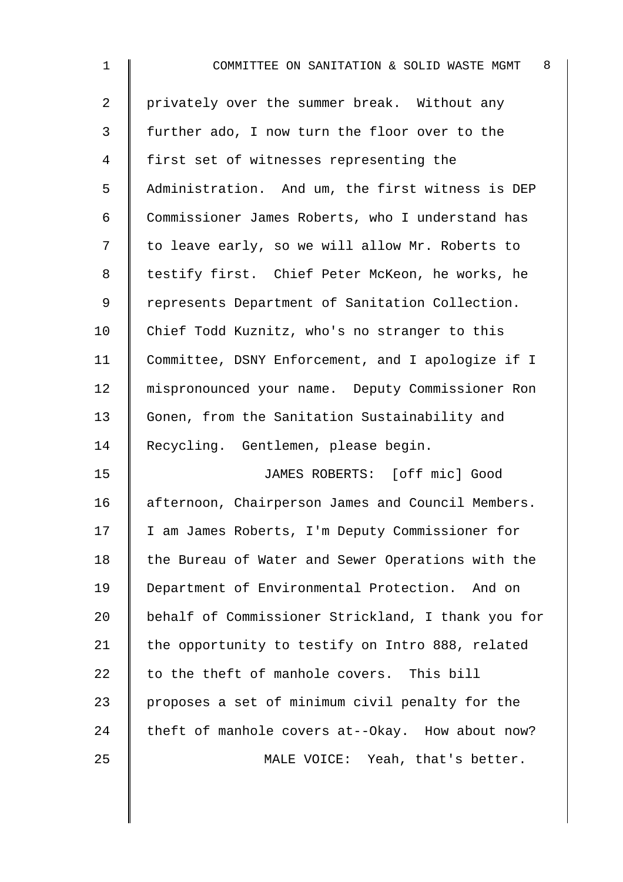| $\mathbf 1$    | 8 <sup>8</sup><br>COMMITTEE ON SANITATION & SOLID WASTE MGMT |
|----------------|--------------------------------------------------------------|
| $\overline{a}$ | privately over the summer break. Without any                 |
| 3              | further ado, I now turn the floor over to the                |
| $\overline{4}$ | first set of witnesses representing the                      |
| 5              | Administration. And um, the first witness is DEP             |
| 6              | Commissioner James Roberts, who I understand has             |
| 7              | to leave early, so we will allow Mr. Roberts to              |
| 8              | testify first. Chief Peter McKeon, he works, he              |
| $\mathsf 9$    | represents Department of Sanitation Collection.              |
| 10             | Chief Todd Kuznitz, who's no stranger to this                |
| 11             | Committee, DSNY Enforcement, and I apologize if I            |
| 12             | mispronounced your name. Deputy Commissioner Ron             |
| 13             | Gonen, from the Sanitation Sustainability and                |
| 14             | Recycling. Gentlemen, please begin.                          |
| 15             | JAMES ROBERTS: [off mic] Good                                |
| 16             | afternoon, Chairperson James and Council Members.            |
| 17             | I am James Roberts, I'm Deputy Commissioner for              |
| 18             | the Bureau of Water and Sewer Operations with the            |
| 19             | Department of Environmental Protection. And on               |
| 20             | behalf of Commissioner Strickland, I thank you for           |
| 21             | the opportunity to testify on Intro 888, related             |
| 22             | to the theft of manhole covers. This bill                    |
| 23             | proposes a set of minimum civil penalty for the              |
| 24             | theft of manhole covers at--Okay. How about now?             |
| 25             | MALE VOICE: Yeah, that's better.                             |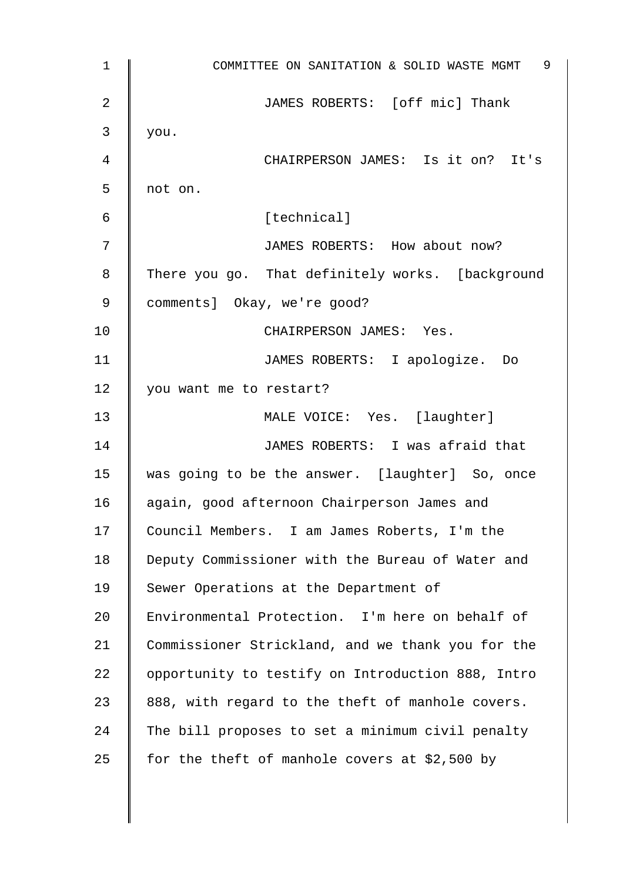| $\mathbf 1$    | COMMITTEE ON SANITATION & SOLID WASTE MGMT 9      |
|----------------|---------------------------------------------------|
| $\overline{2}$ | JAMES ROBERTS: [off mic] Thank                    |
| 3              | you.                                              |
| 4              | CHAIRPERSON JAMES: Is it on? It's                 |
| 5              | not on.                                           |
| 6              | [technical]                                       |
| 7              | JAMES ROBERTS: How about now?                     |
| 8              | There you go. That definitely works. [background  |
| 9              | comments] Okay, we're good?                       |
| 10             | CHAIRPERSON JAMES: Yes.                           |
| 11             | JAMES ROBERTS: I apologize. Do                    |
| 12             | you want me to restart?                           |
| 13             | MALE VOICE: Yes. [laughter]                       |
| 14             | JAMES ROBERTS: I was afraid that                  |
| 15             | was going to be the answer. [laughter] So, once   |
| 16             | again, good afternoon Chairperson James and       |
| 17             | Council Members. I am James Roberts, I'm the      |
| 18             | Deputy Commissioner with the Bureau of Water and  |
| 19             | Sewer Operations at the Department of             |
| 20             | Environmental Protection. I'm here on behalf of   |
| 21             | Commissioner Strickland, and we thank you for the |
| 22             | opportunity to testify on Introduction 888, Intro |
| 23             | 888, with regard to the theft of manhole covers.  |
| 24             | The bill proposes to set a minimum civil penalty  |
| 25             | for the theft of manhole covers at \$2,500 by     |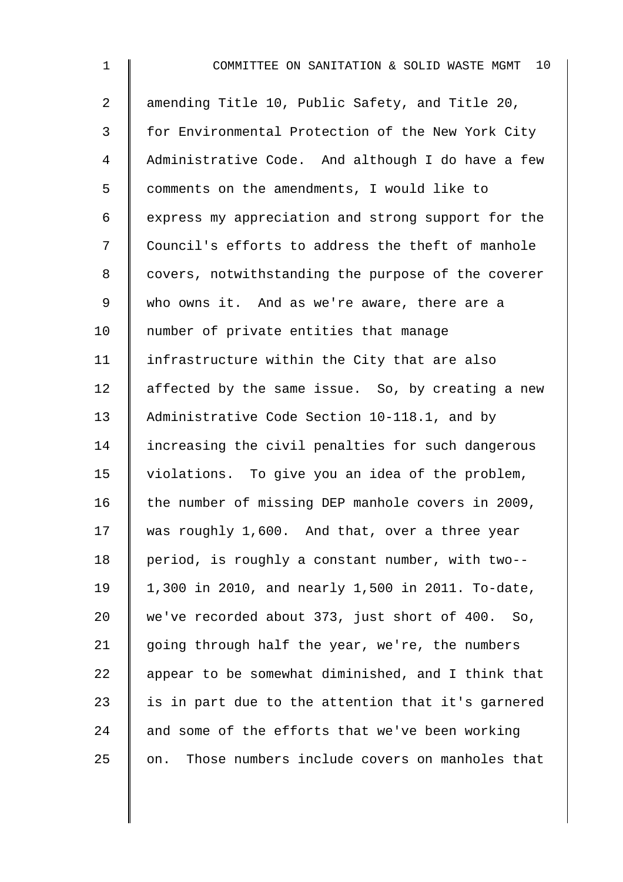| $\mathbf 1$    | 10<br>COMMITTEE ON SANITATION & SOLID WASTE MGMT     |
|----------------|------------------------------------------------------|
| $\overline{a}$ | amending Title 10, Public Safety, and Title 20,      |
| 3              | for Environmental Protection of the New York City    |
| 4              | Administrative Code. And although I do have a few    |
| 5              | comments on the amendments, I would like to          |
| 6              | express my appreciation and strong support for the   |
| 7              | Council's efforts to address the theft of manhole    |
| 8              | covers, notwithstanding the purpose of the coverer   |
| 9              | who owns it. And as we're aware, there are a         |
| 10             | number of private entities that manage               |
| 11             | infrastructure within the City that are also         |
| 12             | affected by the same issue. So, by creating a new    |
| 13             | Administrative Code Section 10-118.1, and by         |
| 14             | increasing the civil penalties for such dangerous    |
| 15             | violations. To give you an idea of the problem,      |
| 16             | the number of missing DEP manhole covers in 2009,    |
| 17             | was roughly 1,600. And that, over a three year       |
| 18             | period, is roughly a constant number, with two--     |
| 19             | 1,300 in 2010, and nearly 1,500 in 2011. To-date,    |
| 20             | we've recorded about 373, just short of 400. So,     |
| 21             | going through half the year, we're, the numbers      |
| 22             | appear to be somewhat diminished, and I think that   |
| 23             | is in part due to the attention that it's garnered   |
| 24             | and some of the efforts that we've been working      |
| 25             | Those numbers include covers on manholes that<br>on. |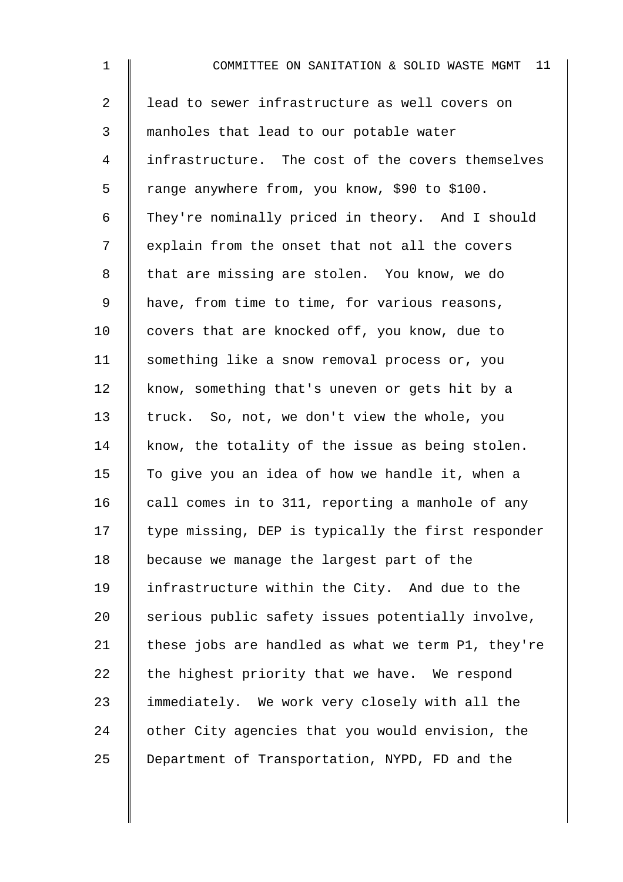| $\mathbf 1$    | 11<br>COMMITTEE ON SANITATION & SOLID WASTE MGMT   |
|----------------|----------------------------------------------------|
| $\overline{2}$ | lead to sewer infrastructure as well covers on     |
| 3              | manholes that lead to our potable water            |
| 4              | infrastructure. The cost of the covers themselves  |
| 5              | range anywhere from, you know, \$90 to \$100.      |
| 6              | They're nominally priced in theory. And I should   |
| 7              | explain from the onset that not all the covers     |
| 8              | that are missing are stolen. You know, we do       |
| $\mathsf 9$    | have, from time to time, for various reasons,      |
| 10             | covers that are knocked off, you know, due to      |
| 11             | something like a snow removal process or, you      |
| 12             | know, something that's uneven or gets hit by a     |
| 13             | truck. So, not, we don't view the whole, you       |
| 14             | know, the totality of the issue as being stolen.   |
| 15             | To give you an idea of how we handle it, when a    |
| 16             | call comes in to 311, reporting a manhole of any   |
| 17             | type missing, DEP is typically the first responder |
| 18             | because we manage the largest part of the          |
| 19             | infrastructure within the City. And due to the     |
| 20             | serious public safety issues potentially involve,  |
| 21             | these jobs are handled as what we term P1, they're |
| 22             | the highest priority that we have. We respond      |
| 23             | immediately. We work very closely with all the     |
| 24             | other City agencies that you would envision, the   |
| 25             | Department of Transportation, NYPD, FD and the     |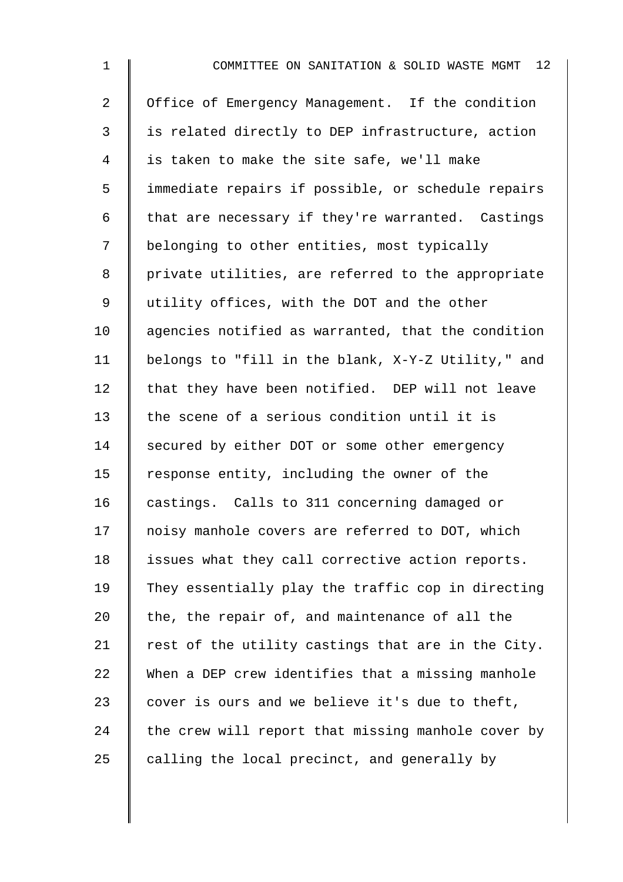| $\mathbf 1$    | COMMITTEE ON SANITATION & SOLID WASTE MGMT 12      |
|----------------|----------------------------------------------------|
| $\overline{2}$ | Office of Emergency Management. If the condition   |
| 3              | is related directly to DEP infrastructure, action  |
| 4              | is taken to make the site safe, we'll make         |
| 5              | immediate repairs if possible, or schedule repairs |
| 6              | that are necessary if they're warranted. Castings  |
| 7              | belonging to other entities, most typically        |
| 8              | private utilities, are referred to the appropriate |
| 9              | utility offices, with the DOT and the other        |
| 10             | agencies notified as warranted, that the condition |
| 11             | belongs to "fill in the blank, X-Y-Z Utility," and |
| 12             | that they have been notified. DEP will not leave   |
| 13             | the scene of a serious condition until it is       |
| 14             | secured by either DOT or some other emergency      |
| 15             | response entity, including the owner of the        |
| 16             | castings. Calls to 311 concerning damaged or       |
| 17             | noisy manhole covers are referred to DOT, which    |
| 18             | issues what they call corrective action reports.   |
| 19             | They essentially play the traffic cop in directing |
| 20             | the, the repair of, and maintenance of all the     |
| 21             | rest of the utility castings that are in the City. |
| 22             | When a DEP crew identifies that a missing manhole  |
| 23             | cover is ours and we believe it's due to theft,    |
| 24             | the crew will report that missing manhole cover by |
| 25             | calling the local precinct, and generally by       |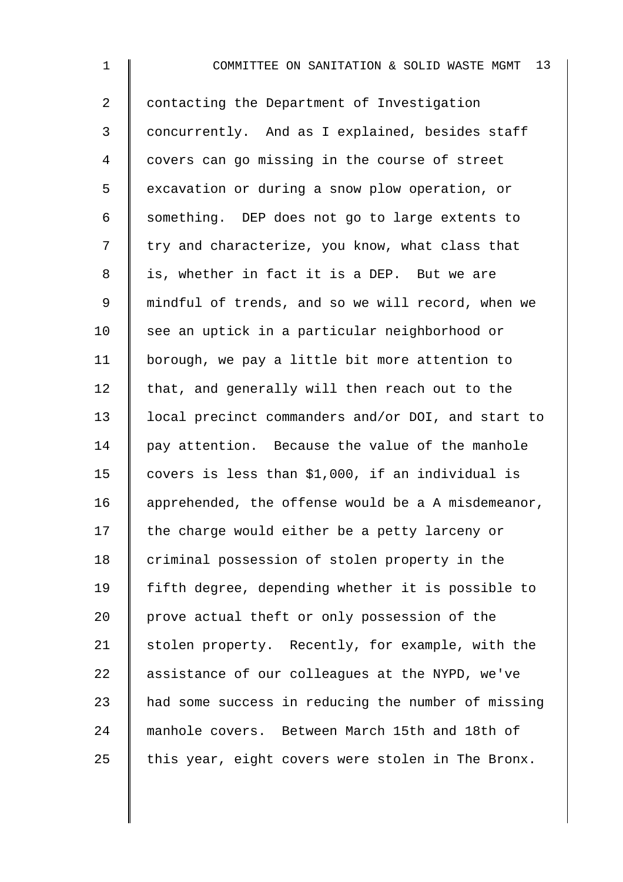1 **I** COMMITTEE ON SANITATION & SOLID WASTE MGMT 13 2 | contacting the Department of Investigation 3 concurrently. And as I explained, besides staff 4 covers can go missing in the course of street 5 | excavation or during a snow plow operation, or 6 Something. DEP does not go to large extents to  $7 \parallel$  try and characterize, you know, what class that 8 || is, whether in fact it is a DEP. But we are 9 mindful of trends, and so we will record, when we 10 see an uptick in a particular neighborhood or 11 | borough, we pay a little bit more attention to 12  $\parallel$  that, and generally will then reach out to the 13 local precinct commanders and/or DOI, and start to 14 pay attention. Because the value of the manhole 15 covers is less than \$1,000, if an individual is 16 | apprehended, the offense would be a A misdemeanor,  $17$  | the charge would either be a petty larceny or  $18$  | criminal possession of stolen property in the 19 fifth degree, depending whether it is possible to 20  $\parallel$  prove actual theft or only possession of the 21 Stolen property. Recently, for example, with the 22 assistance of our colleagues at the NYPD, we've

23  $\parallel$  had some success in reducing the number of missing 24 | manhole covers. Between March 15th and 18th of

25  $\parallel$  this year, eight covers were stolen in The Bronx.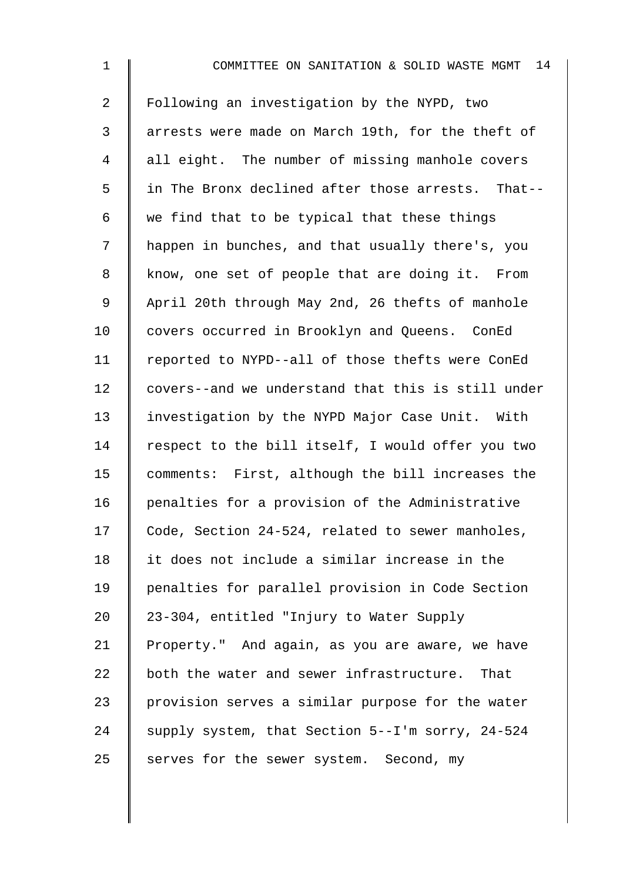1 **I** COMMITTEE ON SANITATION & SOLID WASTE MGMT 14 2 Following an investigation by the NYPD, two 3 || arrests were made on March 19th, for the theft of 4 all eight. The number of missing manhole covers 5 I in The Bronx declined after those arrests. That--6 we find that to be typical that these things 7 | happen in bunches, and that usually there's, you 8 know, one set of people that are doing it. From 9 April 20th through May 2nd, 26 thefts of manhole 10 | covers occurred in Brooklyn and Queens. ConEd 11 | reported to NYPD--all of those thefts were ConEd 12 covers--and we understand that this is still under 13 investigation by the NYPD Major Case Unit. With 14  $\parallel$  respect to the bill itself, I would offer you two 15 comments: First, although the bill increases the 16 | penalties for a provision of the Administrative 17 Code, Section 24-524, related to sewer manholes, 18 | it does not include a similar increase in the 19 penalties for parallel provision in Code Section 20 | 23-304, entitled "Injury to Water Supply 21 Property." And again, as you are aware, we have  $22$  both the water and sewer infrastructure. That 23 | provision serves a similar purpose for the water 24 supply system, that Section  $5--1$ 'm sorry, 24-524  $25$  serves for the sewer system. Second, my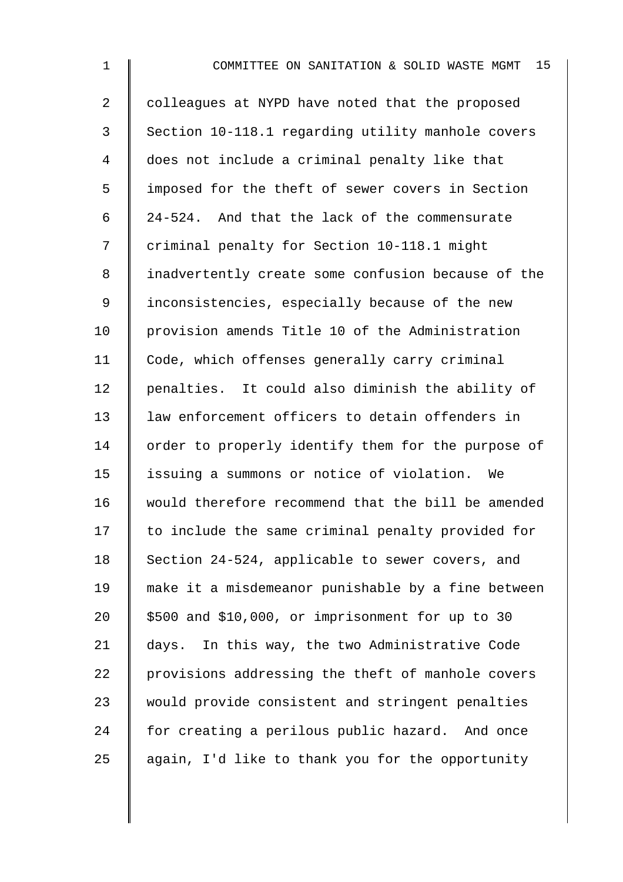| $\mathbf 1$ | 15 <sub>2</sub><br>COMMITTEE ON SANITATION & SOLID WASTE MGMT |
|-------------|---------------------------------------------------------------|
| 2           | colleagues at NYPD have noted that the proposed               |
| 3           | Section 10-118.1 regarding utility manhole covers             |
| 4           | does not include a criminal penalty like that                 |
| 5           | imposed for the theft of sewer covers in Section              |
| 6           | 24-524. And that the lack of the commensurate                 |
| 7           | criminal penalty for Section 10-118.1 might                   |
| 8           | inadvertently create some confusion because of the            |
| $\mathsf 9$ | inconsistencies, especially because of the new                |
| 10          | provision amends Title 10 of the Administration               |
| 11          | Code, which offenses generally carry criminal                 |
| 12          | penalties. It could also diminish the ability of              |
| 13          | law enforcement officers to detain offenders in               |
| 14          | order to properly identify them for the purpose of            |
| 15          | issuing a summons or notice of violation.<br>We               |
| 16          | would therefore recommend that the bill be amended            |
| 17          | to include the same criminal penalty provided for             |
| 18          | Section 24-524, applicable to sewer covers, and               |
| 19          | make it a misdemeanor punishable by a fine between            |
| 20          | \$500 and \$10,000, or imprisonment for up to 30              |
| 21          | days. In this way, the two Administrative Code                |
| 22          | provisions addressing the theft of manhole covers             |
| 23          | would provide consistent and stringent penalties              |
| 24          | for creating a perilous public hazard. And once               |
| 25          | again, I'd like to thank you for the opportunity              |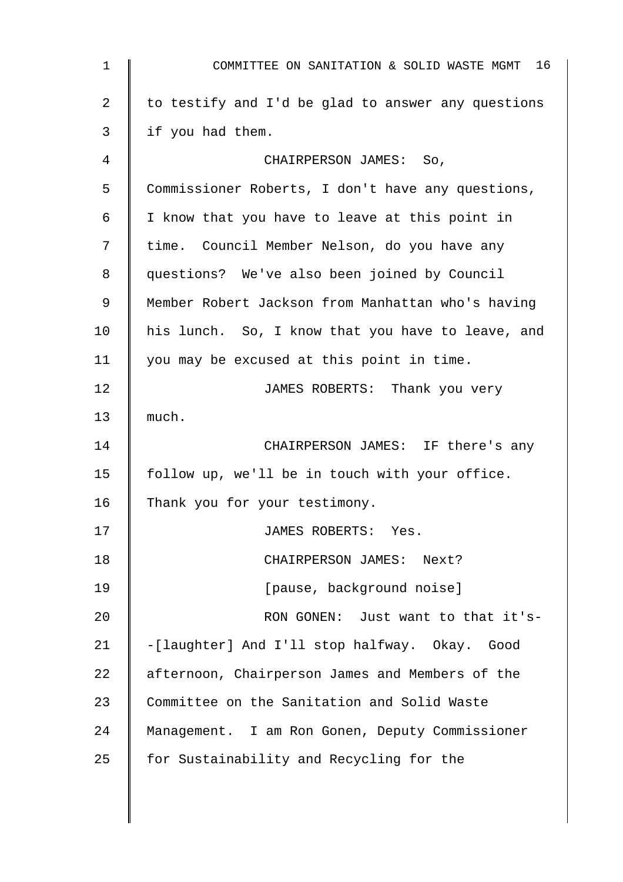| $\mathbf 1$ | 16<br>COMMITTEE ON SANITATION & SOLID WASTE MGMT   |
|-------------|----------------------------------------------------|
| 2           | to testify and I'd be glad to answer any questions |
| 3           | if you had them.                                   |
| 4           | CHAIRPERSON JAMES: So,                             |
| 5           | Commissioner Roberts, I don't have any questions,  |
| 6           | I know that you have to leave at this point in     |
| 7           | time. Council Member Nelson, do you have any       |
| 8           | questions? We've also been joined by Council       |
| 9           | Member Robert Jackson from Manhattan who's having  |
| 10          | his lunch. So, I know that you have to leave, and  |
| 11          | you may be excused at this point in time.          |
| 12          | JAMES ROBERTS: Thank you very                      |
| 13          | much.                                              |
| 14          | CHAIRPERSON JAMES: IF there's any                  |
| 15          | follow up, we'll be in touch with your office.     |
| 16          | Thank you for your testimony.                      |
| 17          | JAMES ROBERTS: Yes.                                |
| 18          | CHAIRPERSON JAMES: Next?                           |
| 19          | [pause, background noise]                          |
| 20          | RON GONEN: Just want to that it's-                 |
| 21          | -[laughter] And I'll stop halfway. Okay. Good      |
| 22          | afternoon, Chairperson James and Members of the    |
| 23          | Committee on the Sanitation and Solid Waste        |
| 24          | Management. I am Ron Gonen, Deputy Commissioner    |
| 25          | for Sustainability and Recycling for the           |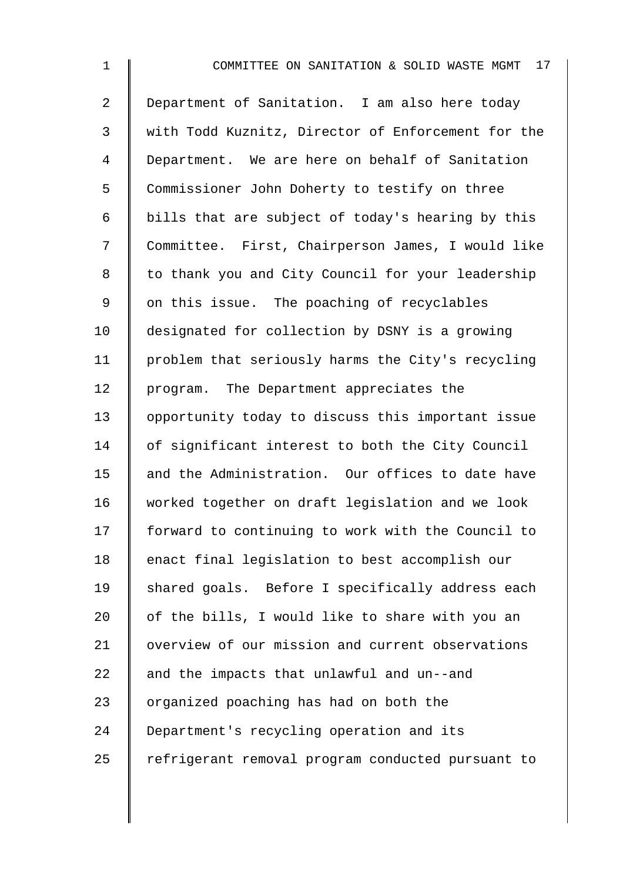2 Department of Sanitation. I am also here today 3 with Todd Kuznitz, Director of Enforcement for the 4 Department. We are here on behalf of Sanitation 5 Commissioner John Doherty to testify on three 6 | bills that are subject of today's hearing by this 7 Committee. First, Chairperson James, I would like 8 | to thank you and City Council for your leadership 9 | on this issue. The poaching of recyclables 10 designated for collection by DSNY is a growing 11 problem that seriously harms the City's recycling 12 | program. The Department appreciates the 13 opportunity today to discuss this important issue 14 of significant interest to both the City Council 15 and the Administration. Our offices to date have 16 worked together on draft legislation and we look 17 forward to continuing to work with the Council to 18 enact final legislation to best accomplish our 19 Shared goals. Before I specifically address each 20  $\parallel$  of the bills, I would like to share with you an 21 | overview of our mission and current observations 22  $\parallel$  and the impacts that unlawful and un--and 23  $\parallel$  organized poaching has had on both the 24 Department's recycling operation and its 25 | refrigerant removal program conducted pursuant to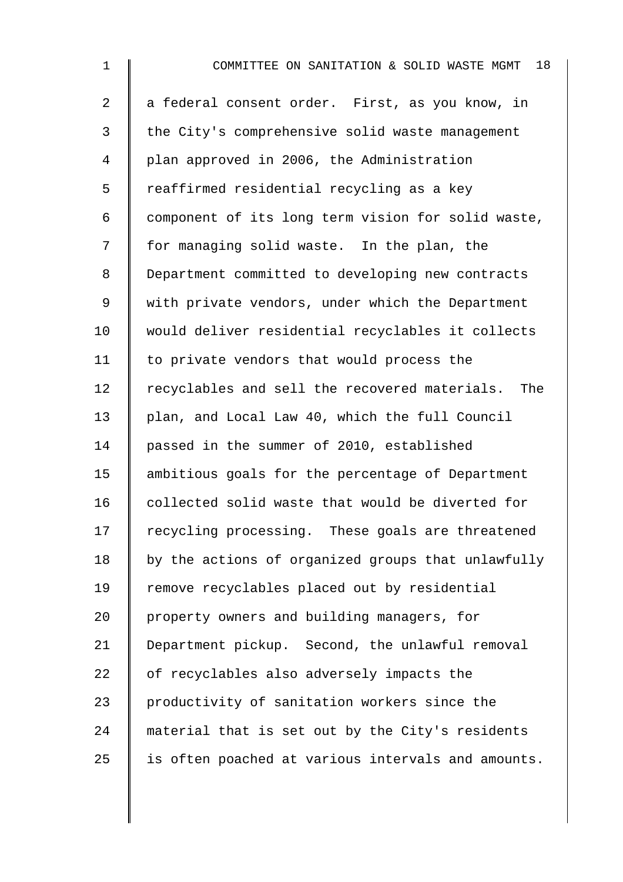| $\mathbf{1}$   | 18<br>COMMITTEE ON SANITATION & SOLID WASTE MGMT   |
|----------------|----------------------------------------------------|
| $\overline{a}$ | a federal consent order. First, as you know, in    |
| 3              | the City's comprehensive solid waste management    |
| 4              | plan approved in 2006, the Administration          |
| 5              | reaffirmed residential recycling as a key          |
| 6              | component of its long term vision for solid waste, |
| 7              | for managing solid waste. In the plan, the         |
| 8              | Department committed to developing new contracts   |
| 9              | with private vendors, under which the Department   |
| 10             | would deliver residential recyclables it collects  |
| 11             | to private vendors that would process the          |
| 12             | recyclables and sell the recovered materials. The  |
| 13             | plan, and Local Law 40, which the full Council     |
| 14             | passed in the summer of 2010, established          |
| 15             | ambitious goals for the percentage of Department   |
| 16             | collected solid waste that would be diverted for   |
| 17             | recycling processing. These goals are threatened   |
| 18             | by the actions of organized groups that unlawfully |
| 19             | remove recyclables placed out by residential       |
| 20             | property owners and building managers, for         |
| 21             | Department pickup. Second, the unlawful removal    |
| 22             | of recyclables also adversely impacts the          |
| 23             | productivity of sanitation workers since the       |
| 24             | material that is set out by the City's residents   |
| 25             | is often poached at various intervals and amounts. |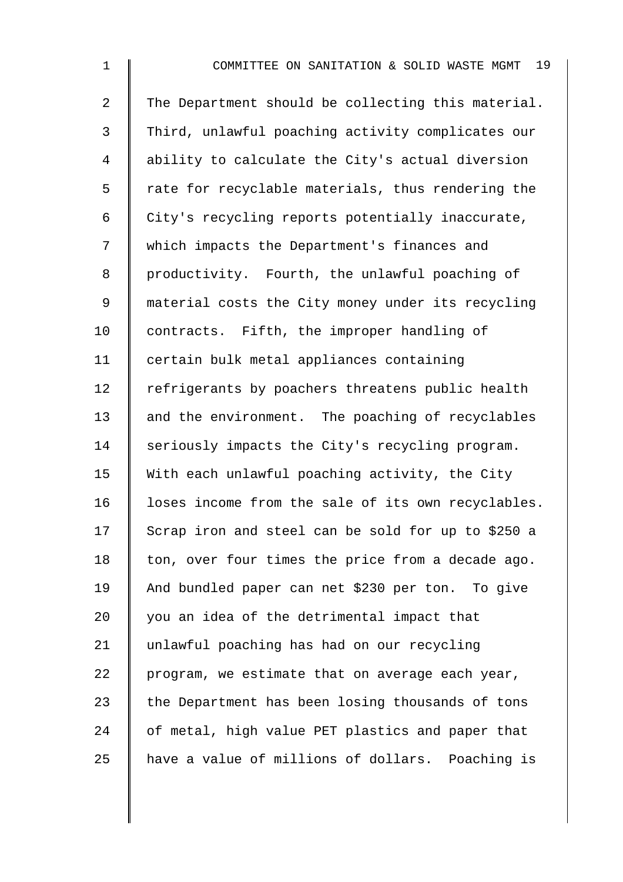2 The Department should be collecting this material. 3 Third, unlawful poaching activity complicates our 4 ability to calculate the City's actual diversion  $5 \parallel$  rate for recyclable materials, thus rendering the 6  $\parallel$  City's recycling reports potentially inaccurate, 7 Which impacts the Department's finances and 8 productivity. Fourth, the unlawful poaching of 9 material costs the City money under its recycling 10 contracts. Fifth, the improper handling of 11 certain bulk metal appliances containing 12 Fefrigerants by poachers threatens public health 13 and the environment. The poaching of recyclables 14 Seriously impacts the City's recycling program. 15  $\parallel$  With each unlawful poaching activity, the City 16 I loses income from the sale of its own recyclables.  $17$  Scrap iron and steel can be sold for up to \$250 a 18  $\parallel$  ton, over four times the price from a decade ago. 19 And bundled paper can net \$230 per ton. To give  $20$   $\parallel$  you an idea of the detrimental impact that 21 unlawful poaching has had on our recycling  $22$  | program, we estimate that on average each year, 23  $\parallel$  the Department has been losing thousands of tons 24 of metal, high value PET plastics and paper that 25 A have a value of millions of dollars. Poaching is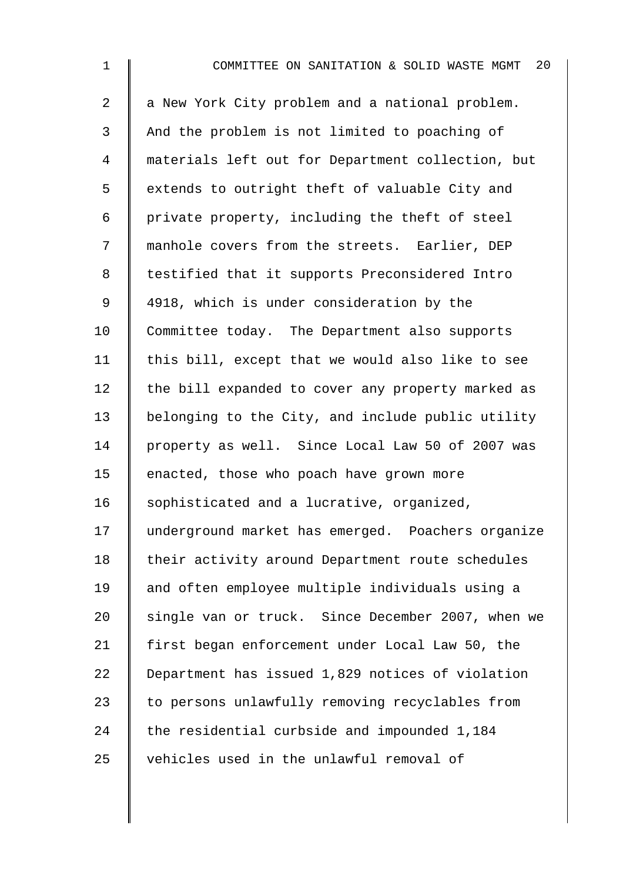| $\mathbf 1$    | 20<br>COMMITTEE ON SANITATION & SOLID WASTE MGMT  |
|----------------|---------------------------------------------------|
| $\overline{a}$ | a New York City problem and a national problem.   |
| 3              | And the problem is not limited to poaching of     |
| 4              | materials left out for Department collection, but |
| 5              | extends to outright theft of valuable City and    |
| 6              | private property, including the theft of steel    |
| 7              | manhole covers from the streets. Earlier, DEP     |
| 8              | testified that it supports Preconsidered Intro    |
| 9              | 4918, which is under consideration by the         |
| 10             | Committee today. The Department also supports     |
| 11             | this bill, except that we would also like to see  |
| 12             | the bill expanded to cover any property marked as |
| 13             | belonging to the City, and include public utility |
| 14             | property as well. Since Local Law 50 of 2007 was  |
| 15             | enacted, those who poach have grown more          |
| 16             | sophisticated and a lucrative, organized,         |
| 17             | underground market has emerged. Poachers organize |
| 18             | their activity around Department route schedules  |
| 19             | and often employee multiple individuals using a   |
| 20             | single van or truck. Since December 2007, when we |
| 21             | first began enforcement under Local Law 50, the   |
| 22             | Department has issued 1,829 notices of violation  |
| 23             | to persons unlawfully removing recyclables from   |
| 24             | the residential curbside and impounded 1,184      |
| 25             | vehicles used in the unlawful removal of          |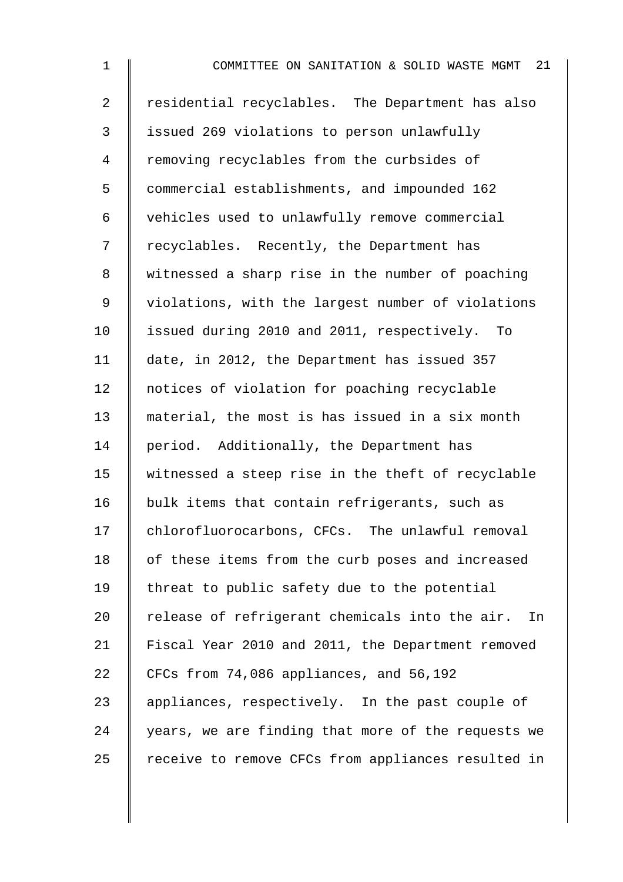2 Tesidential recyclables. The Department has also 3 issued 269 violations to person unlawfully 4 Temoving recyclables from the curbsides of 5 commercial establishments, and impounded 162 6 vehicles used to unlawfully remove commercial 7 | recyclables. Recently, the Department has 8 | witnessed a sharp rise in the number of poaching 9 | violations, with the largest number of violations 10 | issued during 2010 and 2011, respectively. To 11 date, in 2012, the Department has issued 357 12 | notices of violation for poaching recyclable 13 material, the most is has issued in a six month 14 period. Additionally, the Department has 15 witnessed a steep rise in the theft of recyclable 16 bulk items that contain refrigerants, such as 17 chlorofluorocarbons, CFCs. The unlawful removal 18 | of these items from the curb poses and increased 19 | threat to public safety due to the potential 20  $\parallel$  release of refrigerant chemicals into the air. In 21 Fiscal Year 2010 and 2011, the Department removed 22 CFCs from 74,086 appliances, and 56,192 23 | appliances, respectively. In the past couple of  $24$  | years, we are finding that more of the requests we 25 | receive to remove CFCs from appliances resulted in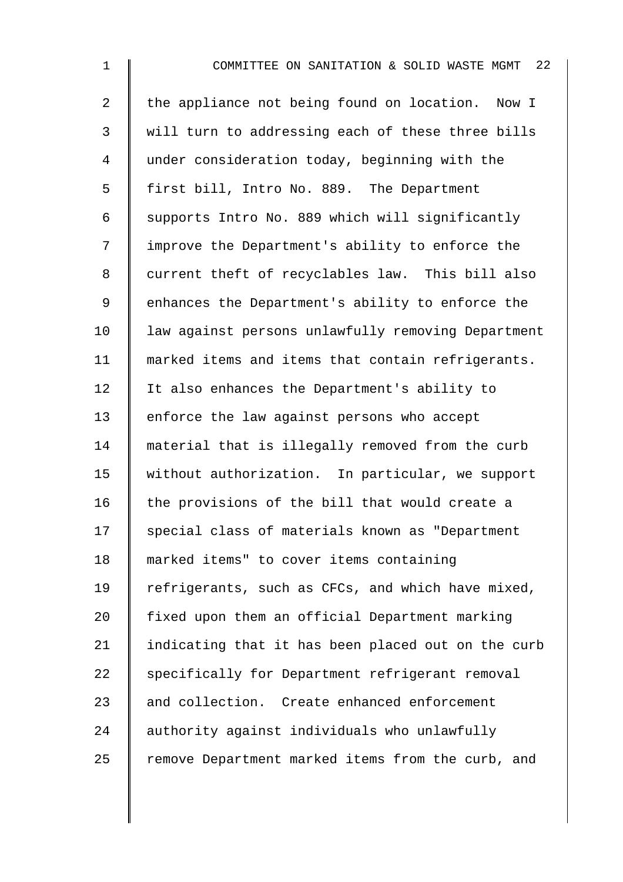| $\mathbf 1$    | - 22<br>COMMITTEE ON SANITATION & SOLID WASTE MGMT |
|----------------|----------------------------------------------------|
| $\overline{2}$ | the appliance not being found on location. Now I   |
| $\mathfrak{Z}$ | will turn to addressing each of these three bills  |
| 4              | under consideration today, beginning with the      |
| 5              | first bill, Intro No. 889. The Department          |
| 6              | supports Intro No. 889 which will significantly    |
| 7              | improve the Department's ability to enforce the    |
| 8              | current theft of recyclables law. This bill also   |
| 9              | enhances the Department's ability to enforce the   |
| 10             | law against persons unlawfully removing Department |
| 11             | marked items and items that contain refrigerants.  |
| 12             | It also enhances the Department's ability to       |
| 13             | enforce the law against persons who accept         |
| 14             | material that is illegally removed from the curb   |
| 15             | without authorization. In particular, we support   |
| 16             | the provisions of the bill that would create a     |
| 17             | special class of materials known as "Department    |
| 18             | marked items" to cover items containing            |
| 19             | refrigerants, such as CFCs, and which have mixed,  |
| 20             | fixed upon them an official Department marking     |
| 21             | indicating that it has been placed out on the curb |
| 22             | specifically for Department refrigerant removal    |
| 23             | and collection. Create enhanced enforcement        |
| 24             | authority against individuals who unlawfully       |
| 25             | remove Department marked items from the curb, and  |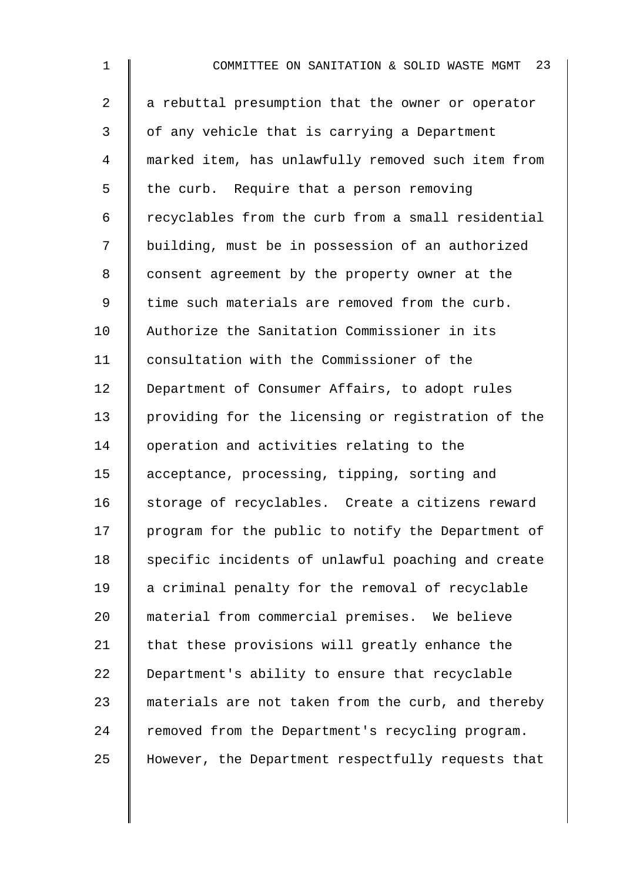1 **I** COMMITTEE ON SANITATION & SOLID WASTE MGMT 23  $2 \parallel a$  rebuttal presumption that the owner or operator 3 | of any vehicle that is carrying a Department 4 marked item, has unlawfully removed such item from  $5 \parallel$  the curb. Require that a person removing 6 recyclables from the curb from a small residential 7 | building, must be in possession of an authorized 8 | consent agreement by the property owner at the 9 I time such materials are removed from the curb. 10 Authorize the Sanitation Commissioner in its 11 | consultation with the Commissioner of the 12 | Department of Consumer Affairs, to adopt rules 13 providing for the licensing or registration of the 14 | operation and activities relating to the 15 acceptance, processing, tipping, sorting and 16 storage of recyclables. Create a citizens reward 17 | program for the public to notify the Department of 18 Specific incidents of unlawful poaching and create 19 | a criminal penalty for the removal of recyclable 20 material from commercial premises. We believe 21  $\parallel$  that these provisions will greatly enhance the 22 Department's ability to ensure that recyclable 23 materials are not taken from the curb, and thereby 24 removed from the Department's recycling program. 25 However, the Department respectfully requests that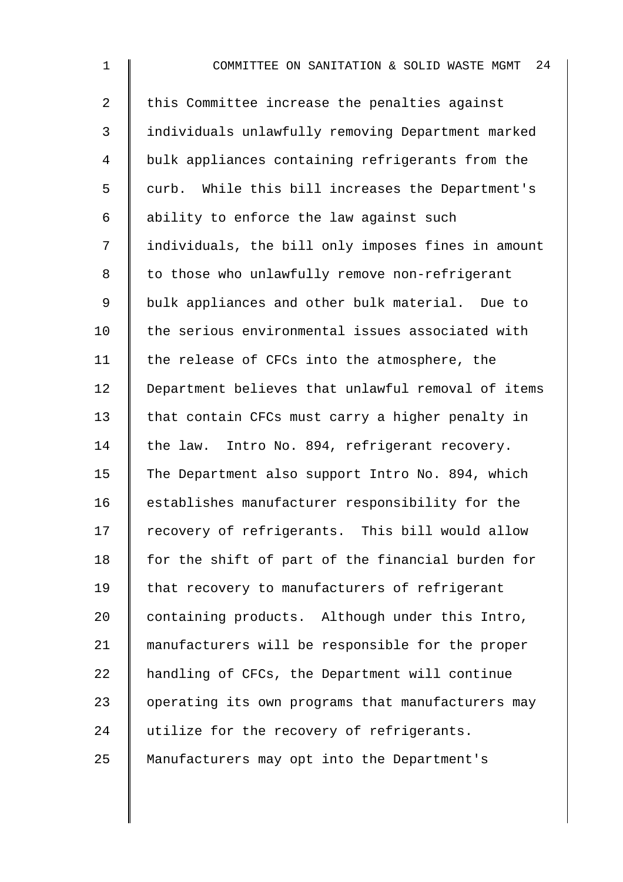| $\mathbf 1$    | 24<br>COMMITTEE ON SANITATION & SOLID WASTE MGMT   |
|----------------|----------------------------------------------------|
| $\overline{a}$ | this Committee increase the penalties against      |
| 3              | individuals unlawfully removing Department marked  |
| 4              | bulk appliances containing refrigerants from the   |
| 5              | curb. While this bill increases the Department's   |
| 6              | ability to enforce the law against such            |
| 7              | individuals, the bill only imposes fines in amount |
| 8              | to those who unlawfully remove non-refrigerant     |
| 9              | bulk appliances and other bulk material. Due to    |
| 10             | the serious environmental issues associated with   |
| 11             | the release of CFCs into the atmosphere, the       |
| 12             | Department believes that unlawful removal of items |
| 13             | that contain CFCs must carry a higher penalty in   |
| 14             | the law. Intro No. 894, refrigerant recovery.      |
| 15             | The Department also support Intro No. 894, which   |
| 16             | establishes manufacturer responsibility for the    |
| 17             | recovery of refrigerants. This bill would allow    |
| 18             | for the shift of part of the financial burden for  |
| 19             | that recovery to manufacturers of refrigerant      |
| 20             | containing products. Although under this Intro,    |
| 21             | manufacturers will be responsible for the proper   |
| 22             | handling of CFCs, the Department will continue     |
| 23             | operating its own programs that manufacturers may  |
| 24             | utilize for the recovery of refrigerants.          |
| 25             | Manufacturers may opt into the Department's        |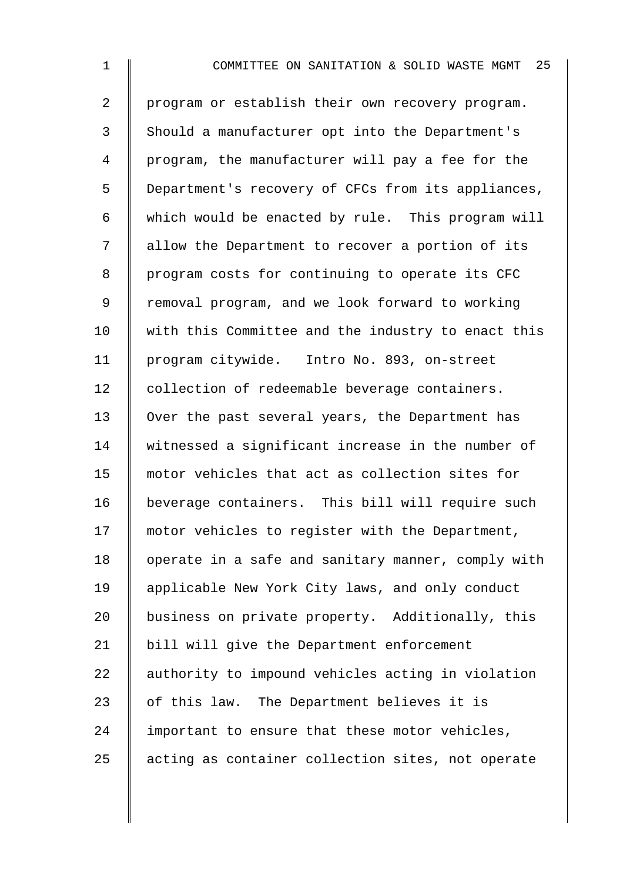1 **I** COMMITTEE ON SANITATION & SOLID WASTE MGMT 25 2 program or establish their own recovery program. 3 Should a manufacturer opt into the Department's 4 program, the manufacturer will pay a fee for the 5 Department's recovery of CFCs from its appliances, 6 which would be enacted by rule. This program will 7 | allow the Department to recover a portion of its 8 | program costs for continuing to operate its CFC 9 | removal program, and we look forward to working 10 | with this Committee and the industry to enact this 11 program citywide. Intro No. 893, on-street 12 collection of redeemable beverage containers. 13 | Over the past several years, the Department has 14 witnessed a significant increase in the number of 15 motor vehicles that act as collection sites for 16 beverage containers. This bill will require such 17 motor vehicles to register with the Department, 18 | operate in a safe and sanitary manner, comply with 19 | applicable New York City laws, and only conduct 20 | business on private property. Additionally, this 21 | bill will give the Department enforcement 22 authority to impound vehicles acting in violation 23  $\parallel$  of this law. The Department believes it is  $24$  important to ensure that these motor vehicles, 25 acting as container collection sites, not operate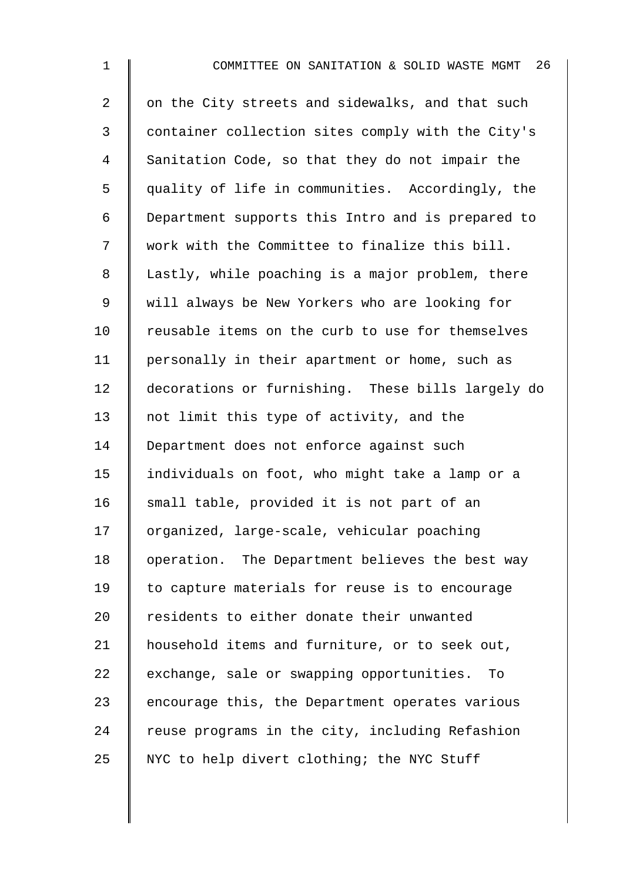1 **I** COMMITTEE ON SANITATION & SOLID WASTE MGMT 26 2 | on the City streets and sidewalks, and that such 3 container collection sites comply with the City's 4 Sanitation Code, so that they do not impair the 5 quality of life in communities. Accordingly, the 6 Department supports this Intro and is prepared to 7 | work with the Committee to finalize this bill. 8 | Lastly, while poaching is a major problem, there 9 | will always be New Yorkers who are looking for 10 Teusable items on the curb to use for themselves 11 | personally in their apartment or home, such as 12 decorations or furnishing. These bills largely do 13 || not limit this type of activity, and the 14 | Department does not enforce against such 15 individuals on foot, who might take a lamp or a 16 small table, provided it is not part of an 17 | organized, large-scale, vehicular poaching 18 | operation. The Department believes the best way 19  $\parallel$  to capture materials for reuse is to encourage 20 T residents to either donate their unwanted 21 | household items and furniture, or to seek out, 22 exchange, sale or swapping opportunities. To 23  $\parallel$  encourage this, the Department operates various  $24$  | reuse programs in the city, including Refashion 25 NYC to help divert clothing; the NYC Stuff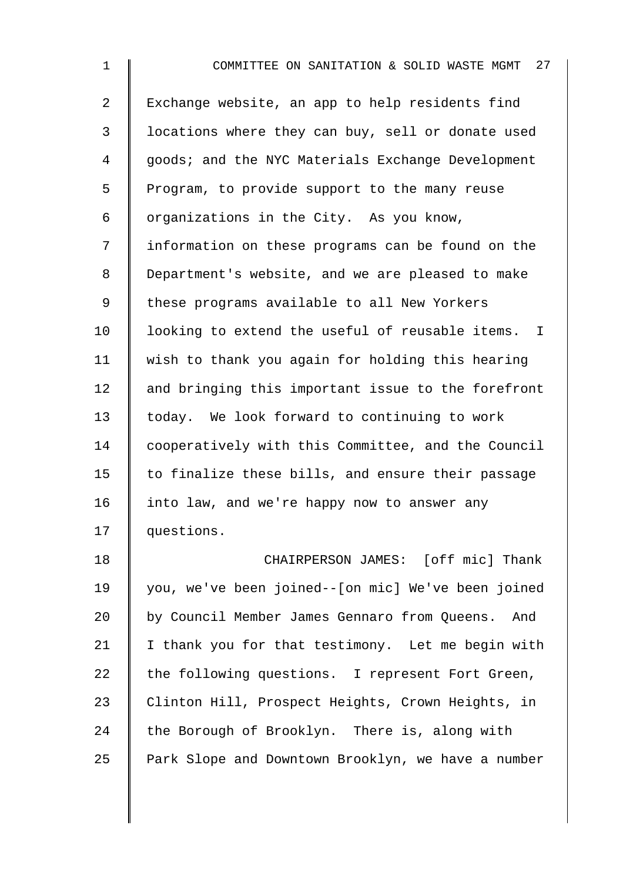1 **I** COMMITTEE ON SANITATION & SOLID WASTE MGMT 27 2 | Exchange website, an app to help residents find 3 | locations where they can buy, sell or donate used 4 | qoods; and the NYC Materials Exchange Development  $5 \parallel$  Program, to provide support to the many reuse  $6 \parallel$  organizations in the City. As you know, 7 information on these programs can be found on the 8 Department's website, and we are pleased to make 9 | these programs available to all New Yorkers 10 Iooking to extend the useful of reusable items. I 11 wish to thank you again for holding this hearing  $12$  and bringing this important issue to the forefront 13 | today. We look forward to continuing to work 14 cooperatively with this Committee, and the Council 15  $\parallel$  to finalize these bills, and ensure their passage 16 | into law, and we're happy now to answer any 17 questions. 18 **CHAIRPERSON JAMES:** [off mic] Thank 19 you, we've been joined--[on mic] We've been joined 20 by Council Member James Gennaro from Queens. And 21  $\parallel$  I thank you for that testimony. Let me begin with

 the following questions. I represent Fort Green, 23 | Clinton Hill, Prospect Heights, Crown Heights, in the Borough of Brooklyn. There is, along with Park Slope and Downtown Brooklyn, we have a number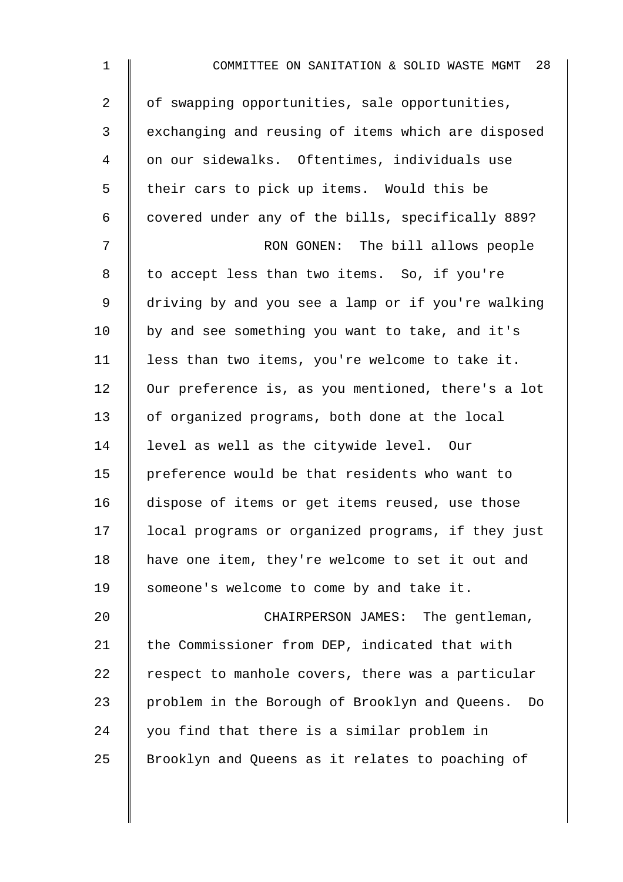| $\mathbf{1}$   | 28<br>COMMITTEE ON SANITATION & SOLID WASTE MGMT     |
|----------------|------------------------------------------------------|
| $\overline{a}$ | of swapping opportunities, sale opportunities,       |
| 3              | exchanging and reusing of items which are disposed   |
| 4              | on our sidewalks. Oftentimes, individuals use        |
| 5              | their cars to pick up items. Would this be           |
| 6              | covered under any of the bills, specifically 889?    |
| 7              | RON GONEN: The bill allows people                    |
| 8              | to accept less than two items. So, if you're         |
| 9              | driving by and you see a lamp or if you're walking   |
| 10             | by and see something you want to take, and it's      |
| 11             | less than two items, you're welcome to take it.      |
| 12             | Our preference is, as you mentioned, there's a lot   |
| 13             | of organized programs, both done at the local        |
| 14             | level as well as the citywide level. Our             |
| 15             | preference would be that residents who want to       |
| 16             | dispose of items or get items reused, use those      |
| 17             | local programs or organized programs, if they just   |
| 18             | have one item, they're welcome to set it out and     |
| 19             | someone's welcome to come by and take it.            |
| 20             | CHAIRPERSON JAMES: The gentleman,                    |
| 21             | the Commissioner from DEP, indicated that with       |
| 22             | respect to manhole covers, there was a particular    |
| 23             | problem in the Borough of Brooklyn and Queens.<br>Do |
| 24             | you find that there is a similar problem in          |
| 25             | Brooklyn and Queens as it relates to poaching of     |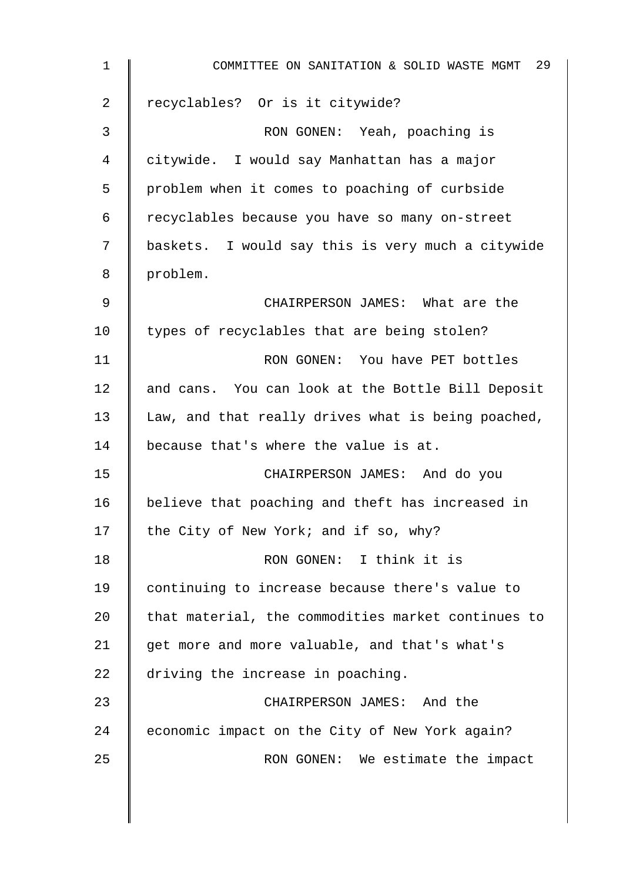| $\mathbf 1$ | COMMITTEE ON SANITATION & SOLID WASTE MGMT 29      |
|-------------|----------------------------------------------------|
| 2           | recyclables? Or is it citywide?                    |
| 3           | RON GONEN: Yeah, poaching is                       |
| 4           | citywide. I would say Manhattan has a major        |
| 5           | problem when it comes to poaching of curbside      |
| 6           | recyclables because you have so many on-street     |
| 7           | baskets. I would say this is very much a citywide  |
| 8           | problem.                                           |
| 9           | CHAIRPERSON JAMES: What are the                    |
| 10          | types of recyclables that are being stolen?        |
| 11          | RON GONEN: You have PET bottles                    |
| 12          | and cans. You can look at the Bottle Bill Deposit  |
| 13          | Law, and that really drives what is being poached, |
| 14          | because that's where the value is at.              |
| 15          | CHAIRPERSON JAMES: And do you                      |
| 16          | believe that poaching and theft has increased in   |
| 17          | the City of New York; and if so, why?              |
| 18          | RON GONEN: I think it is                           |
| 19          | continuing to increase because there's value to    |
| 20          | that material, the commodities market continues to |
| 21          | get more and more valuable, and that's what's      |
| 22          | driving the increase in poaching.                  |
| 23          | CHAIRPERSON JAMES: And the                         |
| 24          | economic impact on the City of New York again?     |
| 25          | RON GONEN: We estimate the impact                  |
|             |                                                    |

 $\overline{\phantom{a}}$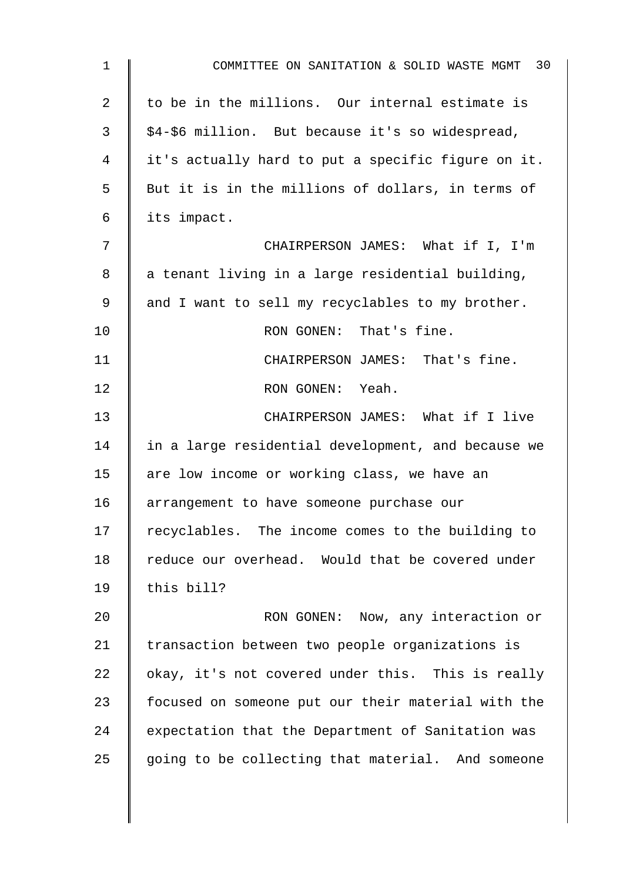| 1  | COMMITTEE ON SANITATION & SOLID WASTE MGMT 30      |
|----|----------------------------------------------------|
| 2  | to be in the millions. Our internal estimate is    |
| 3  | \$4-\$6 million. But because it's so widespread,   |
| 4  | it's actually hard to put a specific figure on it. |
| 5  | But it is in the millions of dollars, in terms of  |
| 6  | its impact.                                        |
| 7  | CHAIRPERSON JAMES: What if I, I'm                  |
| 8  | a tenant living in a large residential building,   |
| 9  | and I want to sell my recyclables to my brother.   |
| 10 | RON GONEN: That's fine.                            |
| 11 | CHAIRPERSON JAMES: That's fine.                    |
| 12 | RON GONEN: Yeah.                                   |
| 13 | CHAIRPERSON JAMES: What if I live                  |
| 14 | in a large residential development, and because we |
| 15 | are low income or working class, we have an        |
| 16 | arrangement to have someone purchase our           |
| 17 | recyclables. The income comes to the building to   |
| 18 | reduce our overhead. Would that be covered under   |
| 19 | this bill?                                         |
| 20 | RON GONEN: Now, any interaction or                 |
| 21 | transaction between two people organizations is    |
| 22 | okay, it's not covered under this. This is really  |
| 23 | focused on someone put our their material with the |
| 24 | expectation that the Department of Sanitation was  |
| 25 | going to be collecting that material. And someone  |
|    |                                                    |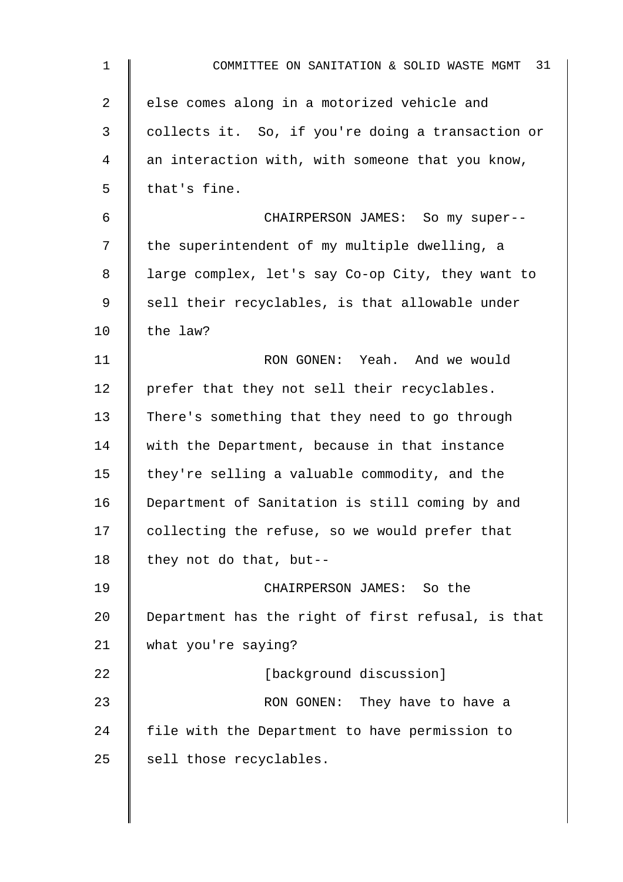| $\mathbf 1$ | 31<br>COMMITTEE ON SANITATION & SOLID WASTE MGMT   |
|-------------|----------------------------------------------------|
| 2           | else comes along in a motorized vehicle and        |
| 3           | collects it. So, if you're doing a transaction or  |
| 4           | an interaction with, with someone that you know,   |
| 5           | that's fine.                                       |
| 6           | CHAIRPERSON JAMES: So my super--                   |
| 7           | the superintendent of my multiple dwelling, a      |
| 8           | large complex, let's say Co-op City, they want to  |
| 9           | sell their recyclables, is that allowable under    |
| 10          | the law?                                           |
| 11          | RON GONEN: Yeah. And we would                      |
| 12          | prefer that they not sell their recyclables.       |
| 13          | There's something that they need to go through     |
| 14          | with the Department, because in that instance      |
| 15          | they're selling a valuable commodity, and the      |
| 16          | Department of Sanitation is still coming by and    |
| 17          | collecting the refuse, so we would prefer that     |
| 18          | they not do that, but--                            |
| 19          | CHAIRPERSON JAMES: So the                          |
| 20          | Department has the right of first refusal, is that |
| 21          | what you're saying?                                |
| 22          | [background discussion]                            |
| 23          | RON GONEN: They have to have a                     |
| 24          | file with the Department to have permission to     |
| 25          | sell those recyclables.                            |
|             |                                                    |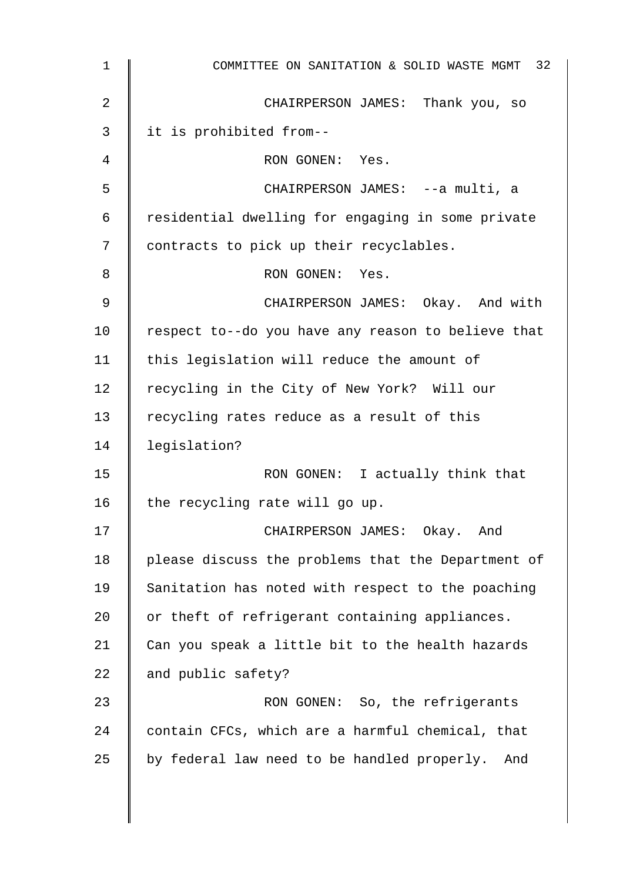| $\mathbf 1$     | COMMITTEE ON SANITATION & SOLID WASTE MGMT 32      |
|-----------------|----------------------------------------------------|
| 2               | CHAIRPERSON JAMES: Thank you, so                   |
| 3               | it is prohibited from--                            |
| 4               | RON GONEN: Yes.                                    |
| 5               | CHAIRPERSON JAMES: --a multi, a                    |
| 6               | residential dwelling for engaging in some private  |
| 7               | contracts to pick up their recyclables.            |
| 8               | RON GONEN: Yes.                                    |
| 9               | CHAIRPERSON JAMES: Okay. And with                  |
| 10 <sub>1</sub> | respect to--do you have any reason to believe that |
| 11              | this legislation will reduce the amount of         |
| 12              | recycling in the City of New York? Will our        |
| 13              | recycling rates reduce as a result of this         |
| 14              | legislation?                                       |
| 15              | RON GONEN: I actually think that                   |
| 16              | the recycling rate will go up.                     |
| 17              | CHAIRPERSON JAMES: Okay. And                       |
| 18              | please discuss the problems that the Department of |
| 19              | Sanitation has noted with respect to the poaching  |
| 20              | or theft of refrigerant containing appliances.     |
| 21              | Can you speak a little bit to the health hazards   |
| 22              | and public safety?                                 |
| 23              | RON GONEN: So, the refrigerants                    |
| 24              | contain CFCs, which are a harmful chemical, that   |
| 25              | by federal law need to be handled properly.<br>And |
|                 |                                                    |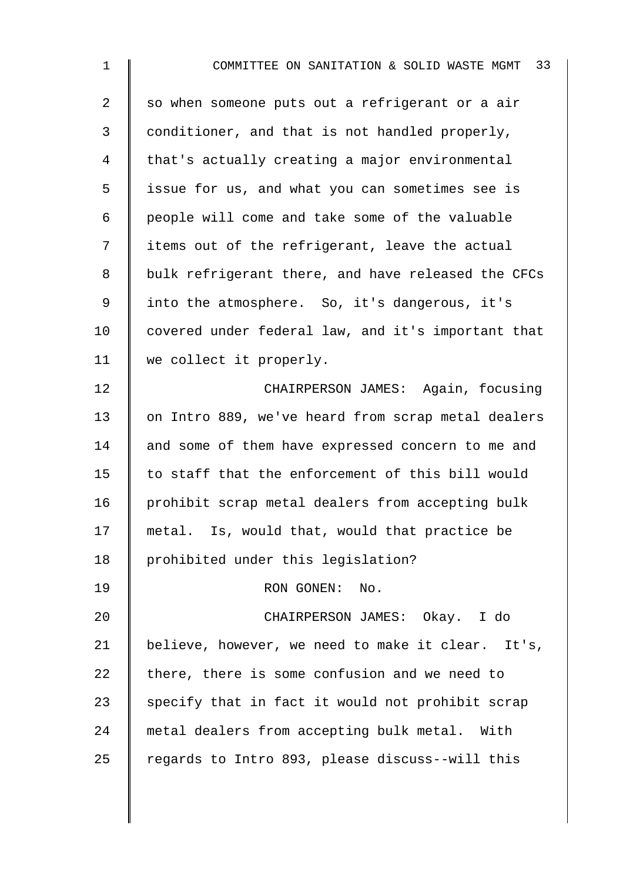| $\mathbf{1}$   | COMMITTEE ON SANITATION & SOLID WASTE MGMT 33      |
|----------------|----------------------------------------------------|
| $\overline{a}$ | so when someone puts out a refrigerant or a air    |
| 3              | conditioner, and that is not handled properly,     |
| 4              | that's actually creating a major environmental     |
| 5              | issue for us, and what you can sometimes see is    |
| 6              | people will come and take some of the valuable     |
| 7              | items out of the refrigerant, leave the actual     |
| 8              | bulk refrigerant there, and have released the CFCs |
| 9              | into the atmosphere. So, it's dangerous, it's      |
| 10             | covered under federal law, and it's important that |
| 11             | we collect it properly.                            |
| 12             | CHAIRPERSON JAMES: Again, focusing                 |
| 13             | on Intro 889, we've heard from scrap metal dealers |
| 14             | and some of them have expressed concern to me and  |
| 15             | to staff that the enforcement of this bill would   |
| 16             | prohibit scrap metal dealers from accepting bulk   |
| 17             | metal. Is, would that, would that practice be      |
| 18             | prohibited under this legislation?                 |
| 19             | RON GONEN:<br>No.                                  |
| 20             | CHAIRPERSON JAMES: Okay. I do                      |
| 21             | believe, however, we need to make it clear. It's,  |
| 22             | there, there is some confusion and we need to      |
| 23             | specify that in fact it would not prohibit scrap   |
| 24             | metal dealers from accepting bulk metal. With      |
| 25             | regards to Intro 893, please discuss--will this    |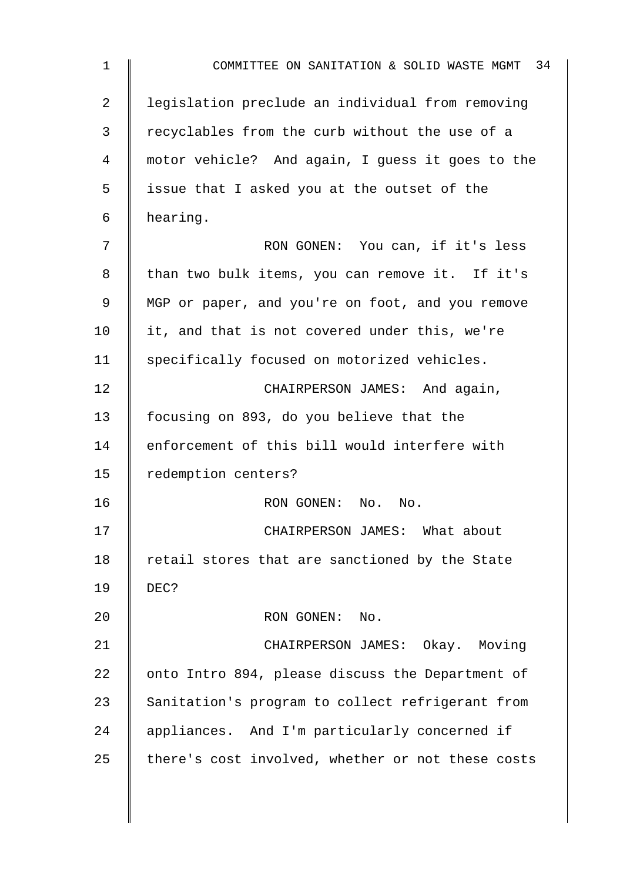1 **Number 1** COMMITTEE ON SANITATION & SOLID WASTE MGMT 34 2 | legislation preclude an individual from removing 3 | recyclables from the curb without the use of a 4 motor vehicle? And again, I guess it goes to the 5 issue that I asked you at the outset of the 6 hearing. 7 RON GONEN: You can, if it's less 8 | than two bulk items, you can remove it. If it's 9 | MGP or paper, and you're on foot, and you remove 10 | it, and that is not covered under this, we're 11 | specifically focused on motorized vehicles. 12 **CHAIRPERSON JAMES:** And again, 13 focusing on 893, do you believe that the 14 enforcement of this bill would interfere with 15 | redemption centers? 16 | RON GONEN: No. No. 17 | CHAIRPERSON JAMES: What about 18  $\parallel$  retail stores that are sanctioned by the State 19 DEC? 20 | RON GONEN: No. 21 | CHAIRPERSON JAMES: Okay. Moving 22  $\parallel$  onto Intro 894, please discuss the Department of 23 Sanitation's program to collect refrigerant from 24 appliances. And I'm particularly concerned if  $25$  there's cost involved, whether or not these costs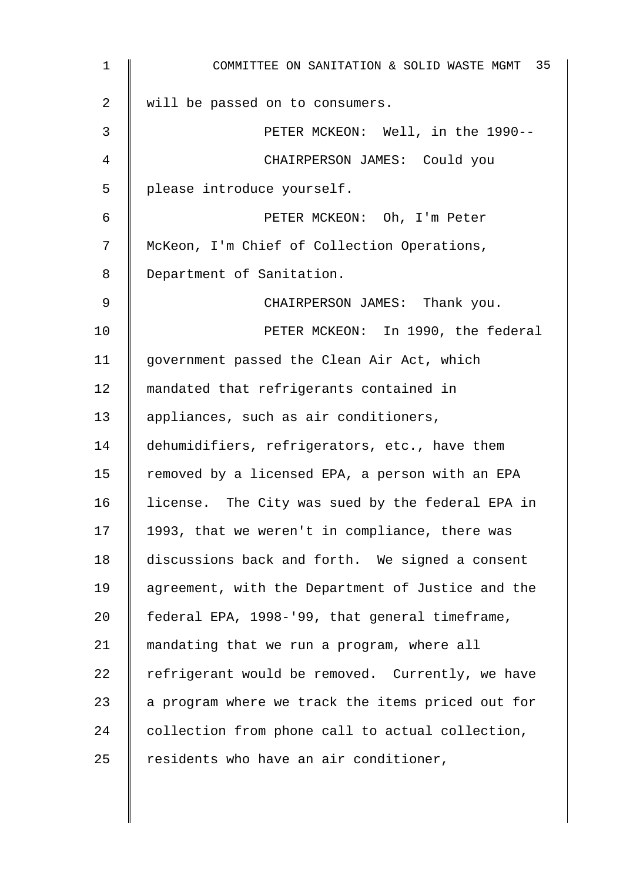| $\mathbf 1$ | COMMITTEE ON SANITATION & SOLID WASTE MGMT 35     |
|-------------|---------------------------------------------------|
| 2           | will be passed on to consumers.                   |
| 3           | PETER MCKEON: Well, in the 1990--                 |
| 4           | CHAIRPERSON JAMES: Could you                      |
| 5           | please introduce yourself.                        |
| 6           | PETER MCKEON: Oh, I'm Peter                       |
| 7           | McKeon, I'm Chief of Collection Operations,       |
| 8           | Department of Sanitation.                         |
| 9           | CHAIRPERSON JAMES: Thank you.                     |
| 10          | PETER MCKEON: In 1990, the federal                |
| 11          | government passed the Clean Air Act, which        |
| 12          | mandated that refrigerants contained in           |
| 13          | appliances, such as air conditioners,             |
| 14          | dehumidifiers, refrigerators, etc., have them     |
| 15          | removed by a licensed EPA, a person with an EPA   |
| 16          | license. The City was sued by the federal EPA in  |
| 17          | 1993, that we weren't in compliance, there was    |
| 18          | discussions back and forth. We signed a consent   |
| 19          | agreement, with the Department of Justice and the |
| 20          | federal EPA, 1998-'99, that general timeframe,    |
| 21          | mandating that we run a program, where all        |
| 22          | refrigerant would be removed. Currently, we have  |
| 23          | a program where we track the items priced out for |
| 24          | collection from phone call to actual collection,  |
| 25          | residents who have an air conditioner,            |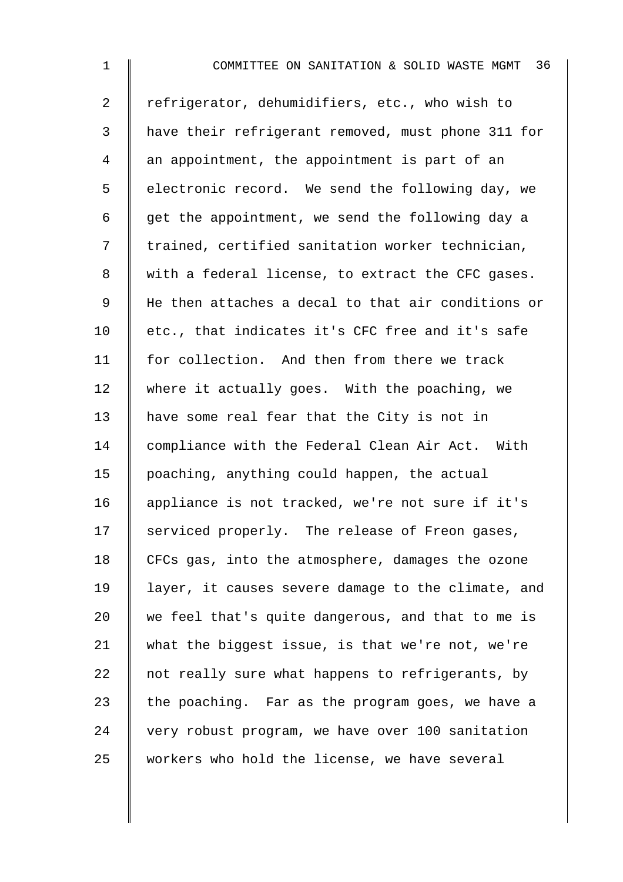1 **I** COMMITTEE ON SANITATION & SOLID WASTE MGMT 36 2 Tefrigerator, dehumidifiers, etc., who wish to 3 have their refrigerant removed, must phone 311 for  $4 \parallel$  an appointment, the appointment is part of an 5 | electronic record. We send the following day, we 6  $\parallel$  get the appointment, we send the following day a 7 | trained, certified sanitation worker technician, 8 | with a federal license, to extract the CFC gases. 9 | He then attaches a decal to that air conditions or 10 etc., that indicates it's CFC free and it's safe 11 | for collection. And then from there we track 12 where it actually goes. With the poaching, we 13 have some real fear that the City is not in 14 compliance with the Federal Clean Air Act. With 15 poaching, anything could happen, the actual 16 appliance is not tracked, we're not sure if it's  $17$  serviced properly. The release of Freon gases, 18 CFCs gas, into the atmosphere, damages the ozone 19 | layer, it causes severe damage to the climate, and 20  $\parallel$  we feel that's quite dangerous, and that to me is 21 what the biggest issue, is that we're not, we're 22  $\parallel$  not really sure what happens to refrigerants, by 23 the poaching. Far as the program goes, we have a 24 very robust program, we have over 100 sanitation 25 workers who hold the license, we have several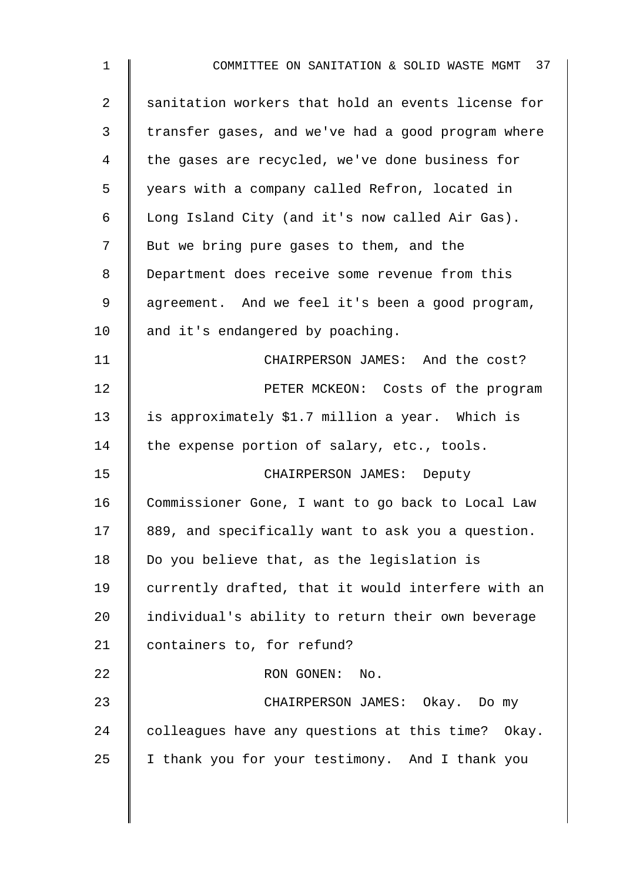| $\mathbf 1$    | COMMITTEE ON SANITATION & SOLID WASTE MGMT 37      |
|----------------|----------------------------------------------------|
| $\overline{a}$ | sanitation workers that hold an events license for |
| 3              | transfer gases, and we've had a good program where |
| 4              | the gases are recycled, we've done business for    |
| 5              | years with a company called Refron, located in     |
| 6              | Long Island City (and it's now called Air Gas).    |
| 7              | But we bring pure gases to them, and the           |
| 8              | Department does receive some revenue from this     |
| 9              | agreement. And we feel it's been a good program,   |
| 10             | and it's endangered by poaching.                   |
| 11             | CHAIRPERSON JAMES: And the cost?                   |
| 12             | PETER MCKEON: Costs of the program                 |
| 13             | is approximately \$1.7 million a year. Which is    |
| 14             | the expense portion of salary, etc., tools.        |
| 15             | CHAIRPERSON JAMES: Deputy                          |
| 16             | Commissioner Gone, I want to go back to Local Law  |
| 17             | 889, and specifically want to ask you a question.  |
| 18             | Do you believe that, as the legislation is         |
| 19             | currently drafted, that it would interfere with an |
| 20             | individual's ability to return their own beverage  |
| 21             | containers to, for refund?                         |
| 22             | RON GONEN:<br>No.                                  |
| 23             | CHAIRPERSON JAMES: Okay. Do my                     |
| 24             | colleagues have any questions at this time? Okay.  |
| 25             | I thank you for your testimony. And I thank you    |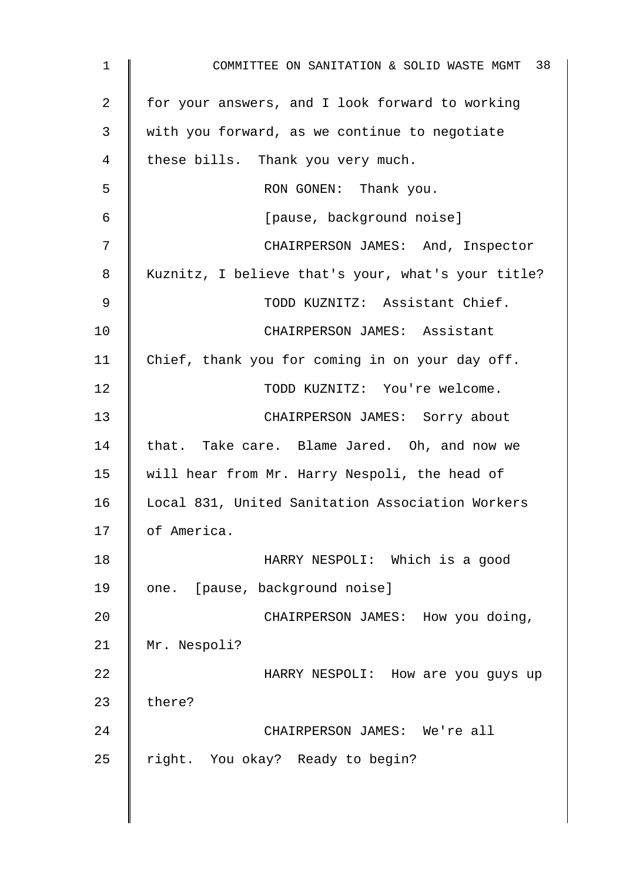| 1  | COMMITTEE ON SANITATION & SOLID WASTE MGMT 38      |
|----|----------------------------------------------------|
| 2  | for your answers, and I look forward to working    |
| 3  | with you forward, as we continue to negotiate      |
| 4  | these bills. Thank you very much.                  |
| 5  | RON GONEN: Thank you.                              |
| 6  | [pause, background noise]                          |
| 7  | CHAIRPERSON JAMES: And, Inspector                  |
| 8  | Kuznitz, I believe that's your, what's your title? |
| 9  | TODD KUZNITZ: Assistant Chief.                     |
| 10 | CHAIRPERSON JAMES: Assistant                       |
| 11 | Chief, thank you for coming in on your day off.    |
| 12 | TODD KUZNITZ: You're welcome.                      |
| 13 | CHAIRPERSON JAMES: Sorry about                     |
| 14 | that. Take care. Blame Jared. Oh, and now we       |
| 15 | will hear from Mr. Harry Nespoli, the head of      |
| 16 | Local 831, United Sanitation Association Workers   |
| 17 | of America.                                        |
| 18 | HARRY NESPOLI: Which is a good                     |
| 19 | one. [pause, background noise]                     |
| 20 | CHAIRPERSON JAMES: How you doing,                  |
| 21 | Mr. Nespoli?                                       |
| 22 | HARRY NESPOLI: How are you guys up                 |
| 23 | there?                                             |
| 24 | CHAIRPERSON JAMES: We're all                       |
| 25 | right. You okay? Ready to begin?                   |
|    |                                                    |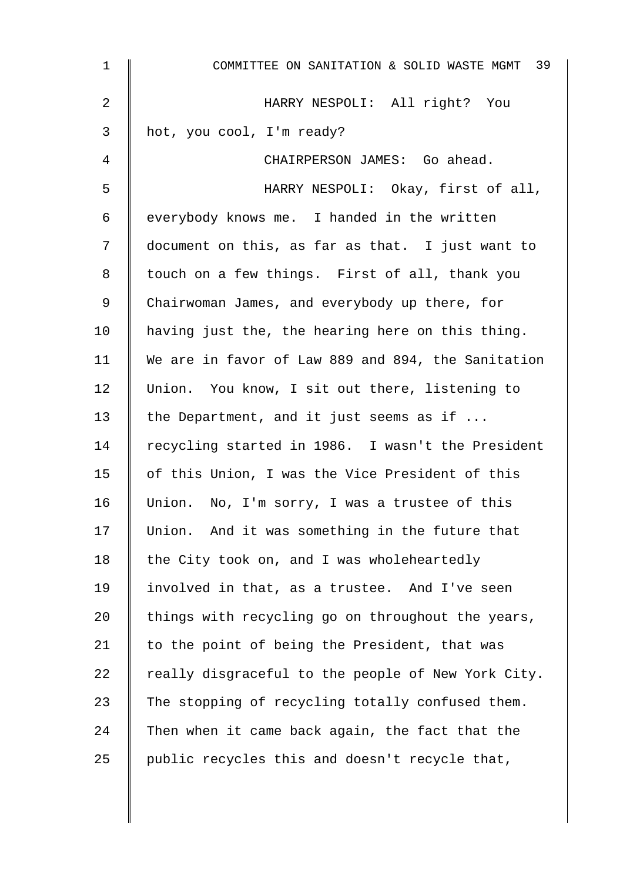| $\mathbf{1}$    | COMMITTEE ON SANITATION & SOLID WASTE MGMT 39      |
|-----------------|----------------------------------------------------|
| 2               | HARRY NESPOLI: All right? You                      |
| 3               | hot, you cool, I'm ready?                          |
| 4               | CHAIRPERSON JAMES: Go ahead.                       |
| 5               | HARRY NESPOLI: Okay, first of all,                 |
| 6               | everybody knows me. I handed in the written        |
| 7               | document on this, as far as that. I just want to   |
| 8               | touch on a few things. First of all, thank you     |
| 9               | Chairwoman James, and everybody up there, for      |
| 10 <sub>1</sub> | having just the, the hearing here on this thing.   |
| 11              | We are in favor of Law 889 and 894, the Sanitation |
| 12              | Union. You know, I sit out there, listening to     |
| 13              | the Department, and it just seems as if            |
| 14              | recycling started in 1986. I wasn't the President  |
| 15              | of this Union, I was the Vice President of this    |
| 16              | Union. No, I'm sorry, I was a trustee of this      |
| 17              | Union. And it was something in the future that     |
| 18              | the City took on, and I was wholeheartedly         |
| 19              | involved in that, as a trustee. And I've seen      |
| 20              | things with recycling go on throughout the years,  |
| 21              | to the point of being the President, that was      |
| 22              | really disgraceful to the people of New York City. |
| 23              | The stopping of recycling totally confused them.   |
| 24              | Then when it came back again, the fact that the    |
| 25              | public recycles this and doesn't recycle that,     |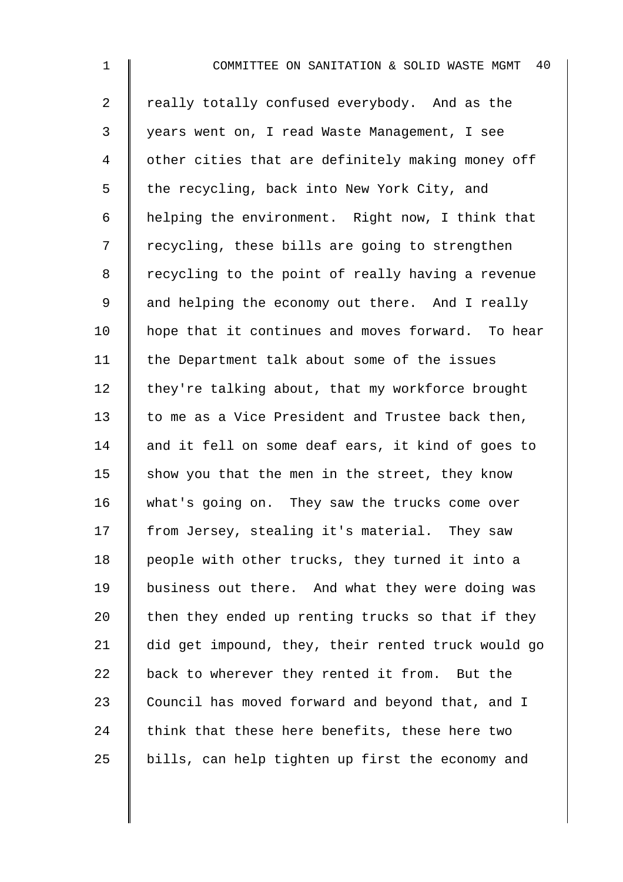| $\mathbf{1}$   | 40<br>COMMITTEE ON SANITATION & SOLID WASTE MGMT   |
|----------------|----------------------------------------------------|
| $\overline{2}$ | really totally confused everybody. And as the      |
| 3              | years went on, I read Waste Management, I see      |
| 4              | other cities that are definitely making money off  |
| 5              | the recycling, back into New York City, and        |
| 6              | helping the environment. Right now, I think that   |
| 7              | recycling, these bills are going to strengthen     |
| 8              | recycling to the point of really having a revenue  |
| $\mathsf 9$    | and helping the economy out there. And I really    |
| 10             | hope that it continues and moves forward. To hear  |
| 11             | the Department talk about some of the issues       |
| 12             | they're talking about, that my workforce brought   |
| 13             | to me as a Vice President and Trustee back then,   |
| 14             | and it fell on some deaf ears, it kind of goes to  |
| 15             | show you that the men in the street, they know     |
| 16             | what's going on. They saw the trucks come over     |
| 17             | from Jersey, stealing it's material. They saw      |
| 18             | people with other trucks, they turned it into a    |
| 19             | business out there. And what they were doing was   |
| 20             | then they ended up renting trucks so that if they  |
| 21             | did get impound, they, their rented truck would go |
| 22             | back to wherever they rented it from. But the      |
| 23             | Council has moved forward and beyond that, and I   |
| 24             | think that these here benefits, these here two     |
| 25             | bills, can help tighten up first the economy and   |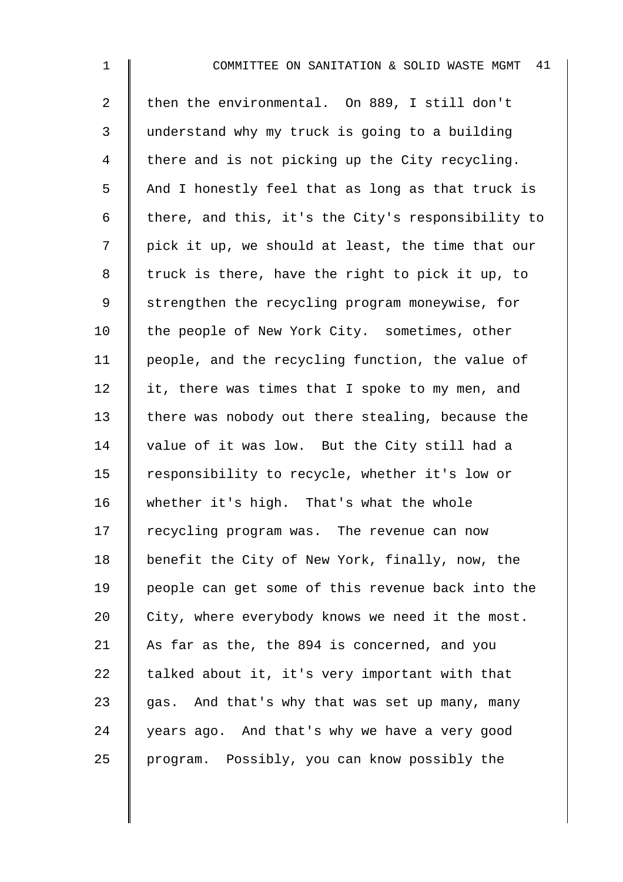2 then the environmental. On 889, I still don't 3 understand why my truck is going to a building  $4 \parallel$  there and is not picking up the City recycling.  $5 \parallel$  And I honestly feel that as long as that truck is 6  $\parallel$  there, and this, it's the City's responsibility to 7 | pick it up, we should at least, the time that our  $8 \parallel$  truck is there, have the right to pick it up, to 9 Strengthen the recycling program moneywise, for 10 | the people of New York City. sometimes, other 11 people, and the recycling function, the value of 12  $\parallel$  it, there was times that I spoke to my men, and 13 there was nobody out there stealing, because the 14 value of it was low. But the City still had a 15 | responsibility to recycle, whether it's low or 16 whether it's high. That's what the whole  $17$   $\parallel$  recycling program was. The revenue can now 18 | benefit the City of New York, finally, now, the 19 people can get some of this revenue back into the  $20$  | City, where everybody knows we need it the most. 21 As far as the, the 894 is concerned, and you 22  $\parallel$  talked about it, it's very important with that 23  $\parallel$  gas. And that's why that was set up many, many  $24$  vears ago. And that's why we have a very good 25 program. Possibly, you can know possibly the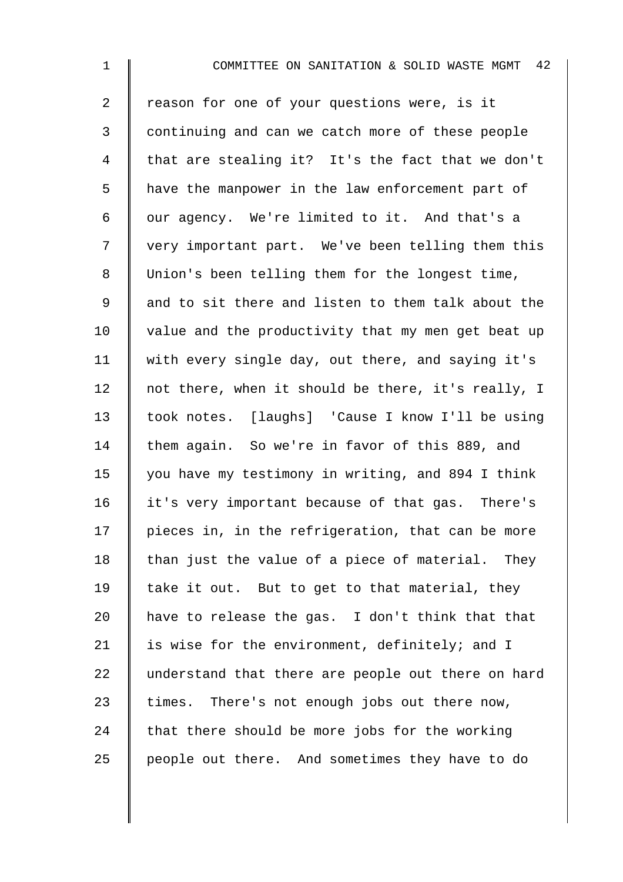1 **I** COMMITTEE ON SANITATION & SOLID WASTE MGMT 42 2 T reason for one of your questions were, is it 3 continuing and can we catch more of these people 4 I that are stealing it? It's the fact that we don't 5 | have the manpower in the law enforcement part of  $6 \parallel$  our agency. We're limited to it. And that's a 7 | very important part. We've been telling them this 8 Union's been telling them for the longest time, 9 || and to sit there and listen to them talk about the 10  $\parallel$  value and the productivity that my men get beat up 11 with every single day, out there, and saying it's 12 | not there, when it should be there, it's really, I 13 took notes. [laughs] 'Cause I know I'll be using 14 them again. So we're in favor of this 889, and 15  $\parallel$  you have my testimony in writing, and 894 I think 16 | it's very important because of that gas. There's  $17$  | pieces in, in the refrigeration, that can be more 18  $\parallel$  than just the value of a piece of material. They 19  $\parallel$  take it out. But to get to that material, they

20  $\parallel$  have to release the gas. I don't think that that 21  $\parallel$  is wise for the environment, definitely; and I 22 understand that there are people out there on hard  $23$  times. There's not enough jobs out there now, 24 that there should be more jobs for the working 25 | people out there. And sometimes they have to do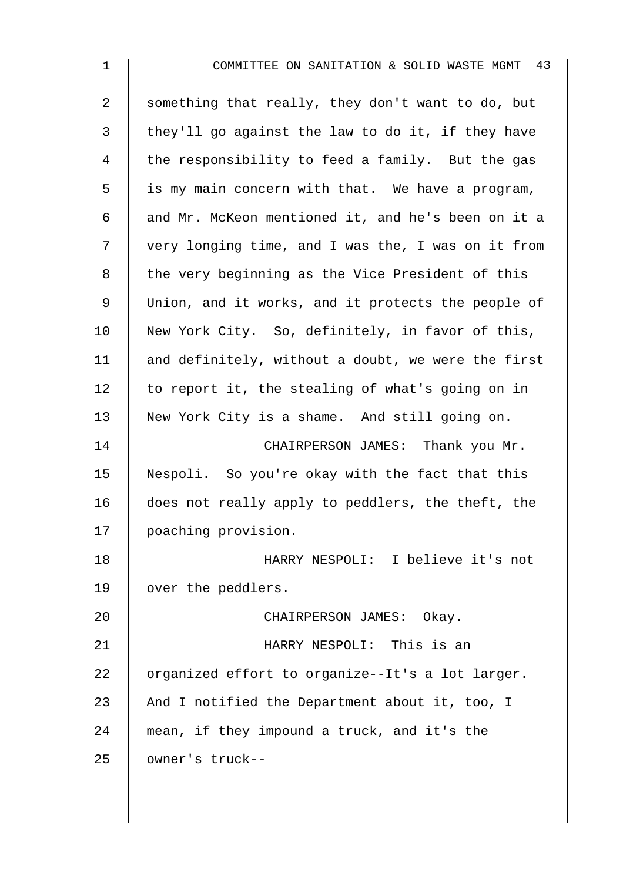| $\mathbf{1}$   | COMMITTEE ON SANITATION & SOLID WASTE MGMT 43      |
|----------------|----------------------------------------------------|
| $\overline{2}$ | something that really, they don't want to do, but  |
| 3              | they'll go against the law to do it, if they have  |
| 4              | the responsibility to feed a family. But the gas   |
| 5              | is my main concern with that. We have a program,   |
| 6              | and Mr. McKeon mentioned it, and he's been on it a |
| 7              | very longing time, and I was the, I was on it from |
| 8              | the very beginning as the Vice President of this   |
| $\mathsf 9$    | Union, and it works, and it protects the people of |
| 10             | New York City. So, definitely, in favor of this,   |
| 11             | and definitely, without a doubt, we were the first |
| 12             | to report it, the stealing of what's going on in   |
| 13             | New York City is a shame. And still going on.      |
| 14             | CHAIRPERSON JAMES: Thank you Mr.                   |
| 15             | Nespoli. So you're okay with the fact that this    |
| 16             | does not really apply to peddlers, the theft, the  |
| 17             | poaching provision.                                |
| 18             | HARRY NESPOLI: I believe it's not                  |
| 19             | over the peddlers.                                 |
| 20             | CHAIRPERSON JAMES: Okay.                           |
| 21             | HARRY NESPOLI: This is an                          |
| 22             | organized effort to organize--It's a lot larger.   |
| 23             | And I notified the Department about it, too, I     |
| 24             | mean, if they impound a truck, and it's the        |
| 25             | owner's truck--                                    |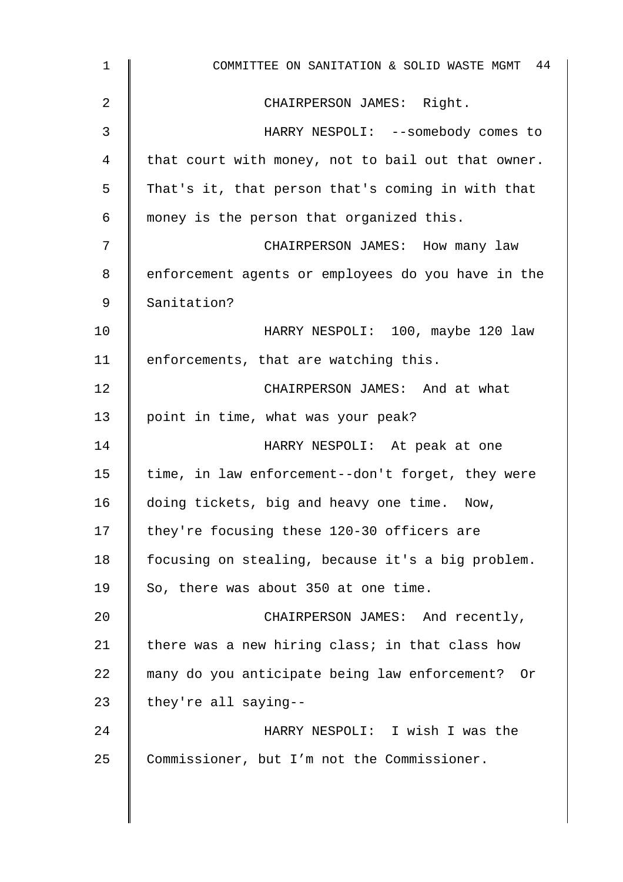| $\mathbf 1$     | COMMITTEE ON SANITATION & SOLID WASTE MGMT 44      |
|-----------------|----------------------------------------------------|
| 2               | CHAIRPERSON JAMES: Right.                          |
| 3               | HARRY NESPOLI: --somebody comes to                 |
| 4               | that court with money, not to bail out that owner. |
| 5               | That's it, that person that's coming in with that  |
| 6               | money is the person that organized this.           |
| 7               | CHAIRPERSON JAMES: How many law                    |
| 8               | enforcement agents or employees do you have in the |
| 9               | Sanitation?                                        |
| 10 <sub>1</sub> | HARRY NESPOLI: 100, maybe 120 law                  |
| 11              | enforcements, that are watching this.              |
| 12              | CHAIRPERSON JAMES: And at what                     |
| 13              | point in time, what was your peak?                 |
| 14              | HARRY NESPOLI: At peak at one                      |
| 15              | time, in law enforcement--don't forget, they were  |
| 16              | doing tickets, big and heavy one time.<br>Now,     |
| 17              | they're focusing these 120-30 officers are         |
| 18              | focusing on stealing, because it's a big problem.  |
| 19              | So, there was about 350 at one time.               |
| 20              | CHAIRPERSON JAMES: And recently,                   |
| 21              | there was a new hiring class; in that class how    |
| 22              | many do you anticipate being law enforcement? Or   |
| 23              | they're all saying--                               |
| 24              | HARRY NESPOLI: I wish I was the                    |
| 25              | Commissioner, but I'm not the Commissioner.        |
|                 |                                                    |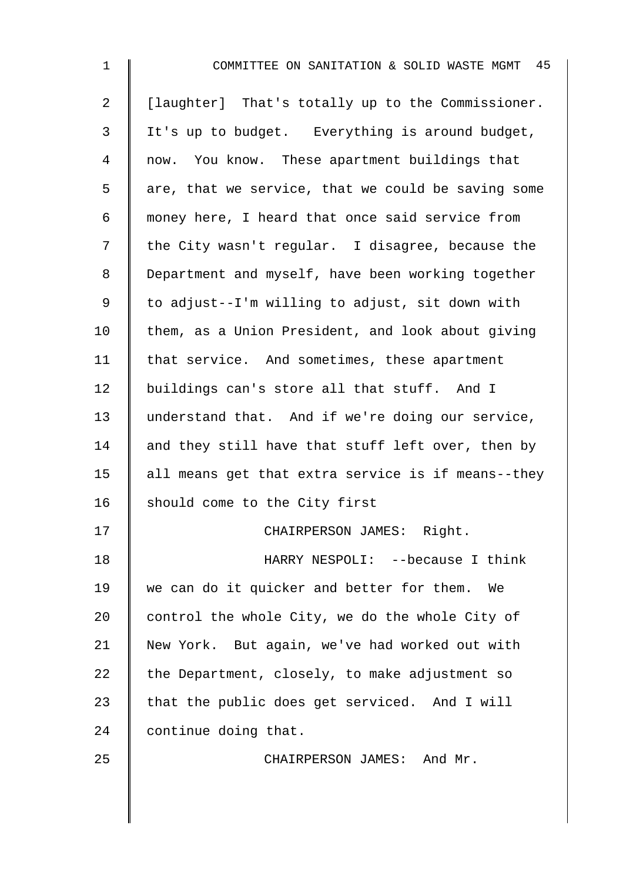| $\mathbf 1$    | COMMITTEE ON SANITATION & SOLID WASTE MGMT 45      |
|----------------|----------------------------------------------------|
| $\overline{2}$ | [laughter] That's totally up to the Commissioner.  |
| 3              | It's up to budget. Everything is around budget,    |
| 4              | now. You know. These apartment buildings that      |
| 5              | are, that we service, that we could be saving some |
| 6              | money here, I heard that once said service from    |
| 7              | the City wasn't regular. I disagree, because the   |
| 8              | Department and myself, have been working together  |
| 9              | to adjust--I'm willing to adjust, sit down with    |
| 10             | them, as a Union President, and look about giving  |
| 11             | that service. And sometimes, these apartment       |
| 12             | buildings can's store all that stuff. And I        |
| 13             | understand that. And if we're doing our service,   |
| 14             | and they still have that stuff left over, then by  |
| 15             | all means get that extra service is if means--they |
| 16             | should come to the City first                      |
| 17             | CHAIRPERSON JAMES: Right.                          |
| 18             | HARRY NESPOLI: -- because I think                  |
| 19             | we can do it quicker and better for them. We       |
| 20             | control the whole City, we do the whole City of    |
| 21             | New York. But again, we've had worked out with     |
| 22             | the Department, closely, to make adjustment so     |
| 23             | that the public does get serviced. And I will      |
| 24             | continue doing that.                               |
| 25             | CHAIRPERSON JAMES: And Mr.                         |
|                |                                                    |
|                |                                                    |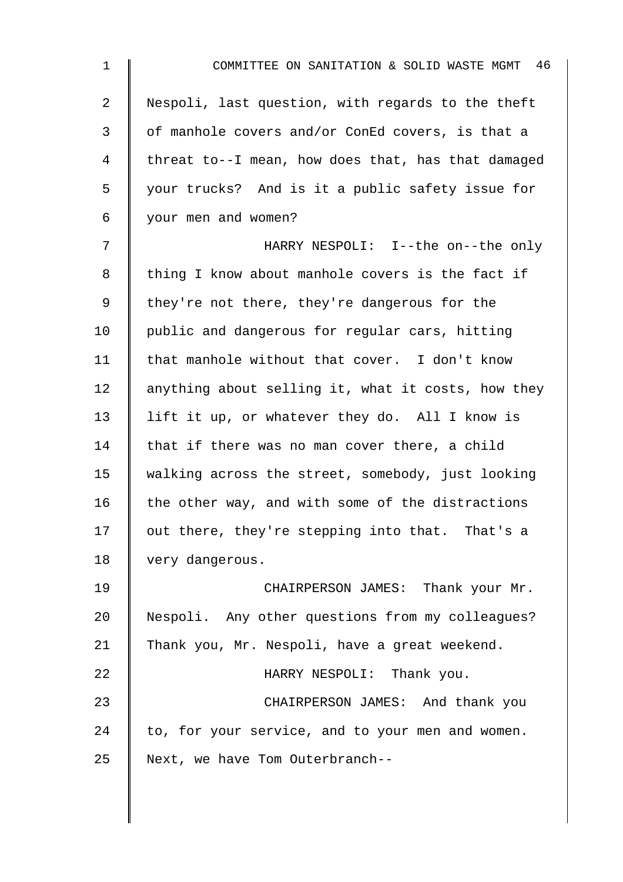| $\mathbf{1}$   | COMMITTEE ON SANITATION & SOLID WASTE MGMT 46      |
|----------------|----------------------------------------------------|
| $\overline{2}$ | Nespoli, last question, with regards to the theft  |
| 3              | of manhole covers and/or ConEd covers, is that a   |
| 4              | threat to--I mean, how does that, has that damaged |
| 5              | your trucks? And is it a public safety issue for   |
| 6              | your men and women?                                |
| 7              | HARRY NESPOLI: I--the on--the only                 |
| 8              | thing I know about manhole covers is the fact if   |
| 9              | they're not there, they're dangerous for the       |
| 10             | public and dangerous for regular cars, hitting     |
| 11             | that manhole without that cover. I don't know      |
| 12             | anything about selling it, what it costs, how they |
| 13             | lift it up, or whatever they do. All I know is     |
| 14             | that if there was no man cover there, a child      |
| 15             | walking across the street, somebody, just looking  |
| 16             | the other way, and with some of the distractions   |
| 17             | out there, they're stepping into that. That's a    |
| 18             | very dangerous.                                    |
| 19             | CHAIRPERSON JAMES: Thank your Mr.                  |
| 20             | Nespoli. Any other questions from my colleagues?   |
| 21             | Thank you, Mr. Nespoli, have a great weekend.      |
| 22             | HARRY NESPOLI: Thank you.                          |
| 23             | CHAIRPERSON JAMES: And thank you                   |
| 24             | to, for your service, and to your men and women.   |
| 25             | Next, we have Tom Outerbranch--                    |
|                |                                                    |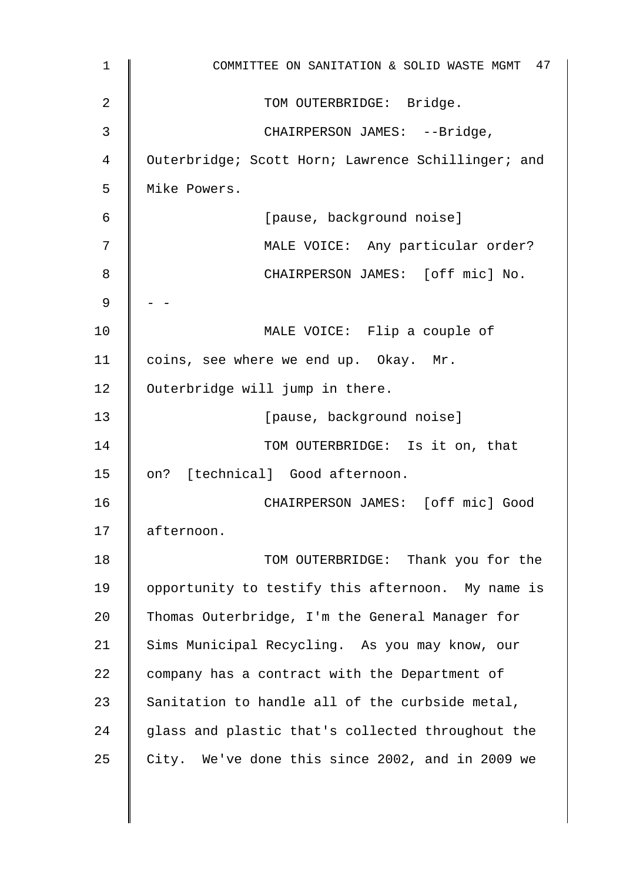| 1  | COMMITTEE ON SANITATION & SOLID WASTE MGMT 47      |
|----|----------------------------------------------------|
| 2  | TOM OUTERBRIDGE: Bridge.                           |
| 3  | CHAIRPERSON JAMES: --Bridge,                       |
| 4  | Outerbridge; Scott Horn; Lawrence Schillinger; and |
| 5  | Mike Powers.                                       |
| 6  | [pause, background noise]                          |
| 7  | MALE VOICE: Any particular order?                  |
| 8  | CHAIRPERSON JAMES: [off mic] No.                   |
| 9  |                                                    |
| 10 | MALE VOICE: Flip a couple of                       |
| 11 | coins, see where we end up. Okay. Mr.              |
| 12 | Outerbridge will jump in there.                    |
| 13 | [pause, background noise]                          |
| 14 | TOM OUTERBRIDGE: Is it on, that                    |
| 15 | on? [technical] Good afternoon.                    |
| 16 | CHAIRPERSON JAMES: [off mic] Good                  |
| 17 | afternoon.                                         |
| 18 | TOM OUTERBRIDGE: Thank you for the                 |
| 19 | opportunity to testify this afternoon. My name is  |
| 20 | Thomas Outerbridge, I'm the General Manager for    |
| 21 | Sims Municipal Recycling. As you may know, our     |
| 22 | company has a contract with the Department of      |
| 23 | Sanitation to handle all of the curbside metal,    |
| 24 | glass and plastic that's collected throughout the  |
| 25 | City. We've done this since 2002, and in 2009 we   |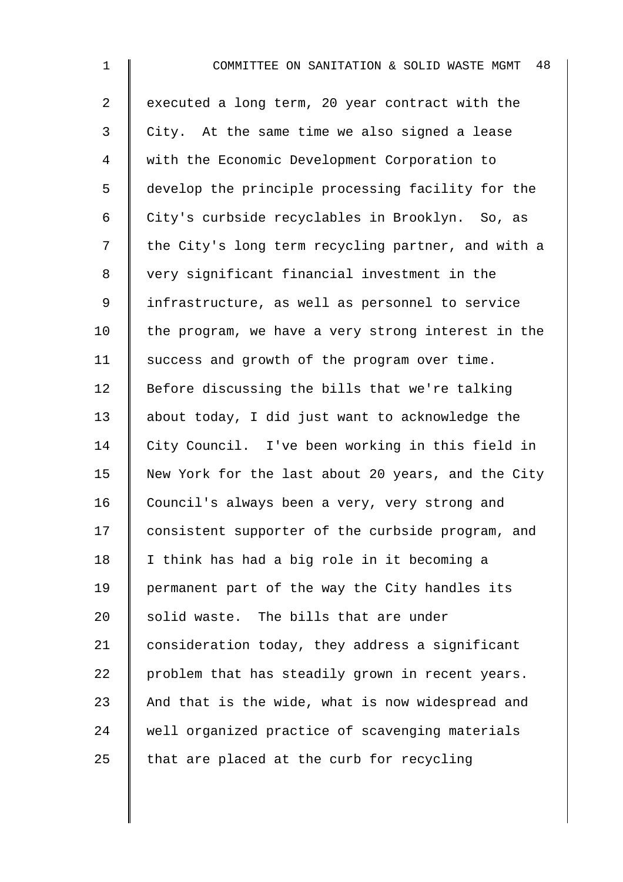| $\mathbf{1}$   | 48<br>COMMITTEE ON SANITATION & SOLID WASTE MGMT   |
|----------------|----------------------------------------------------|
| $\overline{2}$ | executed a long term, 20 year contract with the    |
| 3              | City. At the same time we also signed a lease      |
| 4              | with the Economic Development Corporation to       |
| 5              | develop the principle processing facility for the  |
| 6              | City's curbside recyclables in Brooklyn. So, as    |
| 7              | the City's long term recycling partner, and with a |
| 8              | very significant financial investment in the       |
| 9              | infrastructure, as well as personnel to service    |
| 10             | the program, we have a very strong interest in the |
| 11             | success and growth of the program over time.       |
| 12             | Before discussing the bills that we're talking     |
| 13             | about today, I did just want to acknowledge the    |
| 14             | City Council. I've been working in this field in   |
| 15             | New York for the last about 20 years, and the City |
| 16             | Council's always been a very, very strong and      |
| 17             | consistent supporter of the curbside program, and  |
| 18             | I think has had a big role in it becoming a        |
| 19             | permanent part of the way the City handles its     |
| 20             | solid waste. The bills that are under              |
| 21             | consideration today, they address a significant    |
| 22             | problem that has steadily grown in recent years.   |
| 23             | And that is the wide, what is now widespread and   |
| 24             | well organized practice of scavenging materials    |
| 25             | that are placed at the curb for recycling          |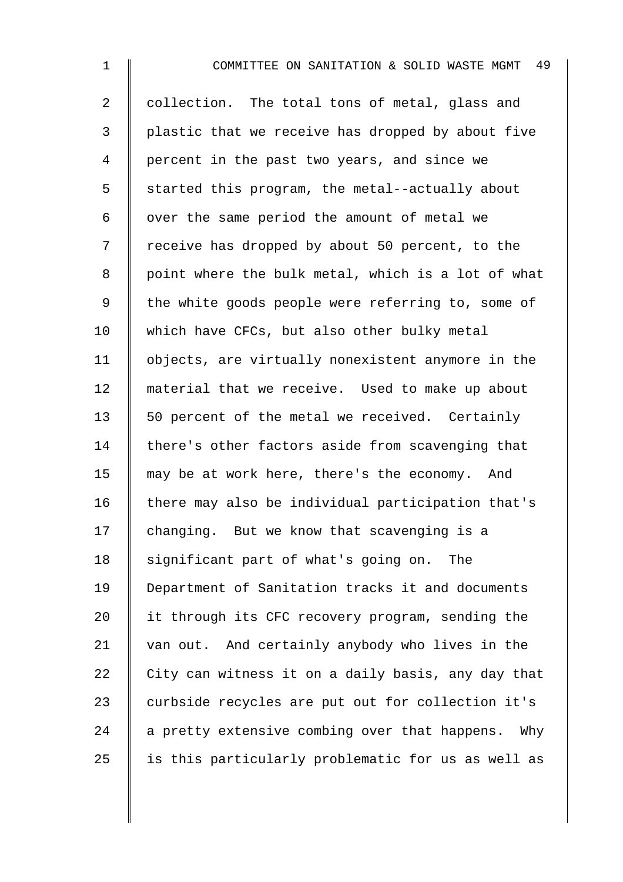| 1              | 49<br>COMMITTEE ON SANITATION & SOLID WASTE MGMT   |
|----------------|----------------------------------------------------|
| $\overline{a}$ | collection. The total tons of metal, glass and     |
| $\mathfrak{Z}$ | plastic that we receive has dropped by about five  |
| 4              | percent in the past two years, and since we        |
| 5              | started this program, the metal--actually about    |
| 6              | over the same period the amount of metal we        |
| 7              | receive has dropped by about 50 percent, to the    |
| 8              | point where the bulk metal, which is a lot of what |
| 9              | the white goods people were referring to, some of  |
| 10             | which have CFCs, but also other bulky metal        |
| 11             | objects, are virtually nonexistent anymore in the  |
| 12             | material that we receive. Used to make up about    |
| 13             | 50 percent of the metal we received. Certainly     |
| 14             | there's other factors aside from scavenging that   |
| 15             | may be at work here, there's the economy. And      |
| 16             | there may also be individual participation that's  |
| 17             | changing. But we know that scavenging is a         |
| 18             | significant part of what's going on.<br>The        |
| 19             | Department of Sanitation tracks it and documents   |
| 20             | it through its CFC recovery program, sending the   |
| 21             | van out. And certainly anybody who lives in the    |
| 22             | City can witness it on a daily basis, any day that |
| 23             | curbside recycles are put out for collection it's  |
| 24             | a pretty extensive combing over that happens. Why  |
| 25             | is this particularly problematic for us as well as |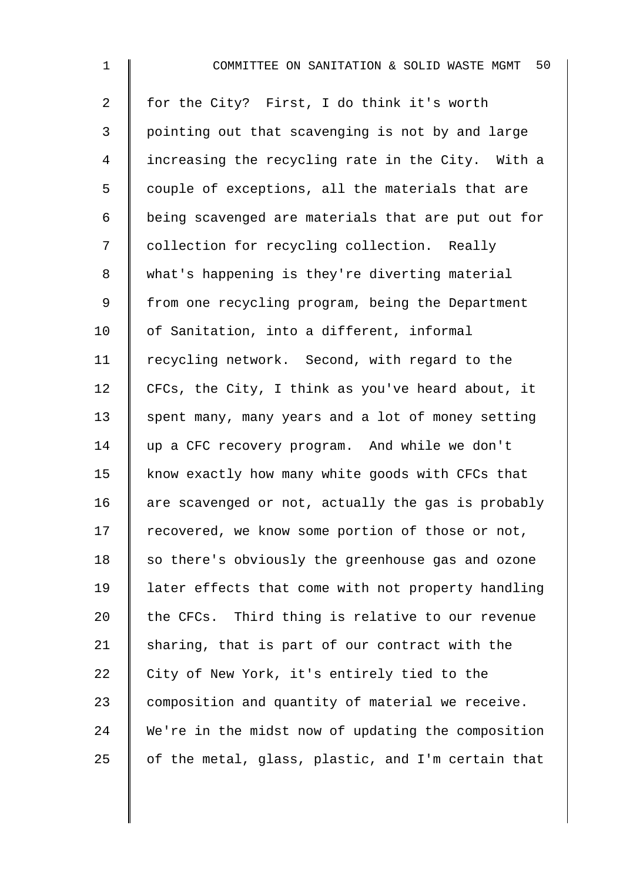| $\mathbf 1$    | 50<br>COMMITTEE ON SANITATION & SOLID WASTE MGMT   |
|----------------|----------------------------------------------------|
| $\overline{2}$ | for the City? First, I do think it's worth         |
| 3              | pointing out that scavenging is not by and large   |
| 4              | increasing the recycling rate in the City. With a  |
| 5              | couple of exceptions, all the materials that are   |
| 6              | being scavenged are materials that are put out for |
| 7              | collection for recycling collection. Really        |
| 8              | what's happening is they're diverting material     |
| 9              | from one recycling program, being the Department   |
| 10             | of Sanitation, into a different, informal          |
| 11             | recycling network. Second, with regard to the      |
| 12             | CFCs, the City, I think as you've heard about, it  |
| 13             | spent many, many years and a lot of money setting  |
| 14             | up a CFC recovery program. And while we don't      |
| 15             | know exactly how many white goods with CFCs that   |
| 16             | are scavenged or not, actually the gas is probably |
| 17             | recovered, we know some portion of those or not,   |
| 18             | so there's obviously the greenhouse gas and ozone  |
| 19             | later effects that come with not property handling |
| 20             | the CFCs. Third thing is relative to our revenue   |
| 21             | sharing, that is part of our contract with the     |
| 22             | City of New York, it's entirely tied to the        |
| 23             | composition and quantity of material we receive.   |
| 24             | We're in the midst now of updating the composition |
| 25             | of the metal, glass, plastic, and I'm certain that |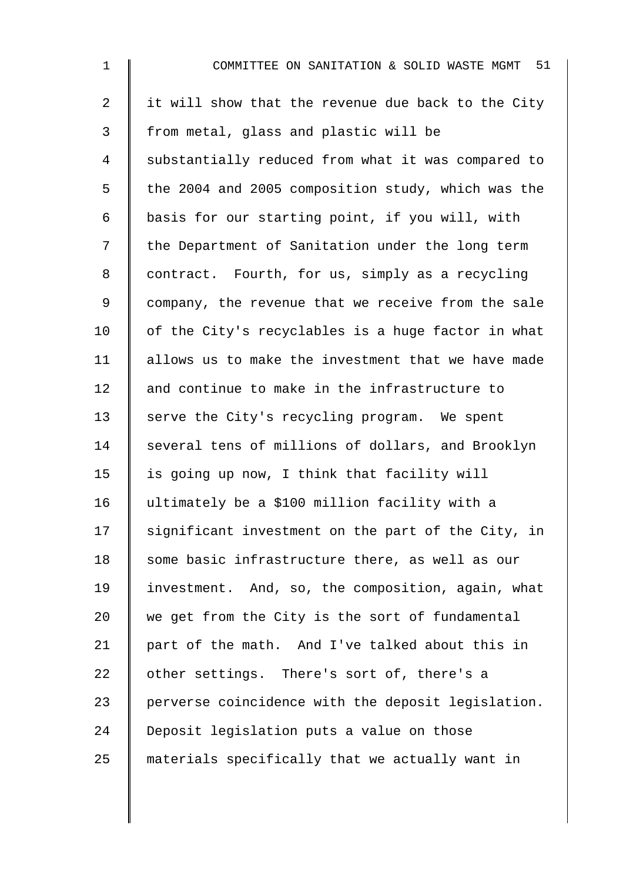| $\mathbf{1}$   | COMMITTEE ON SANITATION & SOLID WASTE MGMT 51      |
|----------------|----------------------------------------------------|
| $\overline{2}$ | it will show that the revenue due back to the City |
| 3              | from metal, glass and plastic will be              |
| 4              | substantially reduced from what it was compared to |
| 5              | the 2004 and 2005 composition study, which was the |
| 6              | basis for our starting point, if you will, with    |
| 7              | the Department of Sanitation under the long term   |
| 8              | contract. Fourth, for us, simply as a recycling    |
| 9              | company, the revenue that we receive from the sale |
| 10             | of the City's recyclables is a huge factor in what |
| 11             | allows us to make the investment that we have made |
| 12             | and continue to make in the infrastructure to      |
| 13             | serve the City's recycling program. We spent       |
| 14             | several tens of millions of dollars, and Brooklyn  |
| 15             | is going up now, I think that facility will        |
| 16             | ultimately be a \$100 million facility with a      |
| 17             | significant investment on the part of the City, in |
| 18             | some basic infrastructure there, as well as our    |
| 19             | investment. And, so, the composition, again, what  |
| 20             | we get from the City is the sort of fundamental    |
| 21             | part of the math. And I've talked about this in    |
| 22             | other settings. There's sort of, there's a         |
| 23             | perverse coincidence with the deposit legislation. |
| 24             | Deposit legislation puts a value on those          |
| 25             | materials specifically that we actually want in    |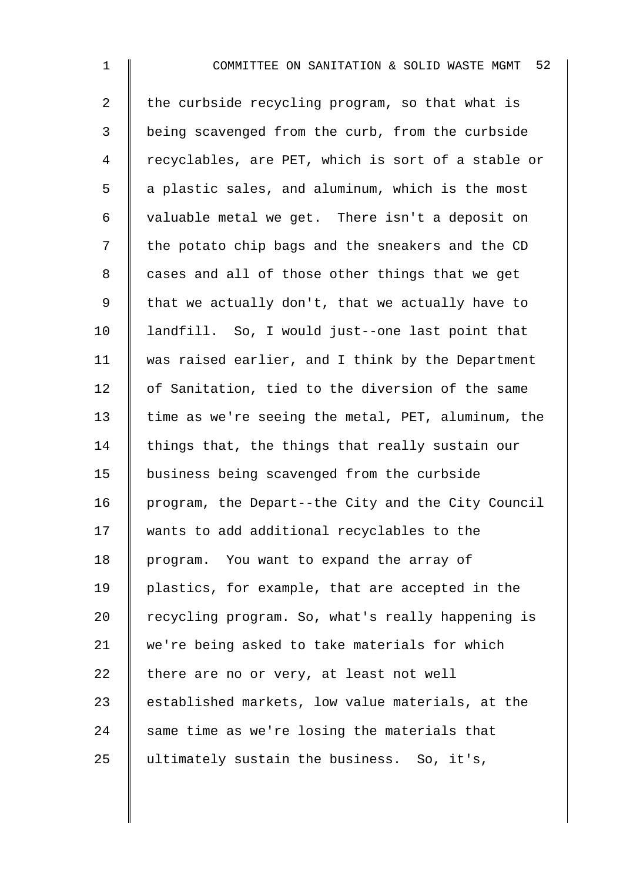2 the curbside recycling program, so that what is 3 being scavenged from the curb, from the curbside 4 recyclables, are PET, which is sort of a stable or  $5 \parallel$  a plastic sales, and aluminum, which is the most 6 valuable metal we get. There isn't a deposit on 7 | the potato chip bags and the sneakers and the CD 8 | cases and all of those other things that we get 9 | that we actually don't, that we actually have to 10 | landfill. So, I would just--one last point that 11 was raised earlier, and I think by the Department 12 of Sanitation, tied to the diversion of the same 13  $\parallel$  time as we're seeing the metal, PET, aluminum, the 14  $\parallel$  things that, the things that really sustain our 15 business being scavenged from the curbside 16 | program, the Depart--the City and the City Council 17 || wants to add additional recyclables to the 18 program. You want to expand the array of 19 plastics, for example, that are accepted in the 20  $\parallel$  recycling program. So, what's really happening is 21 we're being asked to take materials for which 22  $\parallel$  there are no or very, at least not well  $23$  established markets, low value materials, at the 24 same time as we're losing the materials that  $25$  ultimately sustain the business. So, it's,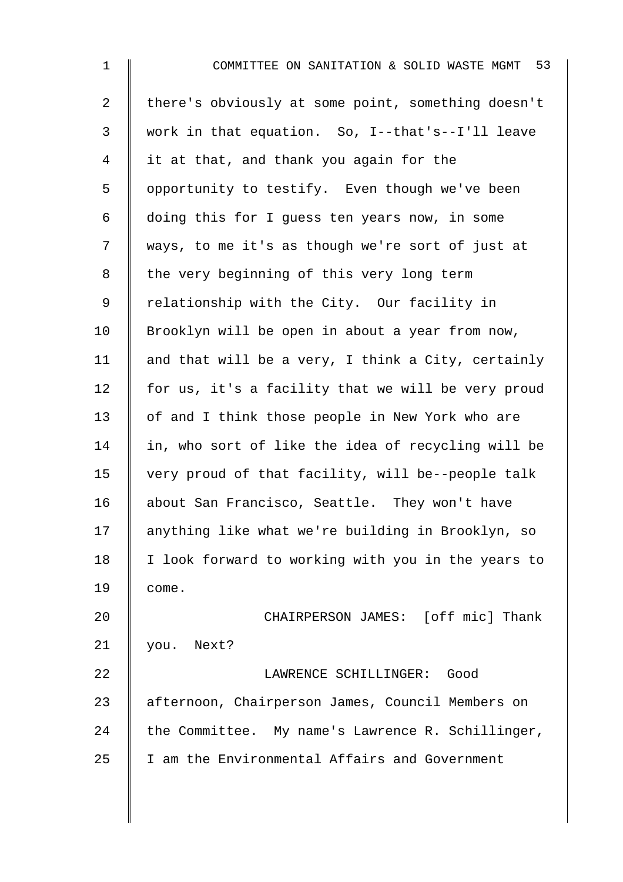| $\mathbf 1$    | COMMITTEE ON SANITATION & SOLID WASTE MGMT 53      |
|----------------|----------------------------------------------------|
| $\overline{2}$ | there's obviously at some point, something doesn't |
| 3              | work in that equation. So, I--that's--I'll leave   |
| 4              | it at that, and thank you again for the            |
| 5              | opportunity to testify. Even though we've been     |
| 6              | doing this for I guess ten years now, in some      |
| 7              | ways, to me it's as though we're sort of just at   |
| 8              | the very beginning of this very long term          |
| 9              | relationship with the City. Our facility in        |
| 10             | Brooklyn will be open in about a year from now,    |
| 11             | and that will be a very, I think a City, certainly |
| 12             | for us, it's a facility that we will be very proud |
| 13             | of and I think those people in New York who are    |
| 14             | in, who sort of like the idea of recycling will be |
| 15             | very proud of that facility, will be--people talk  |
| 16             | about San Francisco, Seattle. They won't have      |
| 17             | anything like what we're building in Brooklyn, so  |
| 18             | I look forward to working with you in the years to |
| 19             | come.                                              |
| 20             | CHAIRPERSON JAMES: [off mic] Thank                 |
| 21             | Next?<br>you.                                      |
| 22             | LAWRENCE SCHILLINGER:<br>Good                      |
| 23             | afternoon, Chairperson James, Council Members on   |
| 24             | the Committee. My name's Lawrence R. Schillinger,  |
| 25             | I am the Environmental Affairs and Government      |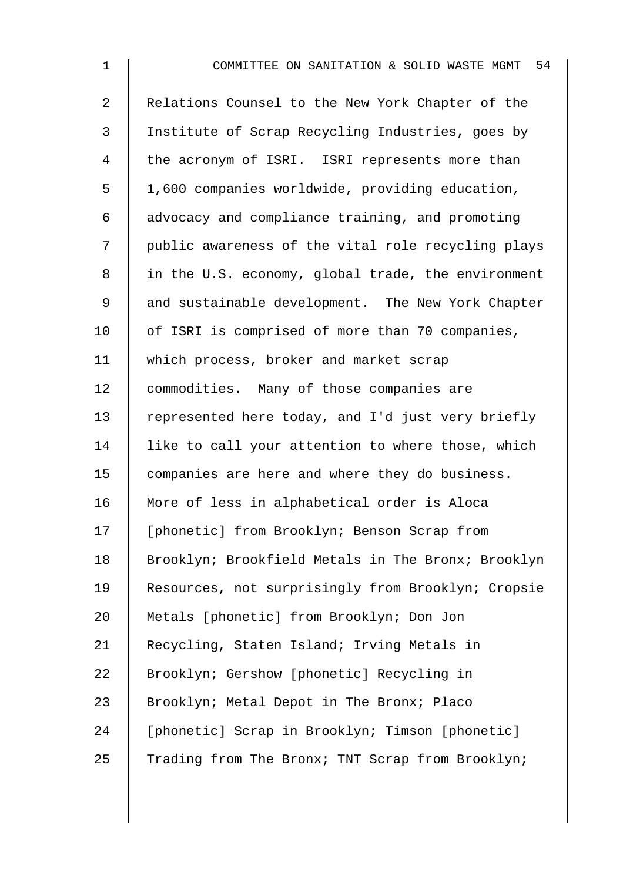| $\mathbf{1}$   | 54<br>COMMITTEE ON SANITATION & SOLID WASTE MGMT   |
|----------------|----------------------------------------------------|
| $\overline{2}$ | Relations Counsel to the New York Chapter of the   |
| 3              | Institute of Scrap Recycling Industries, goes by   |
| 4              | the acronym of ISRI. ISRI represents more than     |
| 5              | 1,600 companies worldwide, providing education,    |
| 6              | advocacy and compliance training, and promoting    |
| 7              | public awareness of the vital role recycling plays |
| 8              | in the U.S. economy, global trade, the environment |
| 9              | and sustainable development. The New York Chapter  |
| 10             | of ISRI is comprised of more than 70 companies,    |
| 11             | which process, broker and market scrap             |
| 12             | commodities. Many of those companies are           |
| 13             | represented here today, and I'd just very briefly  |
| 14             | like to call your attention to where those, which  |
| 15             | companies are here and where they do business.     |
| 16             | More of less in alphabetical order is Aloca        |
| 17             | [phonetic] from Brooklyn; Benson Scrap from        |
| 18             | Brooklyn; Brookfield Metals in The Bronx; Brooklyn |
| 19             | Resources, not surprisingly from Brooklyn; Cropsie |
| 20             | Metals [phonetic] from Brooklyn; Don Jon           |
| 21             | Recycling, Staten Island; Irving Metals in         |
| 22             | Brooklyn; Gershow [phonetic] Recycling in          |
| 23             | Brooklyn; Metal Depot in The Bronx; Placo          |
| 24             | [phonetic] Scrap in Brooklyn; Timson [phonetic]    |
| 25             | Trading from The Bronx; TNT Scrap from Brooklyn;   |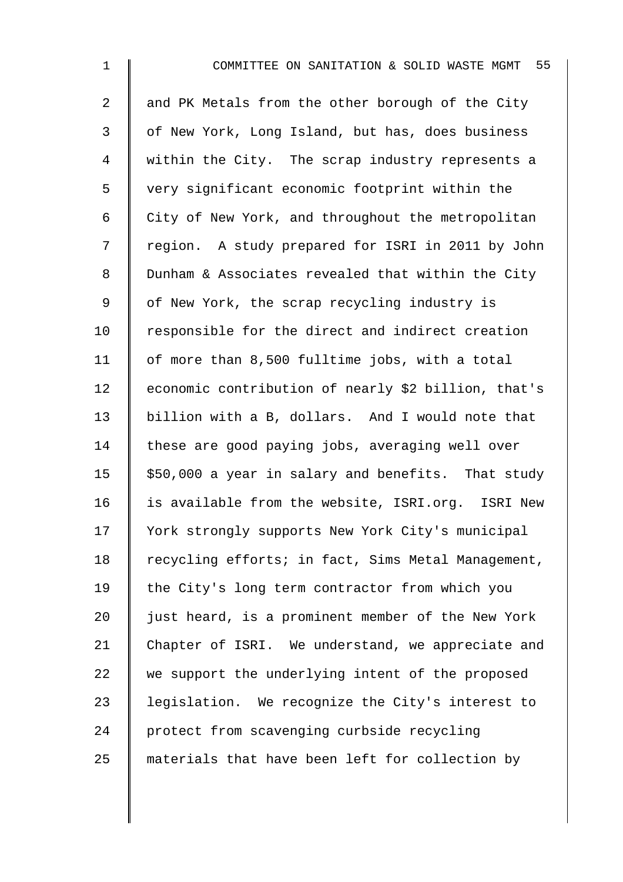| $\mathbf 1$    | 55<br>COMMITTEE ON SANITATION & SOLID WASTE MGMT    |
|----------------|-----------------------------------------------------|
| $\overline{2}$ | and PK Metals from the other borough of the City    |
| $\mathfrak{Z}$ | of New York, Long Island, but has, does business    |
| 4              | within the City. The scrap industry represents a    |
| 5              | very significant economic footprint within the      |
| 6              | City of New York, and throughout the metropolitan   |
| 7              | region. A study prepared for ISRI in 2011 by John   |
| 8              | Dunham & Associates revealed that within the City   |
| $\mathsf 9$    | of New York, the scrap recycling industry is        |
| 10             | responsible for the direct and indirect creation    |
| 11             | of more than 8,500 fulltime jobs, with a total      |
| 12             | economic contribution of nearly \$2 billion, that's |
| 13             | billion with a B, dollars. And I would note that    |
| 14             | these are good paying jobs, averaging well over     |
| 15             | \$50,000 a year in salary and benefits. That study  |
| 16             | is available from the website, ISRI.org. ISRI New   |
| 17             | York strongly supports New York City's municipal    |
| 18             | recycling efforts; in fact, Sims Metal Management,  |
| 19             | the City's long term contractor from which you      |
| 20             | just heard, is a prominent member of the New York   |
| 21             | Chapter of ISRI. We understand, we appreciate and   |
| 22             | we support the underlying intent of the proposed    |
| 23             | legislation. We recognize the City's interest to    |
| 24             | protect from scavenging curbside recycling          |
| 25             | materials that have been left for collection by     |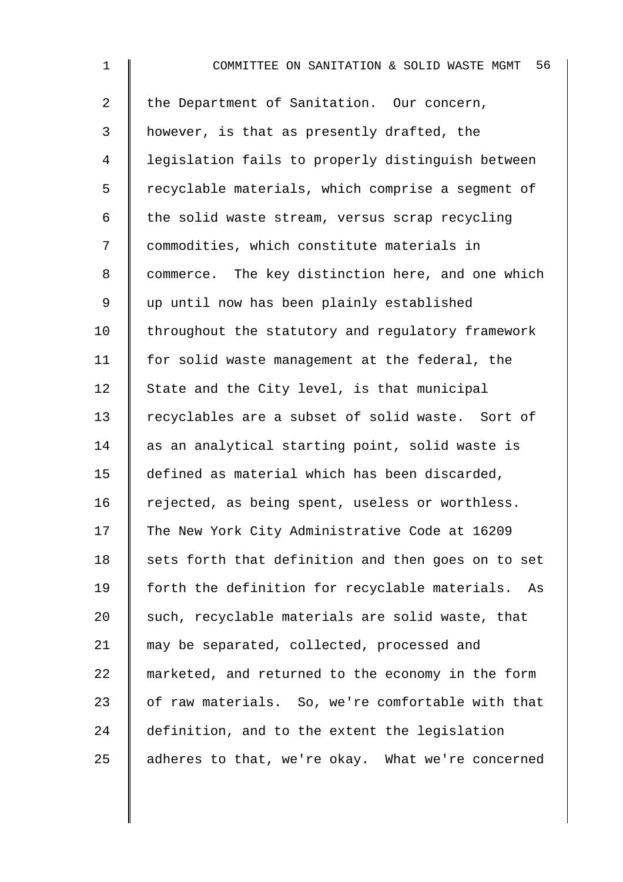| $\mathbf 1$    | 56<br>COMMITTEE ON SANITATION & SOLID WASTE MGMT   |
|----------------|----------------------------------------------------|
| $\overline{2}$ | the Department of Sanitation. Our concern,         |
| 3              | however, is that as presently drafted, the         |
| 4              | legislation fails to properly distinguish between  |
| 5              | recyclable materials, which comprise a segment of  |
| 6              | the solid waste stream, versus scrap recycling     |
| 7              | commodities, which constitute materials in         |
| 8              | commerce. The key distinction here, and one which  |
| 9              | up until now has been plainly established          |
| 10             | throughout the statutory and regulatory framework  |
| 11             | for solid waste management at the federal, the     |
| 12             | State and the City level, is that municipal        |
| 13             | recyclables are a subset of solid waste. Sort of   |
| 14             | as an analytical starting point, solid waste is    |
| 15             | defined as material which has been discarded,      |
| 16             | rejected, as being spent, useless or worthless.    |
| 17             | The New York City Administrative Code at 16209     |
| 18             | sets forth that definition and then goes on to set |
| 19             | forth the definition for recyclable materials. As  |
| 20             | such, recyclable materials are solid waste, that   |
| 21             | may be separated, collected, processed and         |
| 22             | marketed, and returned to the economy in the form  |
| 23             | of raw materials. So, we're comfortable with that  |
| 24             | definition, and to the extent the legislation      |
| 25             | adheres to that, we're okay. What we're concerned  |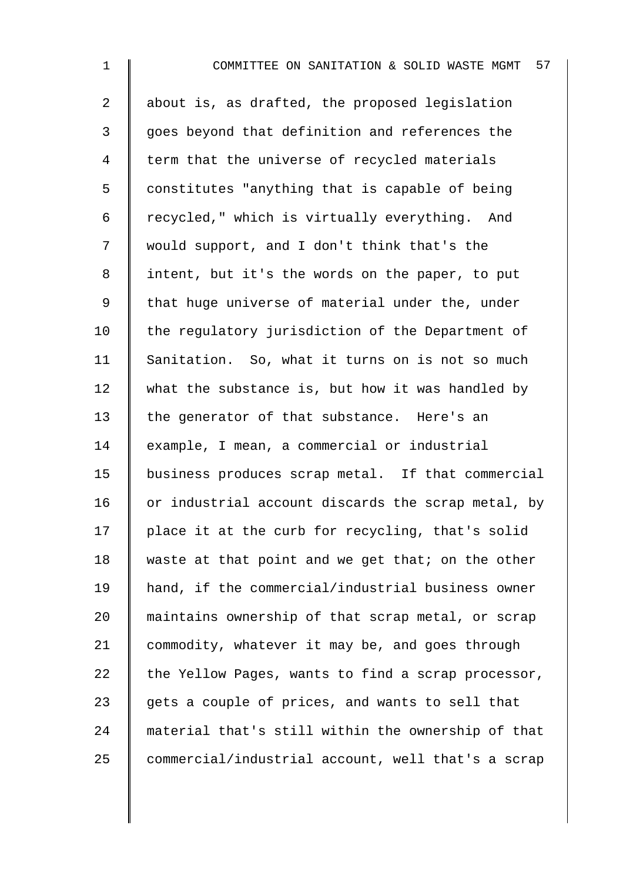2  $\parallel$  about is, as drafted, the proposed legislation 3 || goes beyond that definition and references the 4 | term that the universe of recycled materials  $5 \parallel$  constitutes "anything that is capable of being 6  $\parallel$  recycled," which is virtually everything. And 7 would support, and I don't think that's the 8 | intent, but it's the words on the paper, to put 9 || that huge universe of material under the, under  $10$  the regulatory jurisdiction of the Department of 11 Sanitation. So, what it turns on is not so much 12 what the substance is, but how it was handled by 13 the generator of that substance. Here's an 14 example, I mean, a commercial or industrial 15 business produces scrap metal. If that commercial 16  $\parallel$  or industrial account discards the scrap metal, by  $17$  | place it at the curb for recycling, that's solid 18 waste at that point and we get that; on the other 19 hand, if the commercial/industrial business owner 20 maintains ownership of that scrap metal, or scrap 21 commodity, whatever it may be, and goes through 22  $\parallel$  the Yellow Pages, wants to find a scrap processor, 23  $\parallel$  gets a couple of prices, and wants to sell that 24 material that's still within the ownership of that 25 commercial/industrial account, well that's a scrap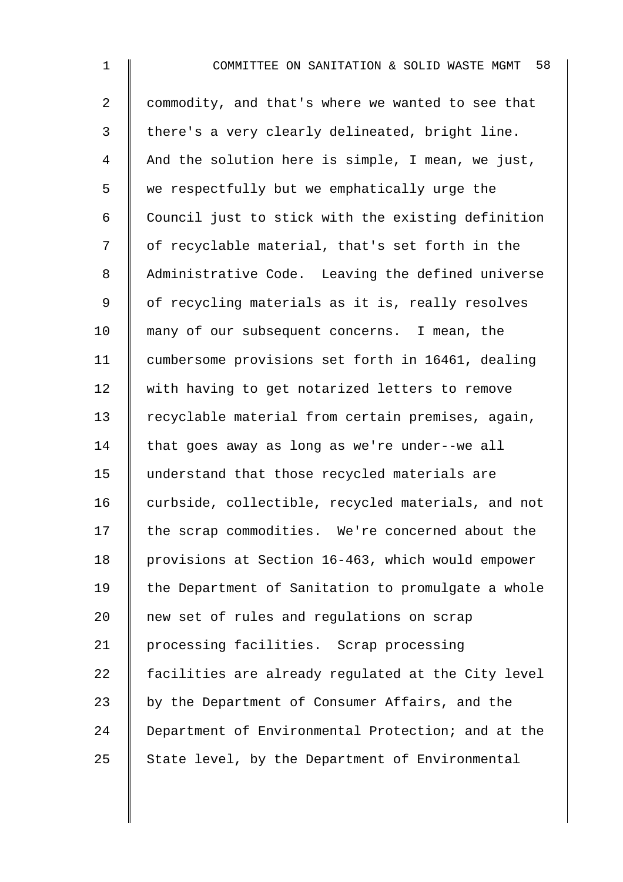| $\mathbf 1$    | 58<br>COMMITTEE ON SANITATION & SOLID WASTE MGMT   |
|----------------|----------------------------------------------------|
| $\overline{2}$ | commodity, and that's where we wanted to see that  |
| 3              | there's a very clearly delineated, bright line.    |
| 4              | And the solution here is simple, I mean, we just,  |
| 5              | we respectfully but we emphatically urge the       |
| 6              | Council just to stick with the existing definition |
| 7              | of recyclable material, that's set forth in the    |
| 8              | Administrative Code. Leaving the defined universe  |
| 9              | of recycling materials as it is, really resolves   |
| 10             | many of our subsequent concerns. I mean, the       |
| 11             | cumbersome provisions set forth in 16461, dealing  |
| 12             | with having to get notarized letters to remove     |
| 13             | recyclable material from certain premises, again,  |
| 14             | that goes away as long as we're under--we all      |
| 15             | understand that those recycled materials are       |
| 16             | curbside, collectible, recycled materials, and not |
| 17             | the scrap commodities. We're concerned about the   |
| 18             | provisions at Section 16-463, which would empower  |
| 19             | the Department of Sanitation to promulgate a whole |
| 20             | new set of rules and regulations on scrap          |
| 21             | processing facilities. Scrap processing            |
| 22             | facilities are already regulated at the City level |
| 23             | by the Department of Consumer Affairs, and the     |
| 24             | Department of Environmental Protection; and at the |
| 25             | State level, by the Department of Environmental    |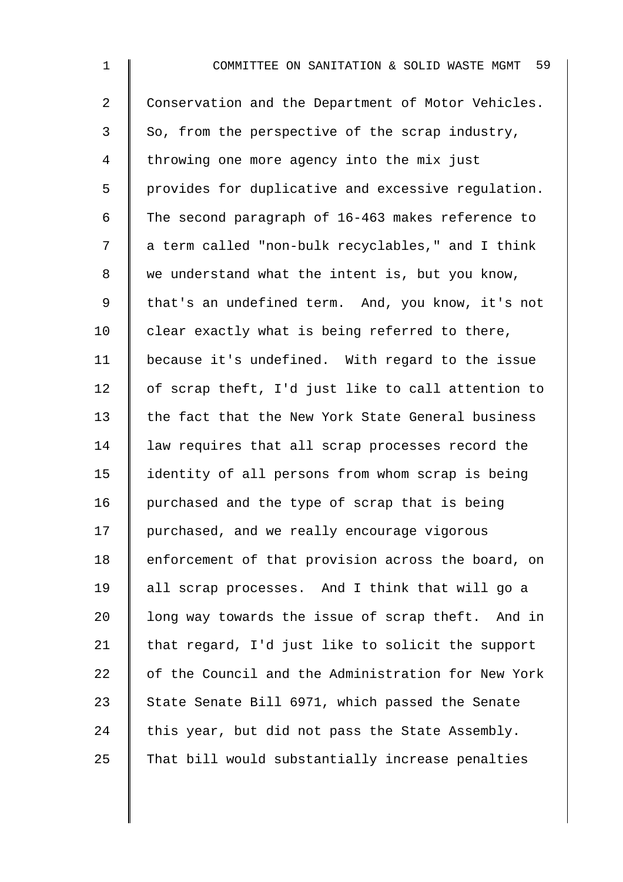| $\mathbf 1$    | -59<br>COMMITTEE ON SANITATION & SOLID WASTE MGMT  |
|----------------|----------------------------------------------------|
| $\overline{a}$ | Conservation and the Department of Motor Vehicles. |
| $\mathfrak{Z}$ | So, from the perspective of the scrap industry,    |
| 4              | throwing one more agency into the mix just         |
| 5              | provides for duplicative and excessive regulation. |
| 6              | The second paragraph of 16-463 makes reference to  |
| 7              | a term called "non-bulk recyclables," and I think  |
| 8              | we understand what the intent is, but you know,    |
| 9              | that's an undefined term. And, you know, it's not  |
| 10             | clear exactly what is being referred to there,     |
| 11             | because it's undefined. With regard to the issue   |
| 12             | of scrap theft, I'd just like to call attention to |
| 13             | the fact that the New York State General business  |
| 14             | law requires that all scrap processes record the   |
| 15             | identity of all persons from whom scrap is being   |
| 16             | purchased and the type of scrap that is being      |
| 17             | purchased, and we really encourage vigorous        |
| 18             | enforcement of that provision across the board, on |
| 19             | all scrap processes. And I think that will go a    |
| 20             | long way towards the issue of scrap theft. And in  |
| 21             | that regard, I'd just like to solicit the support  |
| 22             | of the Council and the Administration for New York |
| 23             | State Senate Bill 6971, which passed the Senate    |
| 24             | this year, but did not pass the State Assembly.    |
| 25             | That bill would substantially increase penalties   |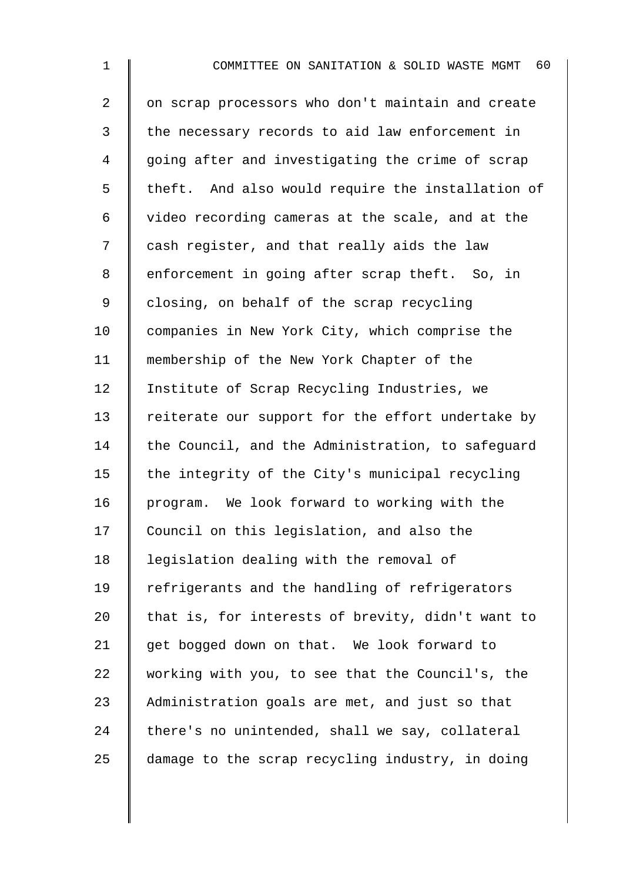1 **I** COMMITTEE ON SANITATION & SOLID WASTE MGMT 60 2 | on scrap processors who don't maintain and create 3 the necessary records to aid law enforcement in 4 going after and investigating the crime of scrap 5 | theft. And also would require the installation of 6 video recording cameras at the scale, and at the 7 | cash register, and that really aids the law 8 | enforcement in going after scrap theft. So, in 9 closing, on behalf of the scrap recycling 10 | companies in New York City, which comprise the 11 membership of the New York Chapter of the 12 | Institute of Scrap Recycling Industries, we 13 Teiterate our support for the effort undertake by 14  $\parallel$  the Council, and the Administration, to safequard 15  $\parallel$  the integrity of the City's municipal recycling 16 program. We look forward to working with the 17 Council on this legislation, and also the 18 | legislation dealing with the removal of 19 Tefrigerants and the handling of refrigerators 20  $\parallel$  that is, for interests of brevity, didn't want to 21 get bogged down on that. We look forward to 22 working with you, to see that the Council's, the 23 Administration goals are met, and just so that  $24$  there's no unintended, shall we say, collateral  $25$  damage to the scrap recycling industry, in doing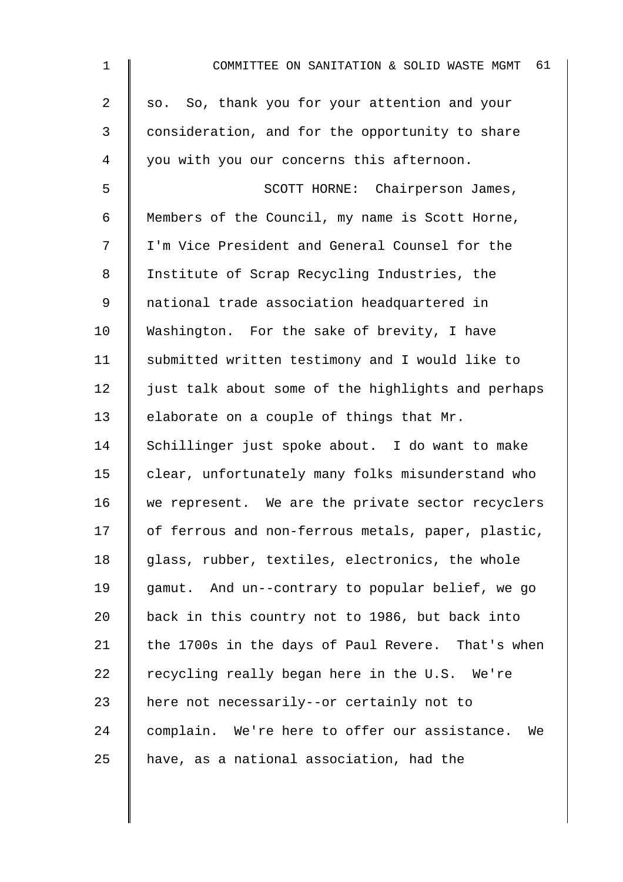| $\mathbf 1$ | 61<br>COMMITTEE ON SANITATION & SOLID WASTE MGMT   |
|-------------|----------------------------------------------------|
| 2           | so. So, thank you for your attention and your      |
| 3           | consideration, and for the opportunity to share    |
| 4           | you with you our concerns this afternoon.          |
| 5           | SCOTT HORNE: Chairperson James,                    |
| 6           | Members of the Council, my name is Scott Horne,    |
| 7           | I'm Vice President and General Counsel for the     |
| 8           | Institute of Scrap Recycling Industries, the       |
| 9           | national trade association headquartered in        |
| 10          | Washington. For the sake of brevity, I have        |
| 11          | submitted written testimony and I would like to    |
| 12          | just talk about some of the highlights and perhaps |
| 13          | elaborate on a couple of things that Mr.           |
| 14          | Schillinger just spoke about. I do want to make    |
| 15          | clear, unfortunately many folks misunderstand who  |
| 16          | we represent. We are the private sector recyclers  |
| 17          | of ferrous and non-ferrous metals, paper, plastic, |
| 18          | glass, rubber, textiles, electronics, the whole    |
| 19          | gamut. And un--contrary to popular belief, we go   |
| 20          | back in this country not to 1986, but back into    |
| 21          | the 1700s in the days of Paul Revere. That's when  |
| 22          | recycling really began here in the U.S. We're      |
| 23          | here not necessarily--or certainly not to          |
| 24          | complain. We're here to offer our assistance. We   |
| 25          | have, as a national association, had the           |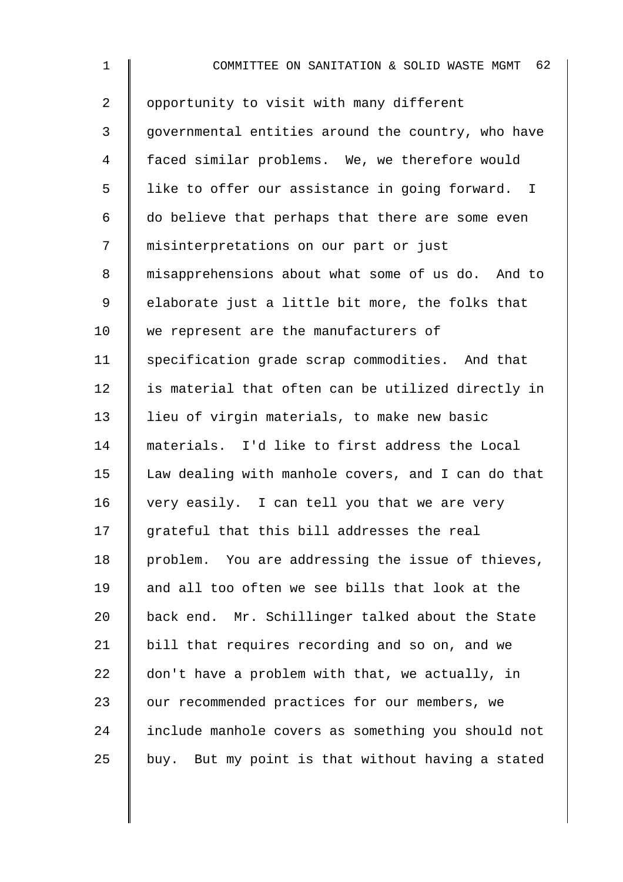| $\mathbf 1$    | COMMITTEE ON SANITATION & SOLID WASTE MGMT 62      |
|----------------|----------------------------------------------------|
| $\overline{2}$ | opportunity to visit with many different           |
| 3              | governmental entities around the country, who have |
| 4              | faced similar problems. We, we therefore would     |
| 5              | like to offer our assistance in going forward. I   |
| 6              | do believe that perhaps that there are some even   |
| 7              | misinterpretations on our part or just             |
| 8              | misapprehensions about what some of us do. And to  |
| 9              | elaborate just a little bit more, the folks that   |
| 10             | we represent are the manufacturers of              |
| 11             | specification grade scrap commodities. And that    |
| 12             | is material that often can be utilized directly in |
| 13             | lieu of virgin materials, to make new basic        |
| 14             | materials. I'd like to first address the Local     |
| 15             | Law dealing with manhole covers, and I can do that |
| 16             | very easily. I can tell you that we are very       |
| 17             | grateful that this bill addresses the real         |
| 18             | problem. You are addressing the issue of thieves,  |
| 19             | and all too often we see bills that look at the    |
| 20             | back end. Mr. Schillinger talked about the State   |
| 21             | bill that requires recording and so on, and we     |
| 22             | don't have a problem with that, we actually, in    |
| 23             | our recommended practices for our members, we      |
| 24             | include manhole covers as something you should not |
| 25             | buy. But my point is that without having a stated  |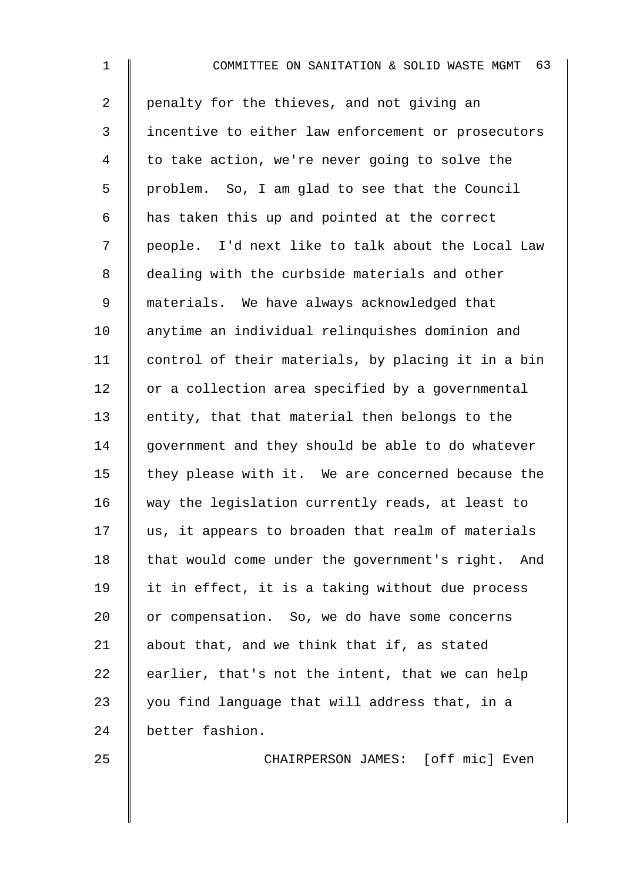1 **I** COMMITTEE ON SANITATION & SOLID WASTE MGMT 63 2 penalty for the thieves, and not giving an 3 incentive to either law enforcement or prosecutors 4 to take action, we're never going to solve the 5 problem. So, I am glad to see that the Council  $6 \parallel$  has taken this up and pointed at the correct 7 people. I'd next like to talk about the Local Law 8 dealing with the curbside materials and other 9 materials. We have always acknowledged that 10 | anytime an individual relinquishes dominion and 11 control of their materials, by placing it in a bin  $12$  or a collection area specified by a governmental 13  $\parallel$  entity, that that material then belongs to the 14 government and they should be able to do whatever 15  $\parallel$  they please with it. We are concerned because the 16 way the legislation currently reads, at least to  $17$   $\parallel$  us, it appears to broaden that realm of materials  $18$  | that would come under the government's right. And 19  $\parallel$  it in effect, it is a taking without due process 20 or compensation. So, we do have some concerns 21 about that, and we think that if, as stated 22 earlier, that's not the intent, that we can help 23  $\parallel$  you find language that will address that, in a 24 better fashion.

25 CHAIRPERSON JAMES: [off mic] Even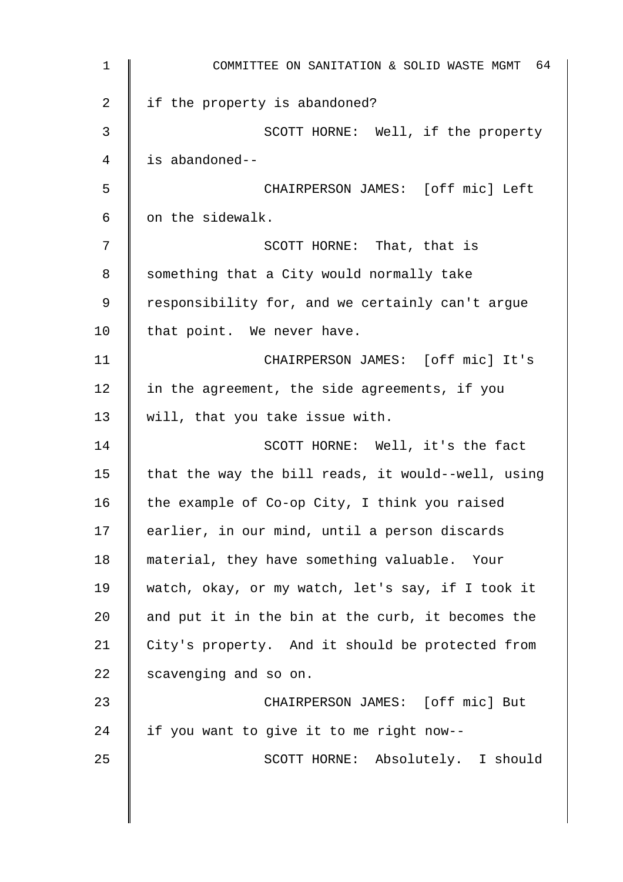| 1  | COMMITTEE ON SANITATION & SOLID WASTE MGMT 64      |
|----|----------------------------------------------------|
| 2  | if the property is abandoned?                      |
| 3  | SCOTT HORNE: Well, if the property                 |
| 4  | is abandoned--                                     |
| 5  | CHAIRPERSON JAMES: [off mic] Left                  |
| 6  | on the sidewalk.                                   |
| 7  | SCOTT HORNE: That, that is                         |
| 8  | something that a City would normally take          |
| 9  | responsibility for, and we certainly can't argue   |
| 10 | that point. We never have.                         |
| 11 | CHAIRPERSON JAMES: [off mic] It's                  |
| 12 | in the agreement, the side agreements, if you      |
| 13 | will, that you take issue with.                    |
| 14 | SCOTT HORNE: Well, it's the fact                   |
| 15 | that the way the bill reads, it would--well, using |
| 16 | the example of Co-op City, I think you raised      |
| 17 | earlier, in our mind, until a person discards      |
| 18 | material, they have something valuable. Your       |
| 19 | watch, okay, or my watch, let's say, if I took it  |
| 20 | and put it in the bin at the curb, it becomes the  |
| 21 | City's property. And it should be protected from   |
| 22 | scavenging and so on.                              |
| 23 | CHAIRPERSON JAMES: [off mic] But                   |
| 24 | if you want to give it to me right now--           |
| 25 | SCOTT HORNE: Absolutely. I should                  |
|    |                                                    |
|    |                                                    |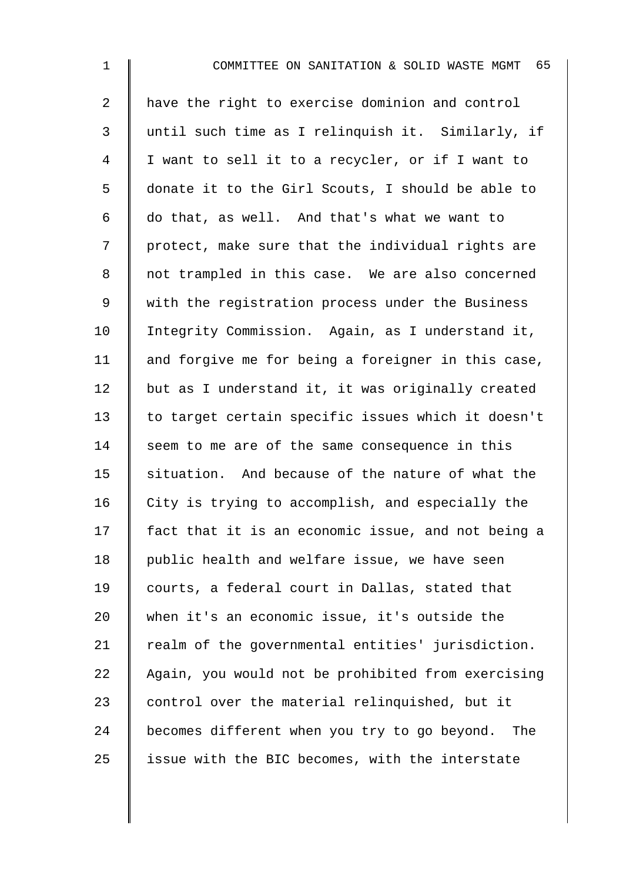2 have the right to exercise dominion and control 3 until such time as I relinquish it. Similarly, if 4 I want to sell it to a recycler, or if I want to 5 donate it to the Girl Scouts, I should be able to 6  $\parallel$  do that, as well. And that's what we want to 7 | protect, make sure that the individual rights are 8 || not trampled in this case. We are also concerned 9 With the registration process under the Business 10 | Integrity Commission. Again, as I understand it, 11  $\parallel$  and forgive me for being a foreigner in this case,  $12$  but as I understand it, it was originally created 13 to target certain specific issues which it doesn't 14 | seem to me are of the same consequence in this  $15$  situation. And because of the nature of what the 16 City is trying to accomplish, and especially the 17 fact that it is an economic issue, and not being a 18 | public health and welfare issue, we have seen 19 courts, a federal court in Dallas, stated that 20 when it's an economic issue, it's outside the  $21$  | realm of the governmental entities' jurisdiction. 22 Again, you would not be prohibited from exercising 23  $\parallel$  control over the material relinquished, but it 24 becomes different when you try to go beyond. The  $25$  | issue with the BIC becomes, with the interstate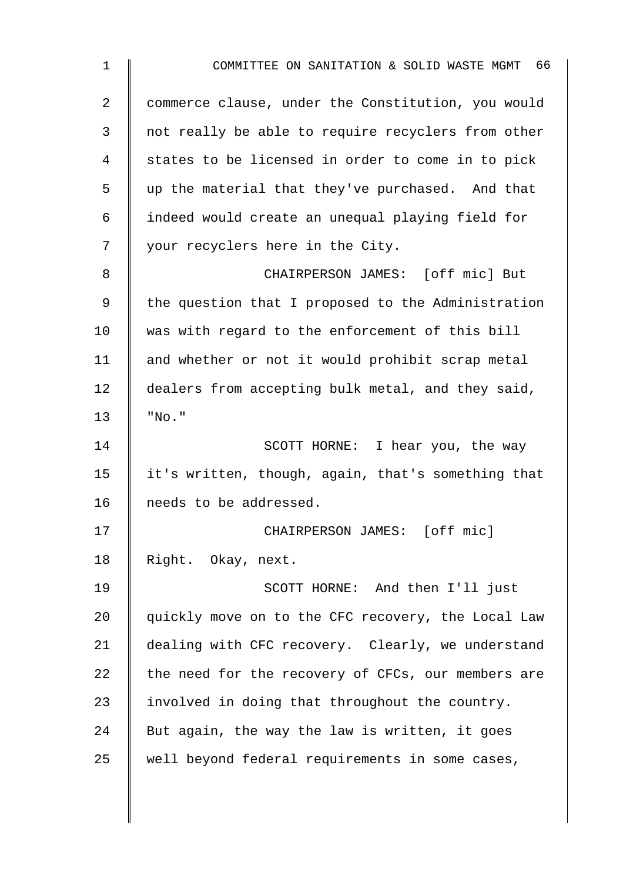| 1  | COMMITTEE ON SANITATION & SOLID WASTE MGMT 66      |
|----|----------------------------------------------------|
| 2  | commerce clause, under the Constitution, you would |
| 3  | not really be able to require recyclers from other |
| 4  | states to be licensed in order to come in to pick  |
| 5  | up the material that they've purchased. And that   |
| 6  | indeed would create an unequal playing field for   |
| 7  | your recyclers here in the City.                   |
| 8  | CHAIRPERSON JAMES: [off mic] But                   |
| 9  | the question that I proposed to the Administration |
| 10 | was with regard to the enforcement of this bill    |
| 11 | and whether or not it would prohibit scrap metal   |
| 12 | dealers from accepting bulk metal, and they said,  |
| 13 | "NO. "                                             |
| 14 | SCOTT HORNE: I hear you, the way                   |
| 15 | it's written, though, again, that's something that |
| 16 | needs to be addressed.                             |
| 17 | CHAIRPERSON JAMES: [off mic]                       |
| 18 | Right. Okay, next.                                 |
| 19 | SCOTT HORNE: And then I'll just                    |
| 20 | quickly move on to the CFC recovery, the Local Law |
| 21 | dealing with CFC recovery. Clearly, we understand  |
| 22 | the need for the recovery of CFCs, our members are |
| 23 | involved in doing that throughout the country.     |
| 24 | But again, the way the law is written, it goes     |
| 25 | well beyond federal requirements in some cases,    |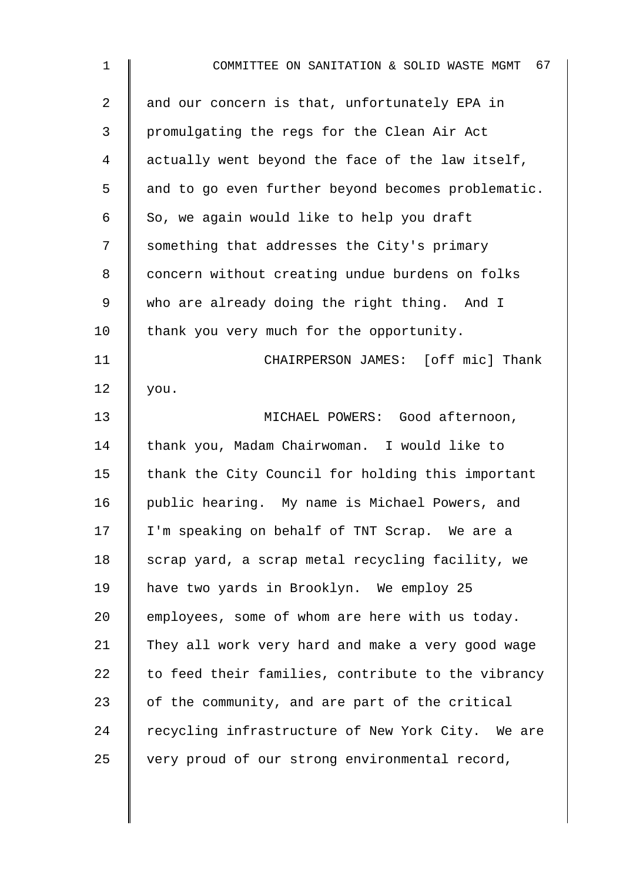| $\mathbf 1$ | 67<br>COMMITTEE ON SANITATION & SOLID WASTE MGMT   |
|-------------|----------------------------------------------------|
| 2           | and our concern is that, unfortunately EPA in      |
| 3           | promulgating the regs for the Clean Air Act        |
| 4           | actually went beyond the face of the law itself,   |
| 5           | and to go even further beyond becomes problematic. |
| 6           | So, we again would like to help you draft          |
| 7           | something that addresses the City's primary        |
| 8           | concern without creating undue burdens on folks    |
| 9           | who are already doing the right thing. And I       |
| 10          | thank you very much for the opportunity.           |
| 11          | CHAIRPERSON JAMES: [off mic] Thank                 |
| 12          | you.                                               |
| 13          | MICHAEL POWERS: Good afternoon,                    |
| 14          | thank you, Madam Chairwoman. I would like to       |
| 15          | thank the City Council for holding this important  |
| 16          | public hearing. My name is Michael Powers, and     |
| 17          | I'm speaking on behalf of TNT Scrap. We are a      |
| 18          | scrap yard, a scrap metal recycling facility, we   |
| 19          | have two yards in Brooklyn. We employ 25           |
| 20          | employees, some of whom are here with us today.    |
| 21          | They all work very hard and make a very good wage  |
| 22          | to feed their families, contribute to the vibrancy |
| 23          | of the community, and are part of the critical     |
| 24          | recycling infrastructure of New York City. We are  |
| 25          | very proud of our strong environmental record,     |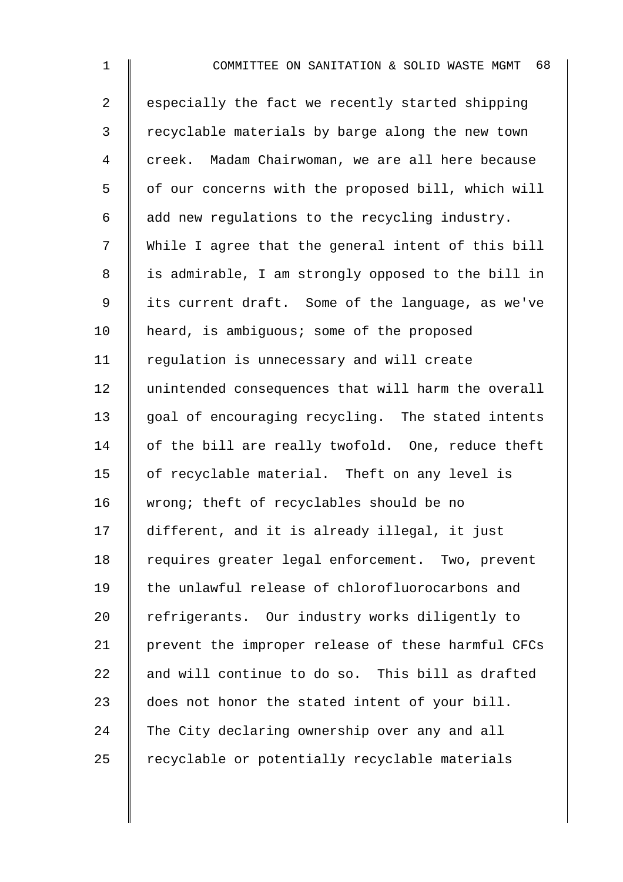| $\mathbf 1$    | COMMITTEE ON SANITATION & SOLID WASTE MGMT 68      |
|----------------|----------------------------------------------------|
| $\overline{2}$ | especially the fact we recently started shipping   |
| 3              | recyclable materials by barge along the new town   |
| 4              | creek. Madam Chairwoman, we are all here because   |
| 5              | of our concerns with the proposed bill, which will |
| 6              | add new regulations to the recycling industry.     |
| 7              | While I agree that the general intent of this bill |
| 8              | is admirable, I am strongly opposed to the bill in |
| 9              | its current draft. Some of the language, as we've  |
| 10             | heard, is ambiguous; some of the proposed          |
| 11             | regulation is unnecessary and will create          |
| 12             | unintended consequences that will harm the overall |
| 13             | goal of encouraging recycling. The stated intents  |
| 14             | of the bill are really twofold. One, reduce theft  |
| 15             | of recyclable material. Theft on any level is      |
| 16             | wrong; theft of recyclables should be no           |
| 17             | different, and it is already illegal, it just      |
| 18             | requires greater legal enforcement. Two, prevent   |
| 19             | the unlawful release of chlorofluorocarbons and    |
| 20             | refrigerants. Our industry works diligently to     |
| 21             | prevent the improper release of these harmful CFCs |
| 22             | and will continue to do so. This bill as drafted   |
| 23             | does not honor the stated intent of your bill.     |
| 24             | The City declaring ownership over any and all      |
| 25             | recyclable or potentially recyclable materials     |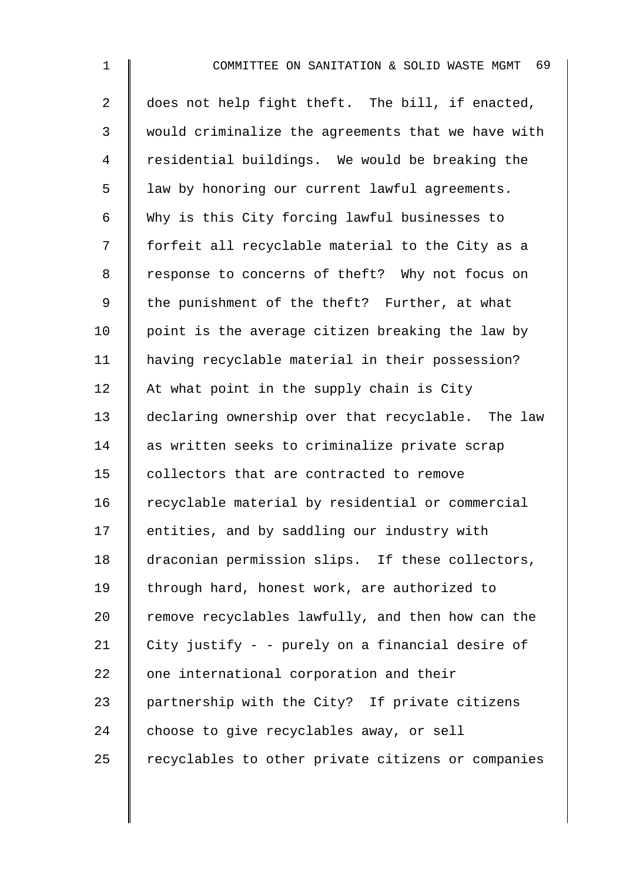| $\mathbf 1$    | 69<br>COMMITTEE ON SANITATION & SOLID WASTE MGMT   |
|----------------|----------------------------------------------------|
| $\overline{2}$ | does not help fight theft. The bill, if enacted,   |
| 3              | would criminalize the agreements that we have with |
| 4              | residential buildings. We would be breaking the    |
| 5              | law by honoring our current lawful agreements.     |
| 6              | Why is this City forcing lawful businesses to      |
| 7              | forfeit all recyclable material to the City as a   |
| 8              | response to concerns of theft? Why not focus on    |
| 9              | the punishment of the theft? Further, at what      |
| 10             | point is the average citizen breaking the law by   |
| 11             | having recyclable material in their possession?    |
| 12             | At what point in the supply chain is City          |
| 13             | declaring ownership over that recyclable. The law  |
| 14             | as written seeks to criminalize private scrap      |
| 15             | collectors that are contracted to remove           |
| 16             | recyclable material by residential or commercial   |
| $17 \,$        | entities, and by saddling our industry with        |
| 18             | draconian permission slips. If these collectors,   |
| 19             | through hard, honest work, are authorized to       |
| 20             | remove recyclables lawfully, and then how can the  |
| 21             | City justify - - purely on a financial desire of   |
| 22             | one international corporation and their            |
| 23             | partnership with the City? If private citizens     |
| 24             | choose to give recyclables away, or sell           |
| 25             | recyclables to other private citizens or companies |
|                |                                                    |
|                |                                                    |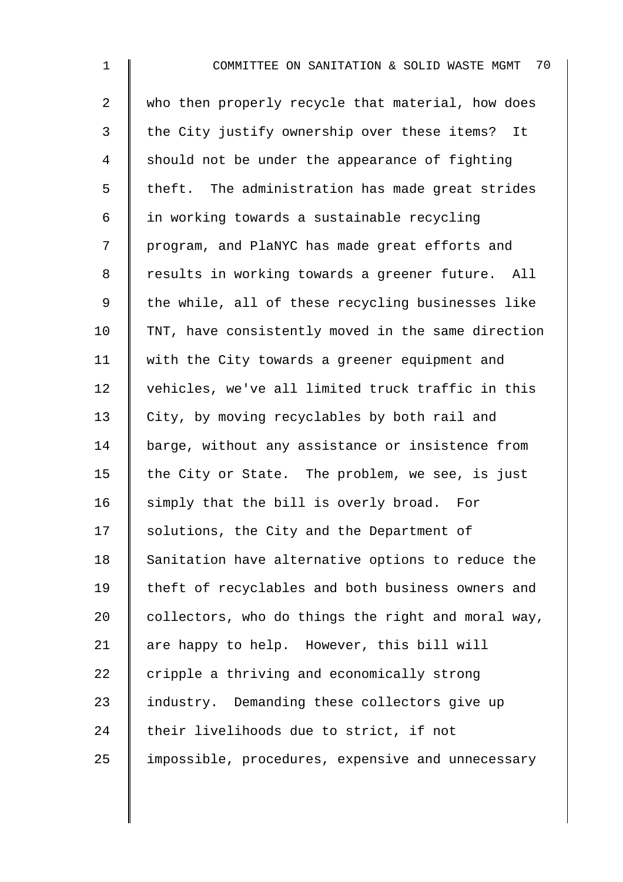| $\mathbf{1}$   | 70<br>COMMITTEE ON SANITATION & SOLID WASTE MGMT   |
|----------------|----------------------------------------------------|
| $\overline{a}$ | who then properly recycle that material, how does  |
| $\mathfrak{Z}$ | the City justify ownership over these items? It    |
| 4              | should not be under the appearance of fighting     |
| 5              | theft. The administration has made great strides   |
| 6              | in working towards a sustainable recycling         |
| 7              | program, and PlaNYC has made great efforts and     |
| 8              | results in working towards a greener future. All   |
| 9              | the while, all of these recycling businesses like  |
| 10             | TNT, have consistently moved in the same direction |
| 11             | with the City towards a greener equipment and      |
| 12             | vehicles, we've all limited truck traffic in this  |
| 13             | City, by moving recyclables by both rail and       |
| 14             | barge, without any assistance or insistence from   |
| 15             | the City or State. The problem, we see, is just    |
| 16             | simply that the bill is overly broad. For          |
| 17             | solutions, the City and the Department of          |
| 18             | Sanitation have alternative options to reduce the  |
| 19             | theft of recyclables and both business owners and  |
| 20             | collectors, who do things the right and moral way, |
| 21             | are happy to help. However, this bill will         |
| 22             | cripple a thriving and economically strong         |
| 23             | industry. Demanding these collectors give up       |
| 24             | their livelihoods due to strict, if not            |
| 25             | impossible, procedures, expensive and unnecessary  |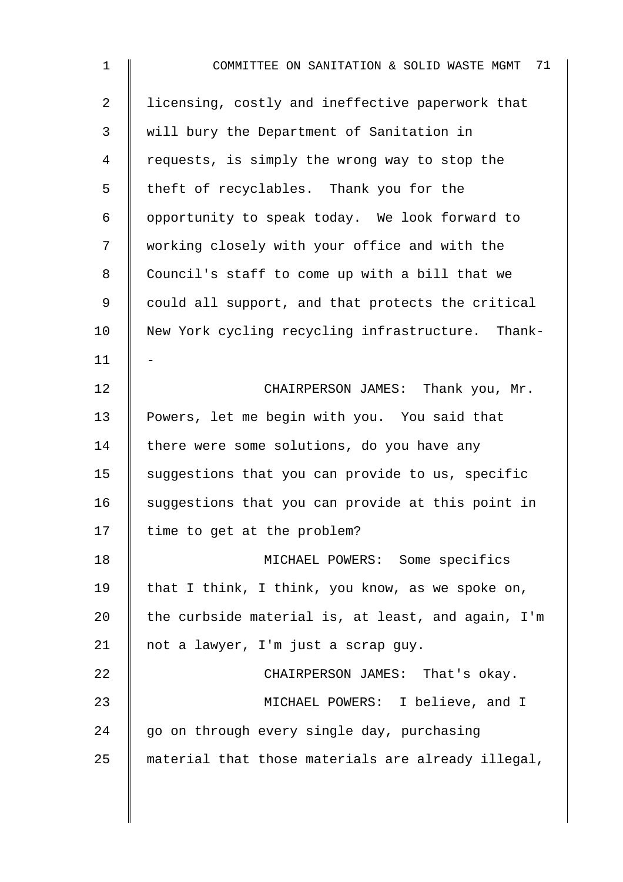| $\mathbf{1}$ | 71<br>COMMITTEE ON SANITATION & SOLID WASTE MGMT   |
|--------------|----------------------------------------------------|
| 2            | licensing, costly and ineffective paperwork that   |
| 3            | will bury the Department of Sanitation in          |
| 4            | requests, is simply the wrong way to stop the      |
| 5            | theft of recyclables. Thank you for the            |
| 6            | opportunity to speak today. We look forward to     |
| 7            | working closely with your office and with the      |
| 8            | Council's staff to come up with a bill that we     |
| 9            | could all support, and that protects the critical  |
| 10           | New York cycling recycling infrastructure. Thank-  |
| 11           |                                                    |
| 12           | CHAIRPERSON JAMES: Thank you, Mr.                  |
| 13           | Powers, let me begin with you. You said that       |
| 14           | there were some solutions, do you have any         |
| 15           | suggestions that you can provide to us, specific   |
| 16           | suggestions that you can provide at this point in  |
| 17           | time to get at the problem?                        |
| 18           | MICHAEL POWERS: Some specifics                     |
| 19           | that I think, I think, you know, as we spoke on,   |
| 20           | the curbside material is, at least, and again, I'm |
| 21           | not a lawyer, I'm just a scrap guy.                |
| 22           | CHAIRPERSON JAMES: That's okay.                    |
| 23           | MICHAEL POWERS: I believe, and I                   |
| 24           | go on through every single day, purchasing         |
| 25           | material that those materials are already illegal, |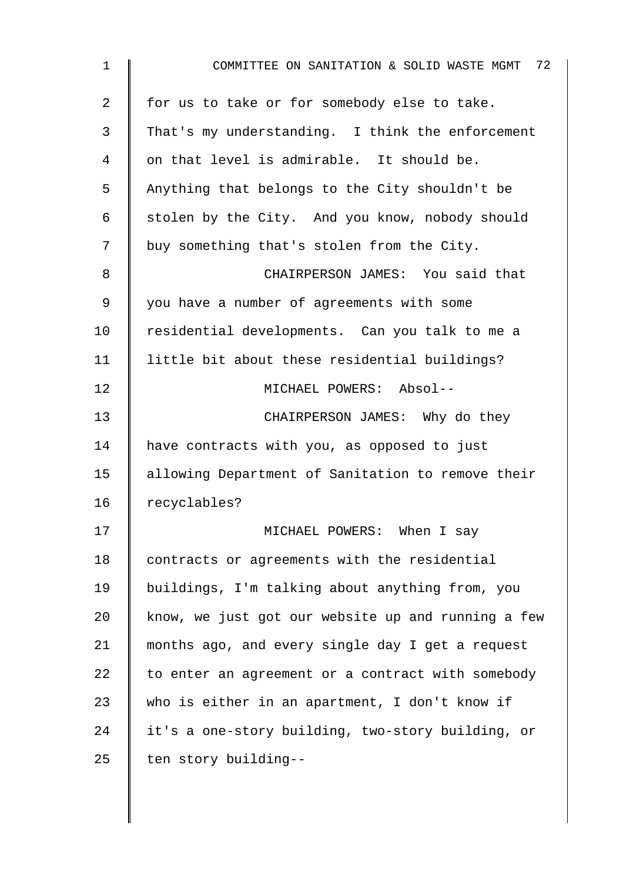| $\mathbf 1$ | 72<br>COMMITTEE ON SANITATION & SOLID WASTE MGMT   |
|-------------|----------------------------------------------------|
| 2           | for us to take or for somebody else to take.       |
| 3           | That's my understanding. I think the enforcement   |
| 4           | on that level is admirable. It should be.          |
| 5           | Anything that belongs to the City shouldn't be     |
| 6           | stolen by the City. And you know, nobody should    |
| 7           | buy something that's stolen from the City.         |
| 8           | CHAIRPERSON JAMES: You said that                   |
| 9           | you have a number of agreements with some          |
| 10          | residential developments. Can you talk to me a     |
| 11          | little bit about these residential buildings?      |
| 12          | MICHAEL POWERS: Absol--                            |
| 13          | CHAIRPERSON JAMES: Why do they                     |
| 14          | have contracts with you, as opposed to just        |
| 15          | allowing Department of Sanitation to remove their  |
| 16          | recyclables?                                       |
| 17          | MICHAEL POWERS: When I say                         |
| 18          | contracts or agreements with the residential       |
| 19          | buildings, I'm talking about anything from, you    |
| 20          | know, we just got our website up and running a few |
| 21          | months ago, and every single day I get a request   |
| 22          | to enter an agreement or a contract with somebody  |
| 23          | who is either in an apartment, I don't know if     |
| 24          | it's a one-story building, two-story building, or  |
| 25          | ten story building--                               |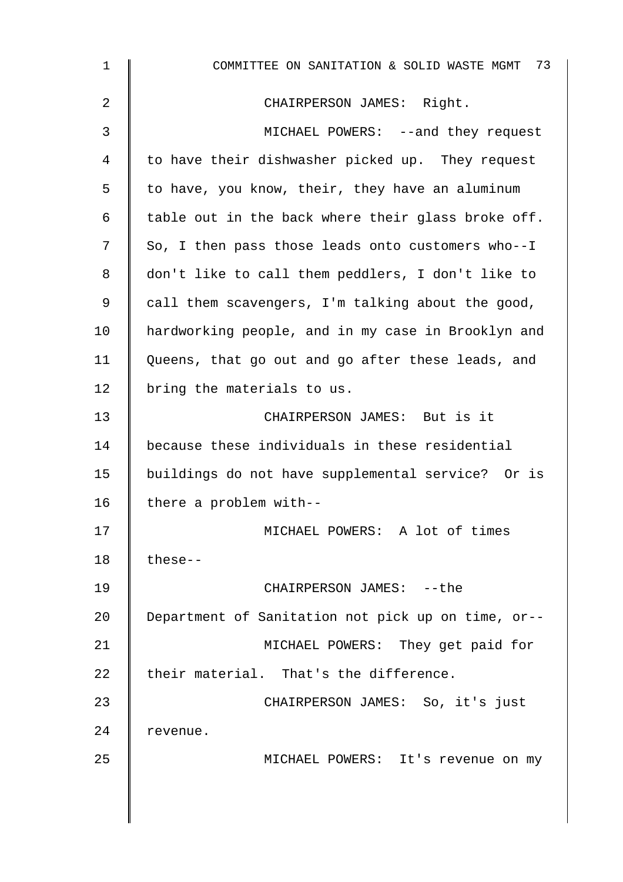| $\mathbf 1$ | COMMITTEE ON SANITATION & SOLID WASTE MGMT 73      |
|-------------|----------------------------------------------------|
| 2           | CHAIRPERSON JAMES: Right.                          |
| 3           | MICHAEL POWERS: --and they request                 |
| 4           | to have their dishwasher picked up. They request   |
| 5           | to have, you know, their, they have an aluminum    |
| 6           | table out in the back where their glass broke off. |
| 7           | So, I then pass those leads onto customers who--I  |
| 8           | don't like to call them peddlers, I don't like to  |
| 9           | call them scavengers, I'm talking about the good,  |
| 10          | hardworking people, and in my case in Brooklyn and |
| 11          | Queens, that go out and go after these leads, and  |
| 12          | bring the materials to us.                         |
| 13          | CHAIRPERSON JAMES: But is it                       |
| 14          | because these individuals in these residential     |
| 15          | buildings do not have supplemental service? Or is  |
| 16          | there a problem with--                             |
| 17          | MICHAEL POWERS: A lot of times                     |
| 18          | $these--$                                          |
| 19          | CHAIRPERSON JAMES: -- the                          |
| 20          | Department of Sanitation not pick up on time, or-- |
| 21          | MICHAEL POWERS: They get paid for                  |
| 22          | their material. That's the difference.             |
| 23          | CHAIRPERSON JAMES: So, it's just                   |
| 24          | revenue.                                           |
| 25          | MICHAEL POWERS: It's revenue on my                 |
|             |                                                    |
|             |                                                    |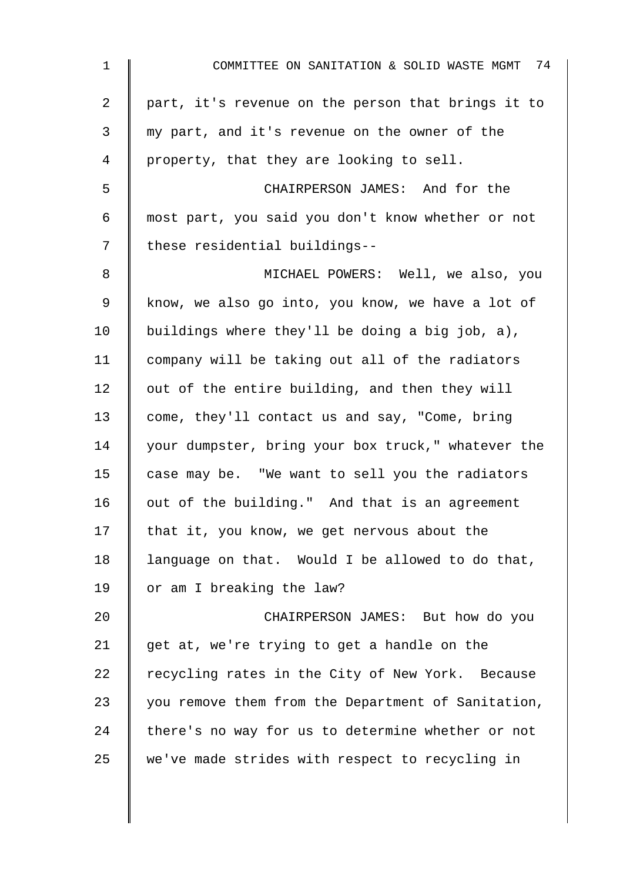| $\mathbf{1}$    | COMMITTEE ON SANITATION & SOLID WASTE MGMT 74      |
|-----------------|----------------------------------------------------|
| $\overline{2}$  | part, it's revenue on the person that brings it to |
| 3               | my part, and it's revenue on the owner of the      |
| 4               | property, that they are looking to sell.           |
| 5               | CHAIRPERSON JAMES: And for the                     |
| 6               | most part, you said you don't know whether or not  |
| 7               | these residential buildings--                      |
| 8               | MICHAEL POWERS: Well, we also, you                 |
| 9               | know, we also go into, you know, we have a lot of  |
| 10 <sub>1</sub> | buildings where they'll be doing a big job, a),    |
| 11              | company will be taking out all of the radiators    |
| 12              | out of the entire building, and then they will     |
| 13              | come, they'll contact us and say, "Come, bring     |
| 14              | your dumpster, bring your box truck," whatever the |
| 15              | case may be. "We want to sell you the radiators    |
| 16              | out of the building." And that is an agreement     |
| 17              | that it, you know, we get nervous about the        |
| 18              | language on that. Would I be allowed to do that,   |
| 19              | or am I breaking the law?                          |
| 20              | CHAIRPERSON JAMES: But how do you                  |
| 21              | get at, we're trying to get a handle on the        |
| 22              | recycling rates in the City of New York. Because   |
| 23              | you remove them from the Department of Sanitation, |
| 24              | there's no way for us to determine whether or not  |
| 25              | we've made strides with respect to recycling in    |
|                 |                                                    |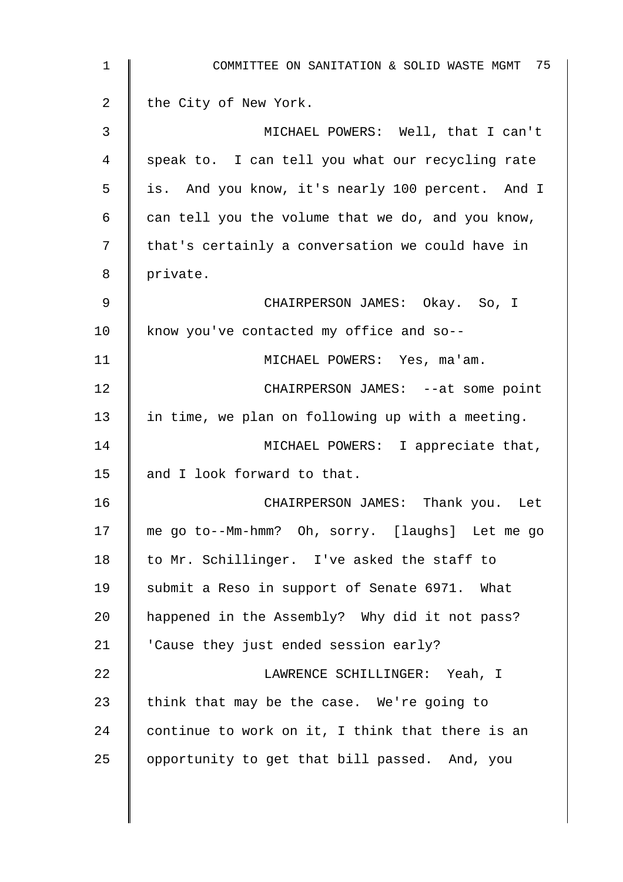| $\mathbf{1}$ | COMMITTEE ON SANITATION & SOLID WASTE MGMT 75     |
|--------------|---------------------------------------------------|
| 2            | the City of New York.                             |
| 3            | MICHAEL POWERS: Well, that I can't                |
| 4            | speak to. I can tell you what our recycling rate  |
| 5            | is. And you know, it's nearly 100 percent. And I  |
| 6            | can tell you the volume that we do, and you know, |
| 7            | that's certainly a conversation we could have in  |
| 8            | private.                                          |
| 9            | CHAIRPERSON JAMES: Okay. So, I                    |
| 10           | know you've contacted my office and so--          |
| 11           | MICHAEL POWERS: Yes, ma'am.                       |
| 12           | CHAIRPERSON JAMES: --at some point                |
| 13           | in time, we plan on following up with a meeting.  |
| 14           | MICHAEL POWERS: I appreciate that,                |
| 15           | and I look forward to that.                       |
| 16           | CHAIRPERSON JAMES: Thank you. Let                 |
| 17           | me go to--Mm-hmm? Oh, sorry. [laughs] Let me go   |
| 18           | to Mr. Schillinger. I've asked the staff to       |
| 19           | submit a Reso in support of Senate 6971. What     |
| 20           | happened in the Assembly? Why did it not pass?    |
| 21           | 'Cause they just ended session early?             |
| 22           | LAWRENCE SCHILLINGER: Yeah, I                     |
| 23           | think that may be the case. We're going to        |
| 24           | continue to work on it, I think that there is an  |
| 25           | opportunity to get that bill passed. And, you     |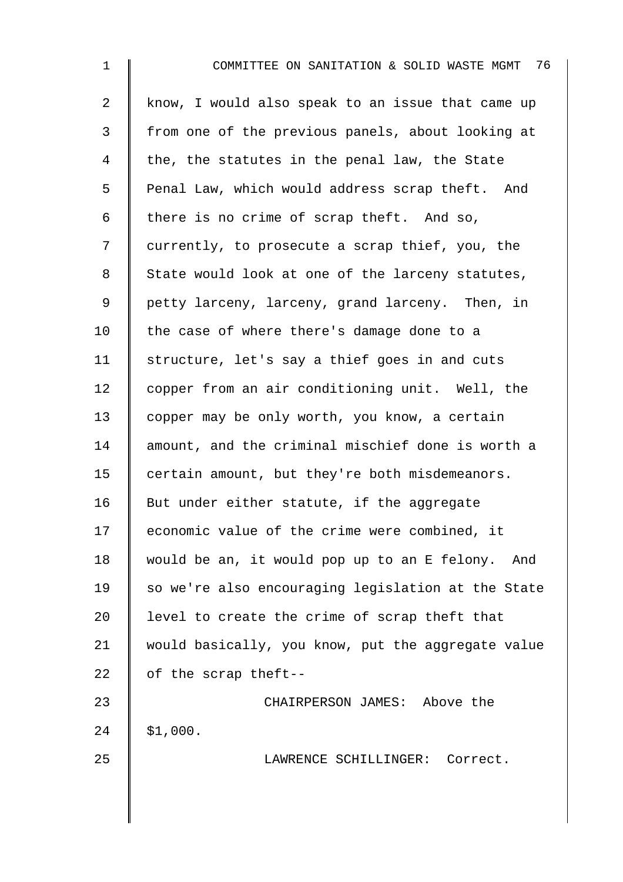| $\mathbf 1$    | 76<br>COMMITTEE ON SANITATION & SOLID WASTE MGMT   |
|----------------|----------------------------------------------------|
| $\overline{a}$ | know, I would also speak to an issue that came up  |
| 3              | from one of the previous panels, about looking at  |
| 4              | the, the statutes in the penal law, the State      |
| 5              | Penal Law, which would address scrap theft. And    |
| 6              | there is no crime of scrap theft. And so,          |
| 7              | currently, to prosecute a scrap thief, you, the    |
| 8              | State would look at one of the larceny statutes,   |
| 9              | petty larceny, larceny, grand larceny. Then, in    |
| 10             | the case of where there's damage done to a         |
| 11             | structure, let's say a thief goes in and cuts      |
| 12             | copper from an air conditioning unit. Well, the    |
| 13             | copper may be only worth, you know, a certain      |
| 14             | amount, and the criminal mischief done is worth a  |
| 15             | certain amount, but they're both misdemeanors.     |
| 16             | But under either statute, if the aggregate         |
| 17             | economic value of the crime were combined, it      |
| 18             | would be an, it would pop up to an E felony. And   |
| 19             | so we're also encouraging legislation at the State |
| 20             | level to create the crime of scrap theft that      |
| 21             | would basically, you know, put the aggregate value |
| 22             | of the scrap theft--                               |
| 23             | CHAIRPERSON JAMES: Above the                       |
| 24             | \$1,000.                                           |
| 25             | LAWRENCE SCHILLINGER: Correct.                     |
|                |                                                    |
|                |                                                    |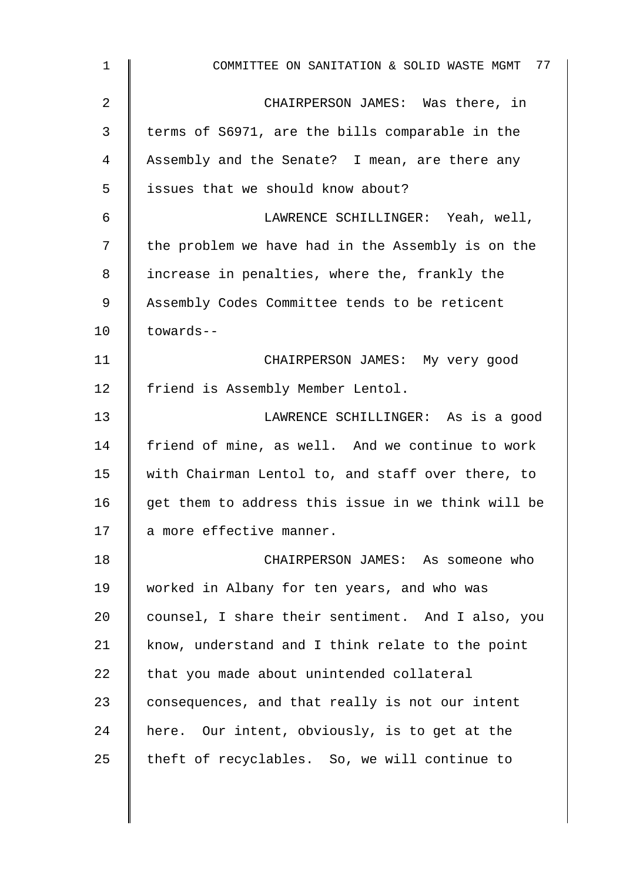| $\mathbf{1}$ | COMMITTEE ON SANITATION & SOLID WASTE MGMT 77      |
|--------------|----------------------------------------------------|
| 2            | CHAIRPERSON JAMES: Was there, in                   |
| 3            | terms of S6971, are the bills comparable in the    |
| 4            | Assembly and the Senate? I mean, are there any     |
| 5            | issues that we should know about?                  |
| 6            | LAWRENCE SCHILLINGER: Yeah, well,                  |
| 7            | the problem we have had in the Assembly is on the  |
| 8            | increase in penalties, where the, frankly the      |
| 9            | Assembly Codes Committee tends to be reticent      |
| 10           | towards--                                          |
| 11           | CHAIRPERSON JAMES: My very good                    |
| 12           | friend is Assembly Member Lentol.                  |
| 13           | LAWRENCE SCHILLINGER: As is a good                 |
| 14           | friend of mine, as well. And we continue to work   |
| 15           | with Chairman Lentol to, and staff over there, to  |
| 16           | get them to address this issue in we think will be |
| 17           | a more effective manner.                           |
| 18           | CHAIRPERSON JAMES: As someone who                  |
| 19           | worked in Albany for ten years, and who was        |
| 20           | counsel, I share their sentiment. And I also, you  |
| 21           | know, understand and I think relate to the point   |
| 22           | that you made about unintended collateral          |
| 23           | consequences, and that really is not our intent    |
| 24           | here. Our intent, obviously, is to get at the      |
| 25           | theft of recyclables. So, we will continue to      |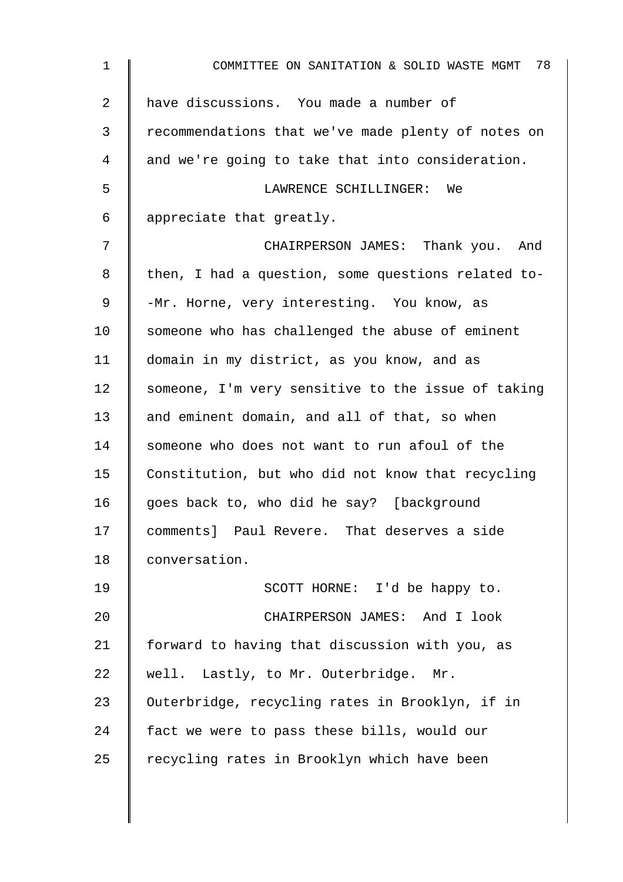| $\mathbf{1}$   | COMMITTEE ON SANITATION & SOLID WASTE MGMT 78      |
|----------------|----------------------------------------------------|
| $\overline{2}$ | have discussions. You made a number of             |
| 3              | recommendations that we've made plenty of notes on |
| 4              | and we're going to take that into consideration.   |
| 5              | LAWRENCE SCHILLINGER: We                           |
| 6              | appreciate that greatly.                           |
| 7              | CHAIRPERSON JAMES: Thank you. And                  |
| 8              | then, I had a question, some questions related to- |
| $\mathsf 9$    | -Mr. Horne, very interesting. You know, as         |
| 10             | someone who has challenged the abuse of eminent    |
| 11             | domain in my district, as you know, and as         |
| 12             | someone, I'm very sensitive to the issue of taking |
| 13             | and eminent domain, and all of that, so when       |
| 14             | someone who does not want to run afoul of the      |
| 15             | Constitution, but who did not know that recycling  |
| 16             | goes back to, who did he say? [background          |
| 17             | comments] Paul Revere. That deserves a side        |
| 18             | conversation.                                      |
| 19             | SCOTT HORNE: I'd be happy to.                      |
| 20             | CHAIRPERSON JAMES: And I look                      |
| 21             | forward to having that discussion with you, as     |
| 22             | well. Lastly, to Mr. Outerbridge. Mr.              |
| 23             | Outerbridge, recycling rates in Brooklyn, if in    |
| 24             | fact we were to pass these bills, would our        |
| 25             | recycling rates in Brooklyn which have been        |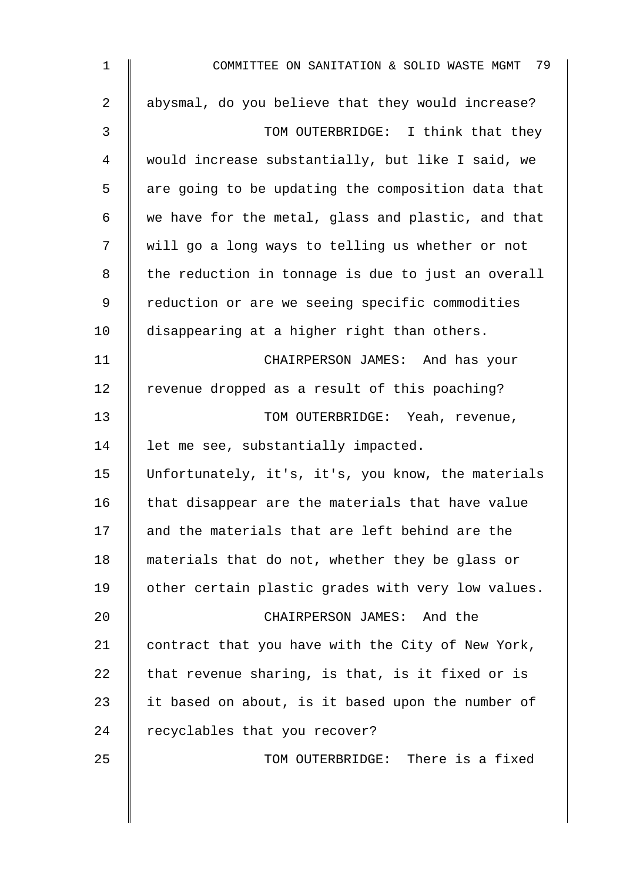| $\mathbf 1$    | COMMITTEE ON SANITATION & SOLID WASTE MGMT 79      |
|----------------|----------------------------------------------------|
| $\overline{2}$ | abysmal, do you believe that they would increase?  |
| 3              | TOM OUTERBRIDGE: I think that they                 |
| 4              | would increase substantially, but like I said, we  |
| 5              | are going to be updating the composition data that |
| 6              | we have for the metal, glass and plastic, and that |
| 7              | will go a long ways to telling us whether or not   |
| 8              | the reduction in tonnage is due to just an overall |
| 9              | reduction or are we seeing specific commodities    |
| 10             | disappearing at a higher right than others.        |
| 11             | CHAIRPERSON JAMES: And has your                    |
| 12             | revenue dropped as a result of this poaching?      |
| 13             | TOM OUTERBRIDGE: Yeah, revenue,                    |
| 14             | let me see, substantially impacted.                |
| 15             | Unfortunately, it's, it's, you know, the materials |
| 16             | that disappear are the materials that have value   |
| 17             | and the materials that are left behind are the     |
| 18             | materials that do not, whether they be glass or    |
| 19             | other certain plastic grades with very low values. |
| 20             | CHAIRPERSON JAMES: And the                         |
| 21             | contract that you have with the City of New York,  |
| 22             | that revenue sharing, is that, is it fixed or is   |
| 23             | it based on about, is it based upon the number of  |
| 24             | recyclables that you recover?                      |
| 25             | TOM OUTERBRIDGE: There is a fixed                  |
|                |                                                    |
|                |                                                    |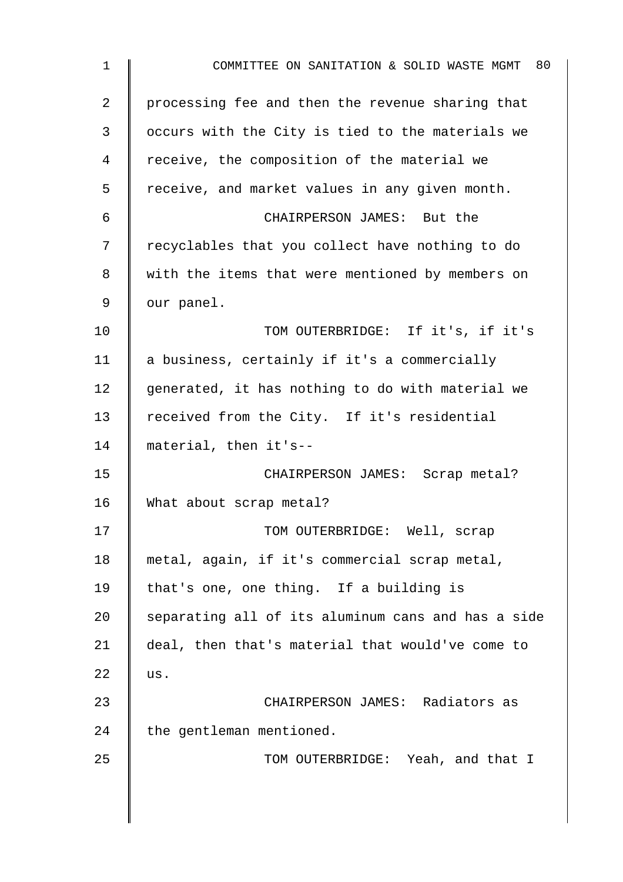1 **No. 2** COMMITTEE ON SANITATION & SOLID WASTE MGMT 80 2 | processing fee and then the revenue sharing that 3 | occurs with the City is tied to the materials we 4 Teceive, the composition of the material we 5 | receive, and market values in any given month. 6 CHAIRPERSON JAMES: But the 7 Tecyclables that you collect have nothing to do 8 | with the items that were mentioned by members on  $9 \parallel$  our panel. 10 **TOM OUTERBRIDGE:** If it's, if it's 11 a business, certainly if it's a commercially  $12$  generated, it has nothing to do with material we 13 Teceived from the City. If it's residential 14 material, then it's--15 | CHAIRPERSON JAMES: Scrap metal? 16 What about scrap metal? 17 | TOM OUTERBRIDGE: Well, scrap 18 metal, again, if it's commercial scrap metal, 19 | that's one, one thing. If a building is  $20$  separating all of its aluminum cans and has a side 21 deal, then that's material that would've come to 22  $\|$  us. 23 CHAIRPERSON JAMES: Radiators as  $24$  the gentleman mentioned. 25 | TOM OUTERBRIDGE: Yeah, and that I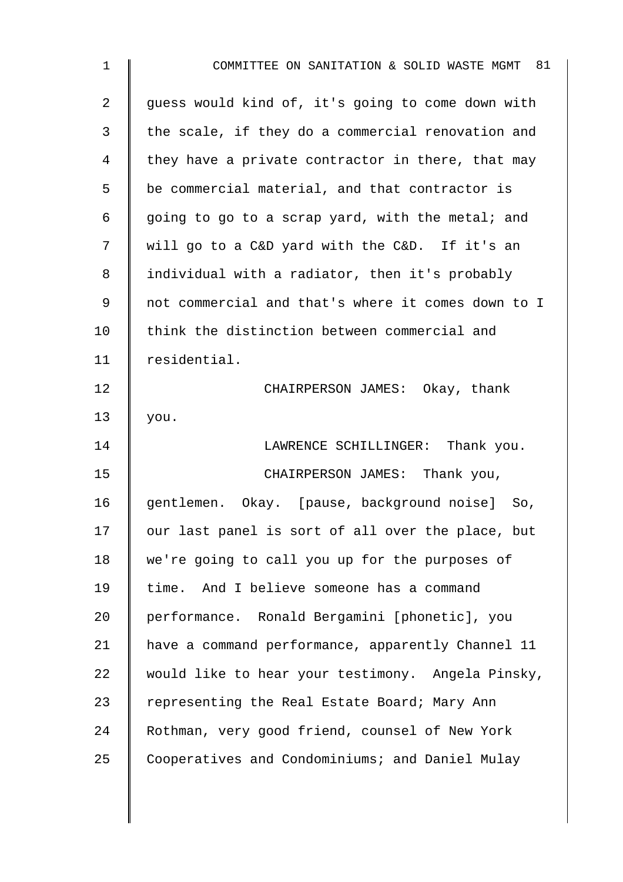| $\mathbf{1}$ | COMMITTEE ON SANITATION & SOLID WASTE MGMT 81      |
|--------------|----------------------------------------------------|
| 2            | guess would kind of, it's going to come down with  |
| 3            | the scale, if they do a commercial renovation and  |
| 4            | they have a private contractor in there, that may  |
| 5            | be commercial material, and that contractor is     |
| 6            | going to go to a scrap yard, with the metal; and   |
| 7            | will go to a C&D yard with the C&D. If it's an     |
| 8            | individual with a radiator, then it's probably     |
| 9            | not commercial and that's where it comes down to I |
| 10           | think the distinction between commercial and       |
| 11           | residential.                                       |
| 12           | CHAIRPERSON JAMES: Okay, thank                     |
| 13           | you.                                               |
| 14           | LAWRENCE SCHILLINGER: Thank you.                   |
| 15           | CHAIRPERSON JAMES: Thank you,                      |
| 16           | gentlemen. Okay. [pause, background noise]<br>So,  |
| 17           | our last panel is sort of all over the place, but  |
| 18           | we're going to call you up for the purposes of     |
| 19           | time. And I believe someone has a command          |
| 20           | performance. Ronald Bergamini [phonetic], you      |
| 21           | have a command performance, apparently Channel 11  |
| 22           | would like to hear your testimony. Angela Pinsky,  |
| 23           | representing the Real Estate Board; Mary Ann       |
| 24           | Rothman, very good friend, counsel of New York     |
| 25           | Cooperatives and Condominiums; and Daniel Mulay    |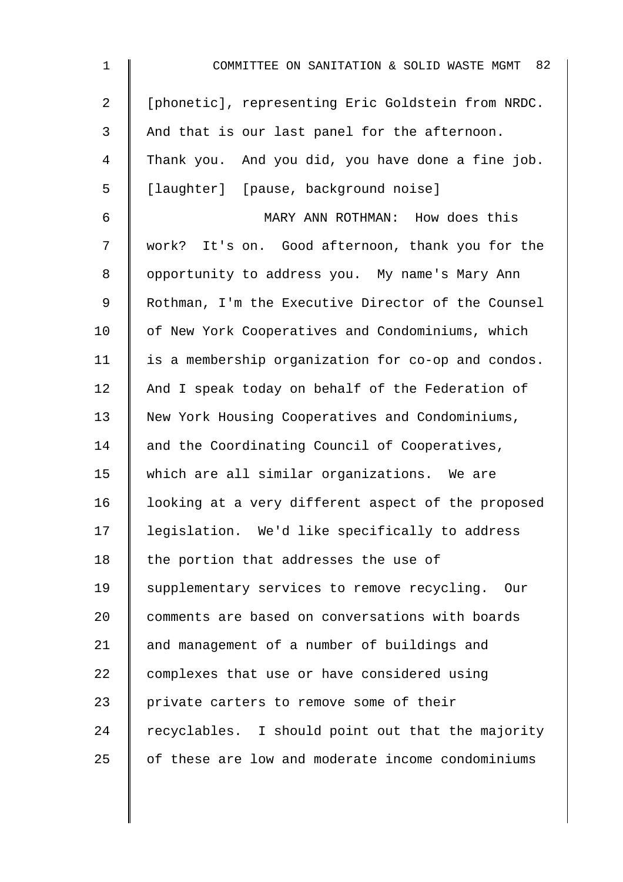| $\mathbf 1$    | COMMITTEE ON SANITATION & SOLID WASTE MGMT 82      |
|----------------|----------------------------------------------------|
| $\overline{2}$ | [phonetic], representing Eric Goldstein from NRDC. |
| 3              | And that is our last panel for the afternoon.      |
| 4              | Thank you. And you did, you have done a fine job.  |
| 5              | [laughter] [pause, background noise]               |
| 6              | MARY ANN ROTHMAN: How does this                    |
| 7              | work? It's on. Good afternoon, thank you for the   |
| 8              | opportunity to address you. My name's Mary Ann     |
| $\mathsf 9$    | Rothman, I'm the Executive Director of the Counsel |
| 10             | of New York Cooperatives and Condominiums, which   |
| 11             | is a membership organization for co-op and condos. |
| 12             | And I speak today on behalf of the Federation of   |
| 13             | New York Housing Cooperatives and Condominiums,    |
| 14             | and the Coordinating Council of Cooperatives,      |
| 15             | which are all similar organizations. We are        |
| 16             | looking at a very different aspect of the proposed |
| 17             | legislation. We'd like specifically to address     |
| 18             | the portion that addresses the use of              |
| 19             | supplementary services to remove recycling. Our    |
| 20             | comments are based on conversations with boards    |
| 21             | and management of a number of buildings and        |
| 22             | complexes that use or have considered using        |
| 23             | private carters to remove some of their            |
| 24             | recyclables. I should point out that the majority  |
| 25             | of these are low and moderate income condominiums  |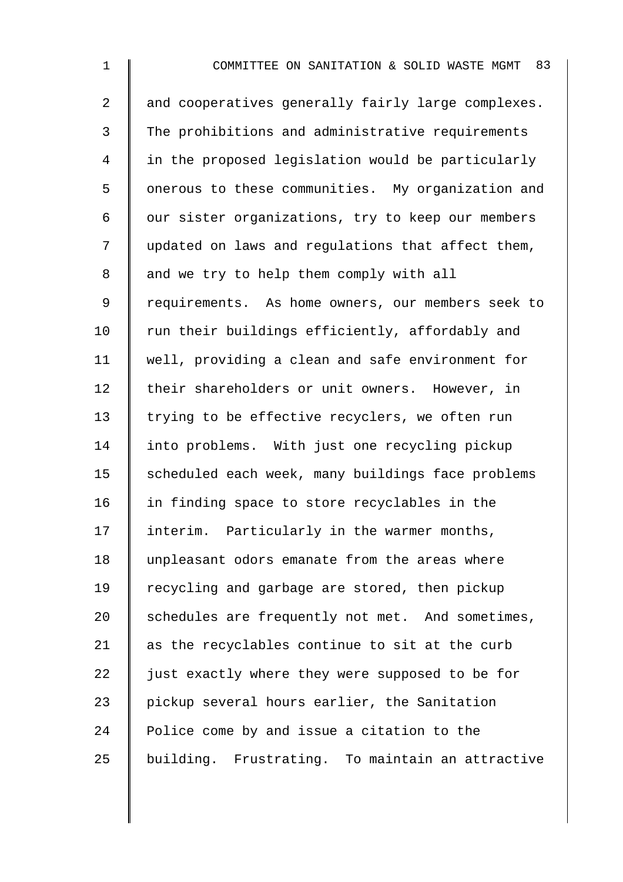| $\mathbf 1$    | COMMITTEE ON SANITATION & SOLID WASTE MGMT 83      |
|----------------|----------------------------------------------------|
| $\overline{a}$ | and cooperatives generally fairly large complexes. |
| 3              | The prohibitions and administrative requirements   |
| 4              | in the proposed legislation would be particularly  |
| 5              | onerous to these communities. My organization and  |
| 6              | our sister organizations, try to keep our members  |
| 7              | updated on laws and regulations that affect them,  |
| 8              | and we try to help them comply with all            |
| 9              | requirements. As home owners, our members seek to  |
| 10             | run their buildings efficiently, affordably and    |
| 11             | well, providing a clean and safe environment for   |
| 12             | their shareholders or unit owners. However, in     |
| 13             | trying to be effective recyclers, we often run     |
| 14             | into problems. With just one recycling pickup      |
| 15             | scheduled each week, many buildings face problems  |
| 16             | in finding space to store recyclables in the       |
| 17             | interim. Particularly in the warmer months,        |
| 18             | unpleasant odors emanate from the areas where      |
| 19             | recycling and garbage are stored, then pickup      |
| 20             | schedules are frequently not met. And sometimes,   |
| 21             | as the recyclables continue to sit at the curb     |
| 22             | just exactly where they were supposed to be for    |
| 23             | pickup several hours earlier, the Sanitation       |
| 24             | Police come by and issue a citation to the         |
| 25             | building. Frustrating. To maintain an attractive   |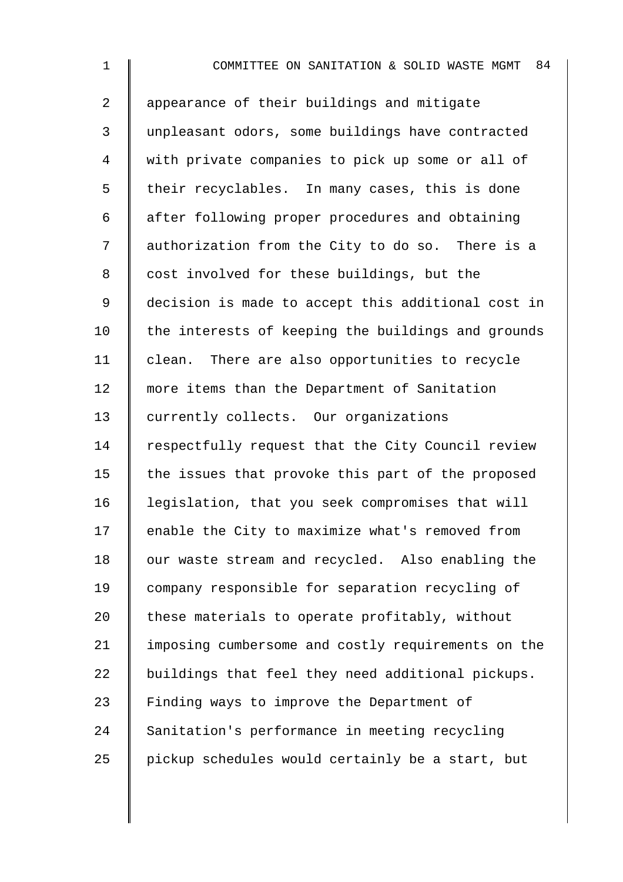1 **I** COMMITTEE ON SANITATION & SOLID WASTE MGMT 84 2 | appearance of their buildings and mitigate 3 unpleasant odors, some buildings have contracted 4 with private companies to pick up some or all of  $5 \parallel$  their recyclables. In many cases, this is done 6 after following proper procedures and obtaining 7 | authorization from the City to do so. There is a 8 cost involved for these buildings, but the 9 decision is made to accept this additional cost in  $10$  the interests of keeping the buildings and grounds 11 | clean. There are also opportunities to recycle 12 | more items than the Department of Sanitation 13 currently collects. Our organizations 14 Fespectfully request that the City Council review 15  $\parallel$  the issues that provoke this part of the proposed 16 legislation, that you seek compromises that will 17 | enable the City to maximize what's removed from 18 | our waste stream and recycled. Also enabling the 19 company responsible for separation recycling of 20  $\parallel$  these materials to operate profitably, without 21 | imposing cumbersome and costly requirements on the  $22$  buildings that feel they need additional pickups. 23  $\parallel$  Finding ways to improve the Department of 24 Sanitation's performance in meeting recycling 25  $\parallel$  pickup schedules would certainly be a start, but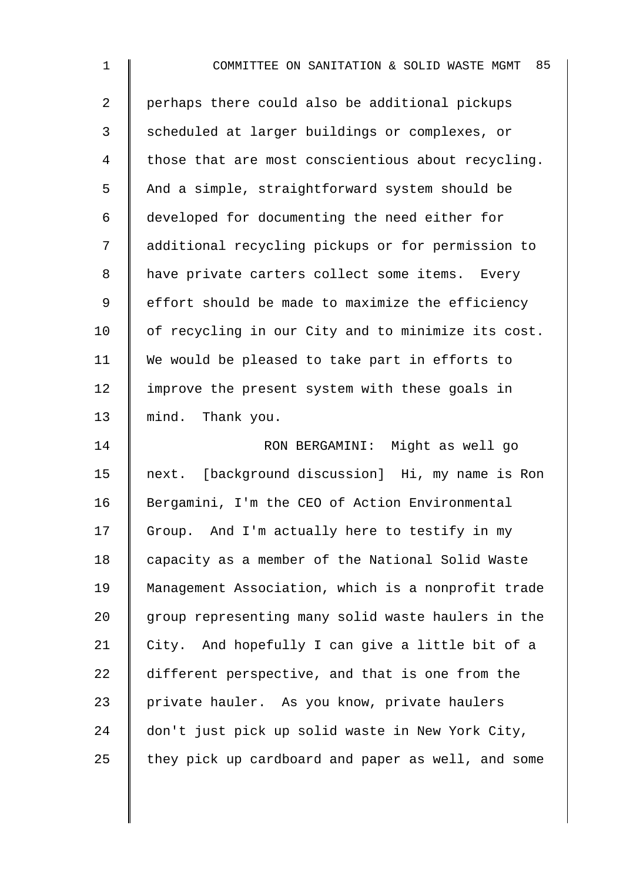| $\mathbf 1$    | 85<br>COMMITTEE ON SANITATION & SOLID WASTE MGMT   |
|----------------|----------------------------------------------------|
| $\overline{2}$ | perhaps there could also be additional pickups     |
| $\mathfrak{Z}$ | scheduled at larger buildings or complexes, or     |
| 4              | those that are most conscientious about recycling. |
| 5              | And a simple, straightforward system should be     |
| 6              | developed for documenting the need either for      |
| 7              | additional recycling pickups or for permission to  |
| 8              | have private carters collect some items. Every     |
| 9              | effort should be made to maximize the efficiency   |
| 10             | of recycling in our City and to minimize its cost. |
| 11             | We would be pleased to take part in efforts to     |
| 12             | improve the present system with these goals in     |
| 13             | mind. Thank you.                                   |
| 14             | RON BERGAMINI: Might as well go                    |
| 15             | next. [background discussion] Hi, my name is Ron   |
| 16             | Bergamini, I'm the CEO of Action Environmental     |
| 17             | Group. And I'm actually here to testify in my      |
| 18             | capacity as a member of the National Solid Waste   |
| 19             | Management Association, which is a nonprofit trade |
| 20             | group representing many solid waste haulers in the |
| 21             | City. And hopefully I can give a little bit of a   |
| 22             | different perspective, and that is one from the    |
| 23             | private hauler. As you know, private haulers       |
| 24             | don't just pick up solid waste in New York City,   |
| 25             | they pick up cardboard and paper as well, and some |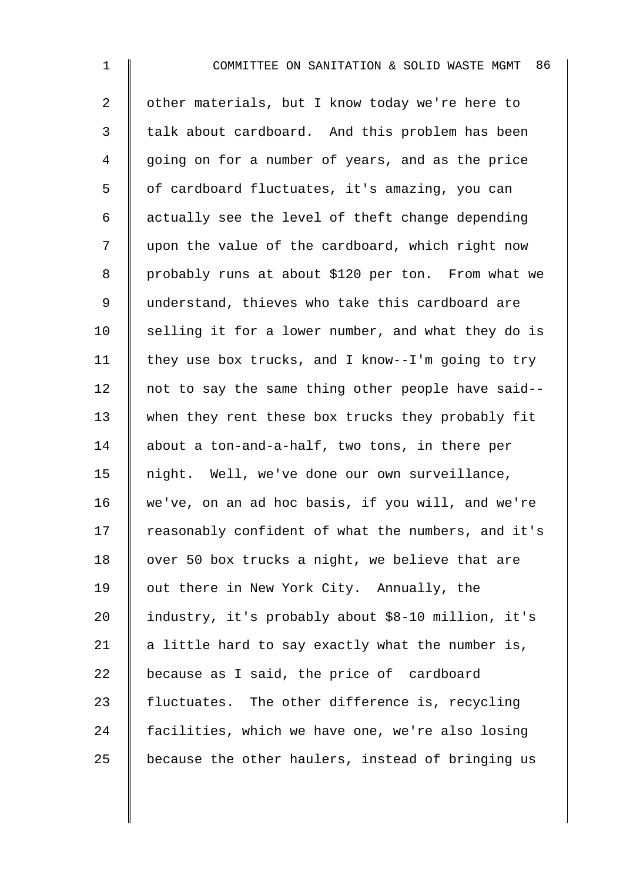2 | other materials, but I know today we're here to 3 | talk about cardboard. And this problem has been 4 going on for a number of years, and as the price 5 | of cardboard fluctuates, it's amazing, you can  $6 \parallel$  actually see the level of theft change depending 7 | upon the value of the cardboard, which right now 8 | probably runs at about \$120 per ton. From what we 9 | understand, thieves who take this cardboard are 10  $\parallel$  selling it for a lower number, and what they do is 11 | they use box trucks, and I know--I'm going to try 12  $\parallel$  not to say the same thing other people have said--13 when they rent these box trucks they probably fit 14 about a ton-and-a-half, two tons, in there per 15 | night. Well, we've done our own surveillance, 16 we've, on an ad hoc basis, if you will, and we're 17 Teasonably confident of what the numbers, and it's 18 | over 50 box trucks a night, we believe that are 19 | out there in New York City. Annually, the 20 I industry, it's probably about \$8-10 million, it's 21  $\parallel$  a little hard to say exactly what the number is, 22 because as I said, the price of cardboard 23  $\parallel$  fluctuates. The other difference is, recycling 24 facilities, which we have one, we're also losing  $25$  because the other haulers, instead of bringing us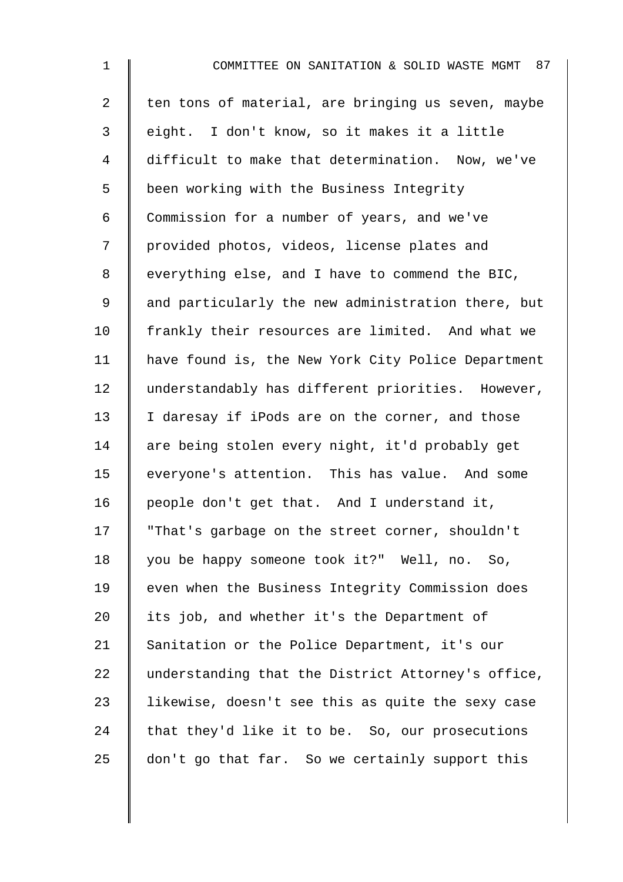| $\mathbf 1$    | COMMITTEE ON SANITATION & SOLID WASTE MGMT<br>87   |
|----------------|----------------------------------------------------|
| $\overline{a}$ | ten tons of material, are bringing us seven, maybe |
| 3              | eight. I don't know, so it makes it a little       |
| $\overline{4}$ | difficult to make that determination. Now, we've   |
| 5              | been working with the Business Integrity           |
| 6              | Commission for a number of years, and we've        |
| 7              | provided photos, videos, license plates and        |
| $\,8\,$        | everything else, and I have to commend the BIC,    |
| $\mathsf 9$    | and particularly the new administration there, but |
| 10             | frankly their resources are limited. And what we   |
| 11             | have found is, the New York City Police Department |
| 12             | understandably has different priorities. However,  |
| 13             | I daresay if iPods are on the corner, and those    |
| 14             | are being stolen every night, it'd probably get    |
| 15             | everyone's attention. This has value. And some     |
| 16             | people don't get that. And I understand it,        |
| 17             | "That's garbage on the street corner, shouldn't    |
| 18             | you be happy someone took it?" Well, no. So,       |
| 19             | even when the Business Integrity Commission does   |
| 20             | its job, and whether it's the Department of        |
| 21             | Sanitation or the Police Department, it's our      |
| 22             | understanding that the District Attorney's office, |
| 23             | likewise, doesn't see this as quite the sexy case  |
| 24             | that they'd like it to be. So, our prosecutions    |
| 25             | don't go that far. So we certainly support this    |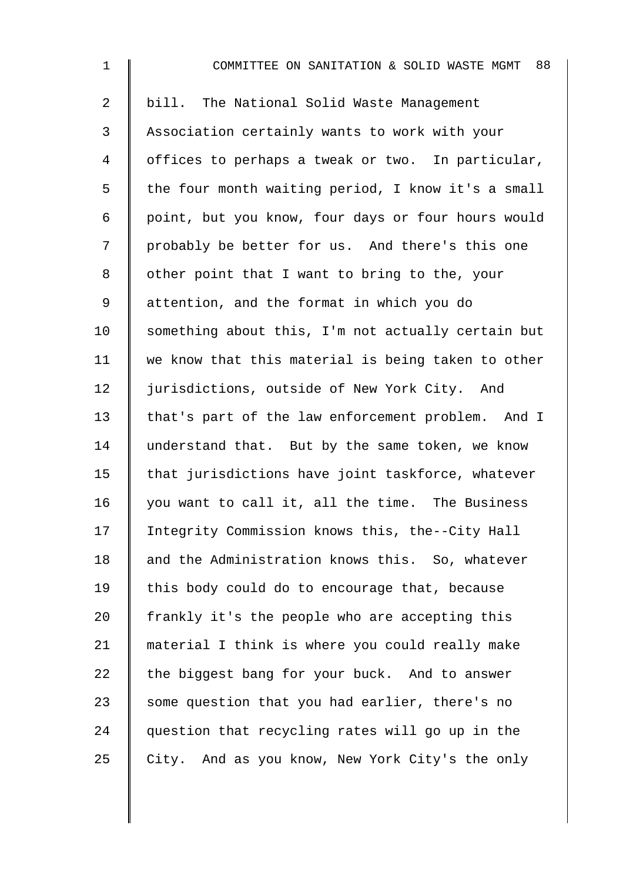| $\mathbf{1}$   | 88<br>COMMITTEE ON SANITATION & SOLID WASTE MGMT   |
|----------------|----------------------------------------------------|
| $\overline{a}$ | bill. The National Solid Waste Management          |
| 3              | Association certainly wants to work with your      |
| 4              | offices to perhaps a tweak or two. In particular,  |
| 5              | the four month waiting period, I know it's a small |
| 6              | point, but you know, four days or four hours would |
| 7              | probably be better for us. And there's this one    |
| 8              | other point that I want to bring to the, your      |
| 9              | attention, and the format in which you do          |
| 10             | something about this, I'm not actually certain but |
| 11             | we know that this material is being taken to other |
| 12             | jurisdictions, outside of New York City. And       |
| 13             | that's part of the law enforcement problem. And I  |
| 14             | understand that. But by the same token, we know    |
| 15             | that jurisdictions have joint taskforce, whatever  |
| 16             | you want to call it, all the time. The Business    |
| 17             | Integrity Commission knows this, the--City Hall    |
| 18             | and the Administration knows this. So, whatever    |
| 19             | this body could do to encourage that, because      |
| 20             | frankly it's the people who are accepting this     |
| 21             | material I think is where you could really make    |
| 22             | the biggest bang for your buck. And to answer      |
| 23             | some question that you had earlier, there's no     |
| 24             | question that recycling rates will go up in the    |
| 25             | City. And as you know, New York City's the only    |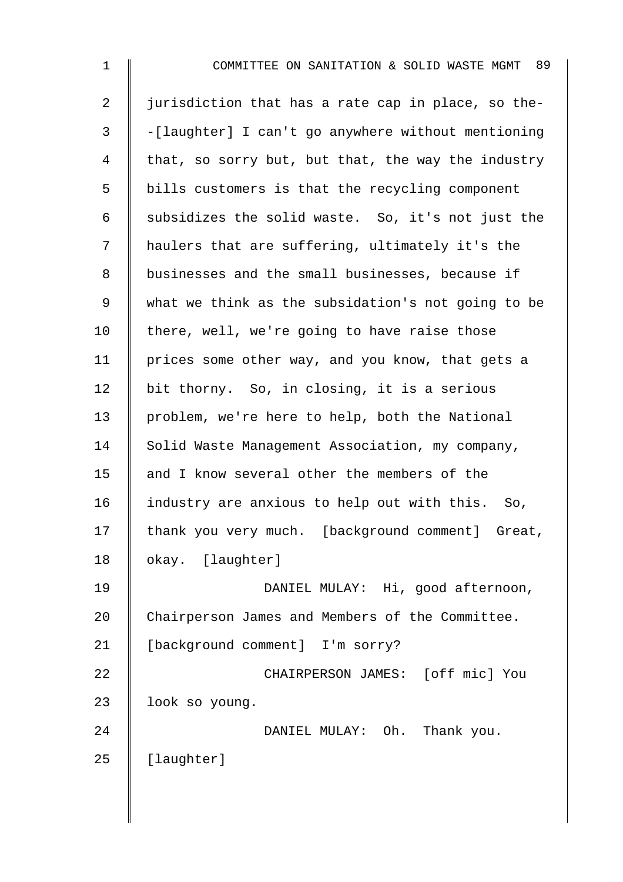| $\mathbf{1}$   | 89<br>COMMITTEE ON SANITATION & SOLID WASTE MGMT   |
|----------------|----------------------------------------------------|
| $\overline{2}$ | jurisdiction that has a rate cap in place, so the- |
| 3              | -[laughter] I can't go anywhere without mentioning |
| 4              | that, so sorry but, but that, the way the industry |
| 5              | bills customers is that the recycling component    |
| 6              | subsidizes the solid waste. So, it's not just the  |
| 7              | haulers that are suffering, ultimately it's the    |
| 8              | businesses and the small businesses, because if    |
| 9              | what we think as the subsidation's not going to be |
| 10             | there, well, we're going to have raise those       |
| 11             | prices some other way, and you know, that gets a   |
| 12             | bit thorny. So, in closing, it is a serious        |
| 13             | problem, we're here to help, both the National     |
| 14             | Solid Waste Management Association, my company,    |
| 15             | and I know several other the members of the        |
| 16             | industry are anxious to help out with this. So,    |
| 17             | thank you very much. [background comment] Great,   |
| 18             | okay. [laughter]                                   |
| 19             | DANIEL MULAY: Hi, good afternoon,                  |
| 20             | Chairperson James and Members of the Committee.    |
| 21             | [background comment] I'm sorry?                    |
| 22             | CHAIRPERSON JAMES: [off mic] You                   |
| 23             | look so young.                                     |
| 24             | DANIEL MULAY: Oh.<br>Thank you.                    |
| 25             | [laughter]                                         |
|                |                                                    |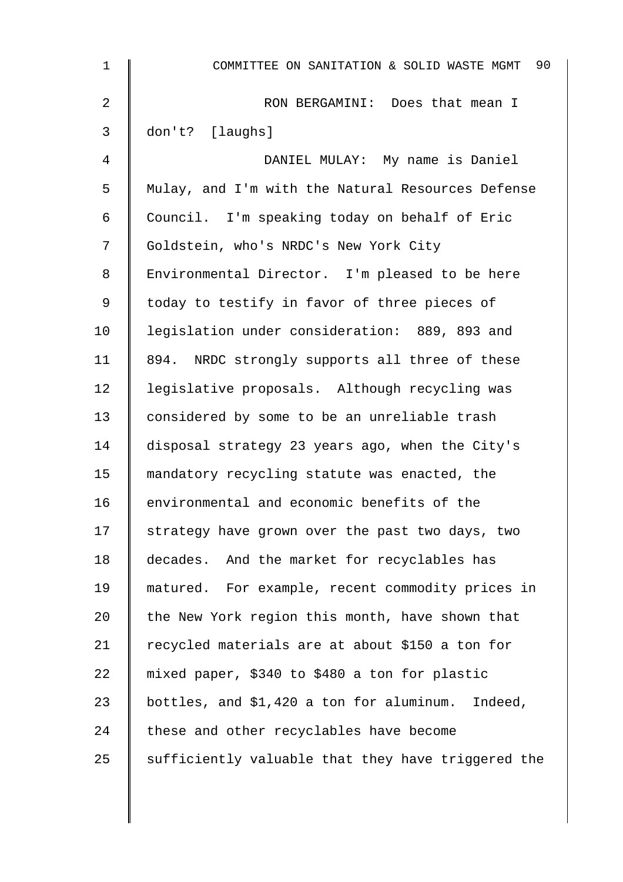| $\mathbf 1$    | 90<br>COMMITTEE ON SANITATION & SOLID WASTE MGMT    |
|----------------|-----------------------------------------------------|
| $\overline{2}$ | RON BERGAMINI: Does that mean I                     |
| 3              | don't? [laughs]                                     |
| 4              | DANIEL MULAY: My name is Daniel                     |
| 5              | Mulay, and I'm with the Natural Resources Defense   |
| 6              | Council. I'm speaking today on behalf of Eric       |
| 7              | Goldstein, who's NRDC's New York City               |
| 8              | Environmental Director. I'm pleased to be here      |
| 9              | today to testify in favor of three pieces of        |
| 10             | legislation under consideration: 889, 893 and       |
| 11             | 894.<br>NRDC strongly supports all three of these   |
| 12             | legislative proposals. Although recycling was       |
| 13             | considered by some to be an unreliable trash        |
| 14             | disposal strategy 23 years ago, when the City's     |
| 15             | mandatory recycling statute was enacted, the        |
| 16             | environmental and economic benefits of the          |
| 17             | strategy have grown over the past two days, two     |
| 18             | decades. And the market for recyclables has         |
| 19             | matured. For example, recent commodity prices in    |
| 20             | the New York region this month, have shown that     |
| 21             | recycled materials are at about \$150 a ton for     |
| 22             | mixed paper, \$340 to \$480 a ton for plastic       |
| 23             | bottles, and \$1,420 a ton for aluminum.<br>Indeed, |
| 24             | these and other recyclables have become             |
| 25             | sufficiently valuable that they have triggered the  |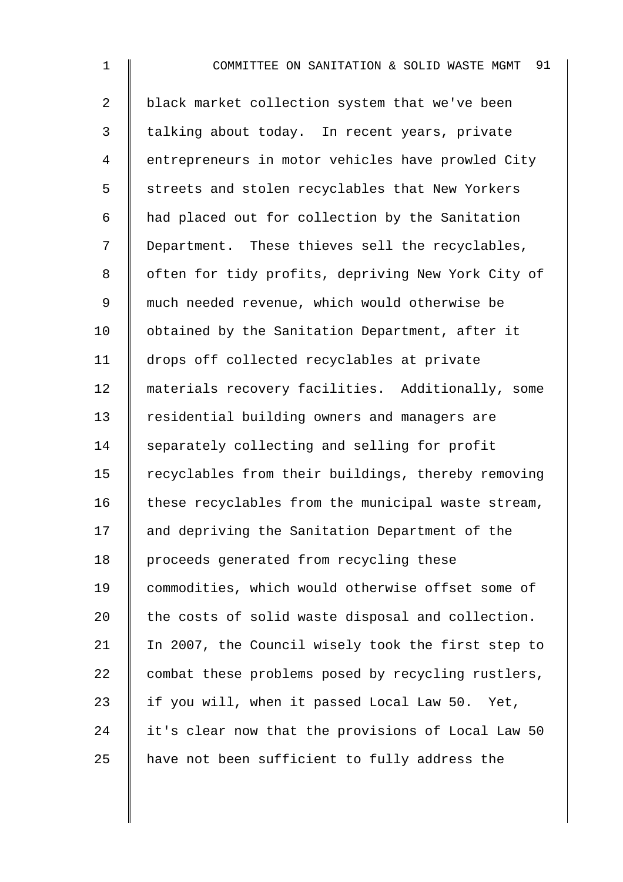| $\mathbf 1$    | COMMITTEE ON SANITATION & SOLID WASTE MGMT 91      |
|----------------|----------------------------------------------------|
| $\overline{2}$ | black market collection system that we've been     |
| 3              | talking about today. In recent years, private      |
| 4              | entrepreneurs in motor vehicles have prowled City  |
| 5              | streets and stolen recyclables that New Yorkers    |
| 6              | had placed out for collection by the Sanitation    |
| 7              | Department. These thieves sell the recyclables,    |
| 8              | often for tidy profits, depriving New York City of |
| 9              | much needed revenue, which would otherwise be      |
| 10             | obtained by the Sanitation Department, after it    |
| 11             | drops off collected recyclables at private         |
| 12             | materials recovery facilities. Additionally, some  |
| 13             | residential building owners and managers are       |
| 14             | separately collecting and selling for profit       |
| 15             | recyclables from their buildings, thereby removing |
| 16             | these recyclables from the municipal waste stream, |
| 17             | and depriving the Sanitation Department of the     |
| 18             | proceeds generated from recycling these            |
| 19             | commodities, which would otherwise offset some of  |
| 20             | the costs of solid waste disposal and collection.  |
| 21             | In 2007, the Council wisely took the first step to |
| 22             | combat these problems posed by recycling rustlers, |
| 23             | if you will, when it passed Local Law 50. Yet,     |
| 24             | it's clear now that the provisions of Local Law 50 |
| 25             | have not been sufficient to fully address the      |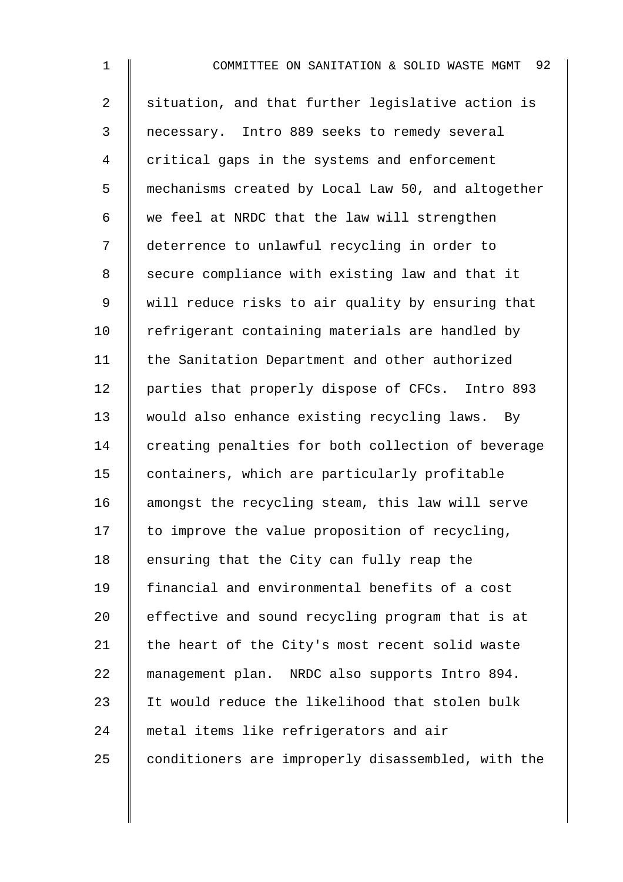1 **I** COMMITTEE ON SANITATION & SOLID WASTE MGMT 92 2 Situation, and that further legislative action is 3 necessary. Intro 889 seeks to remedy several 4 critical gaps in the systems and enforcement 5 mechanisms created by Local Law 50, and altogether 6  $\parallel$  we feel at NRDC that the law will strengthen 7 deterrence to unlawful recycling in order to 8 Secure compliance with existing law and that it 9 | will reduce risks to air quality by ensuring that  $10$  | refrigerant containing materials are handled by 11 | the Sanitation Department and other authorized 12 | parties that properly dispose of CFCs. Intro 893 13 would also enhance existing recycling laws. By 14 creating penalties for both collection of beverage 15 | containers, which are particularly profitable 16 amongst the recycling steam, this law will serve  $17$  to improve the value proposition of recycling, 18 ensuring that the City can fully reap the 19 | financial and environmental benefits of a cost  $20$  effective and sound recycling program that is at 21  $\parallel$  the heart of the City's most recent solid waste 22 management plan. NRDC also supports Intro 894. 23 I It would reduce the likelihood that stolen bulk 24 metal items like refrigerators and air  $25$  conditioners are improperly disassembled, with the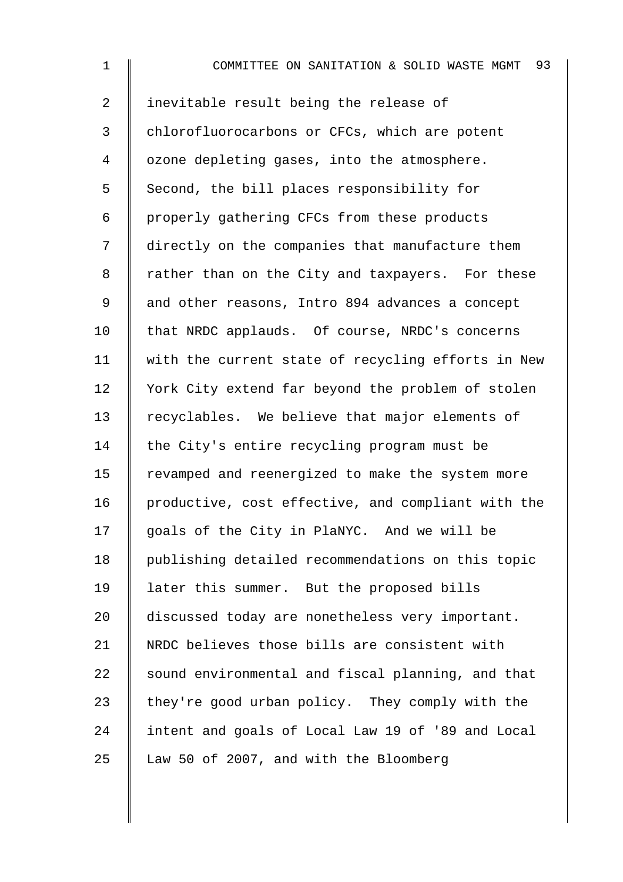| $\mathbf 1$    | 93<br>COMMITTEE ON SANITATION & SOLID WASTE MGMT   |
|----------------|----------------------------------------------------|
| $\overline{a}$ | inevitable result being the release of             |
| 3              | chlorofluorocarbons or CFCs, which are potent      |
| 4              | ozone depleting gases, into the atmosphere.        |
| 5              | Second, the bill places responsibility for         |
| 6              | properly gathering CFCs from these products        |
| 7              | directly on the companies that manufacture them    |
| 8              | rather than on the City and taxpayers. For these   |
| 9              | and other reasons, Intro 894 advances a concept    |
| 10             | that NRDC applauds. Of course, NRDC's concerns     |
| 11             | with the current state of recycling efforts in New |
| 12             | York City extend far beyond the problem of stolen  |
| 13             | recyclables. We believe that major elements of     |
| 14             | the City's entire recycling program must be        |
| 15             | revamped and reenergized to make the system more   |
| 16             | productive, cost effective, and compliant with the |
| 17             | goals of the City in PlaNYC. And we will be        |
| 18             | publishing detailed recommendations on this topic  |
| 19             | later this summer. But the proposed bills          |
| 20             | discussed today are nonetheless very important.    |
| 21             | NRDC believes those bills are consistent with      |
| 22             | sound environmental and fiscal planning, and that  |
| 23             | they're good urban policy. They comply with the    |
| 24             | intent and goals of Local Law 19 of '89 and Local  |
| 25             | Law 50 of 2007, and with the Bloomberg             |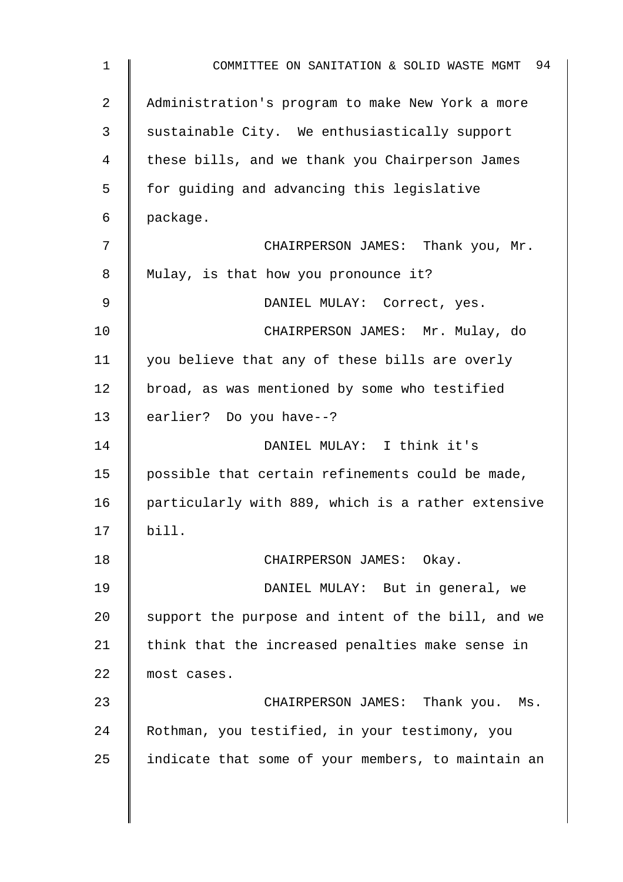| $\mathbf 1$    | COMMITTEE ON SANITATION & SOLID WASTE MGMT 94      |
|----------------|----------------------------------------------------|
| $\overline{2}$ | Administration's program to make New York a more   |
| 3              | sustainable City. We enthusiastically support      |
| 4              | these bills, and we thank you Chairperson James    |
| 5              | for guiding and advancing this legislative         |
| 6              | package.                                           |
| 7              | CHAIRPERSON JAMES: Thank you, Mr.                  |
| 8              | Mulay, is that how you pronounce it?               |
| 9              | DANIEL MULAY: Correct, yes.                        |
| 10             | CHAIRPERSON JAMES: Mr. Mulay, do                   |
| 11             | you believe that any of these bills are overly     |
| 12             | broad, as was mentioned by some who testified      |
| 13             | earlier? Do you have--?                            |
| 14             | DANIEL MULAY: I think it's                         |
| 15             | possible that certain refinements could be made,   |
| 16             | particularly with 889, which is a rather extensive |
| 17             | bill.                                              |
| 18             | CHAIRPERSON JAMES: Okay.                           |
| 19             | DANIEL MULAY: But in general, we                   |
| 20             | support the purpose and intent of the bill, and we |
| 21             | think that the increased penalties make sense in   |
| 22             | most cases.                                        |
| 23             | CHAIRPERSON JAMES: Thank you. Ms.                  |
| 24             | Rothman, you testified, in your testimony, you     |
| 25             | indicate that some of your members, to maintain an |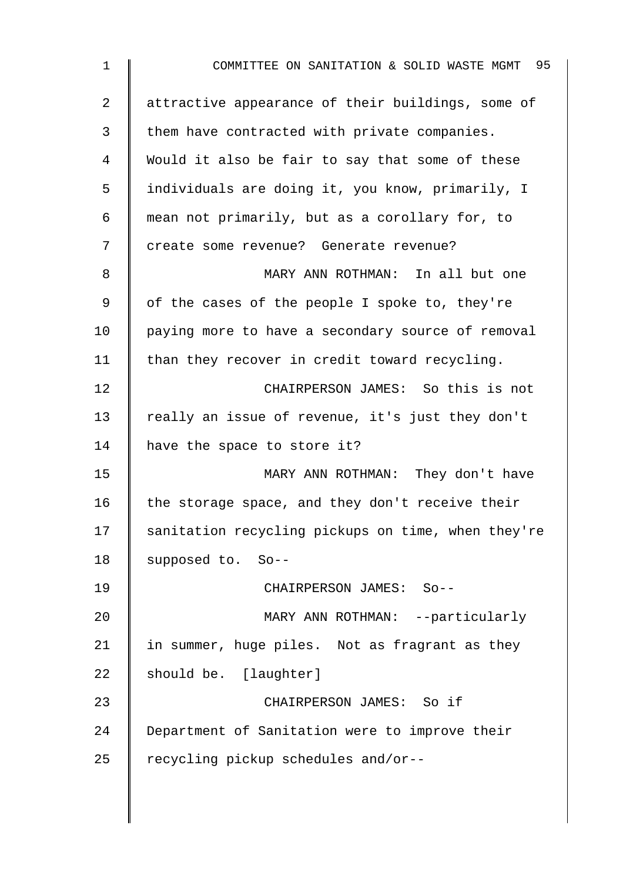| $\mathbf 1$    | COMMITTEE ON SANITATION & SOLID WASTE MGMT 95      |
|----------------|----------------------------------------------------|
| $\overline{a}$ | attractive appearance of their buildings, some of  |
| 3              | them have contracted with private companies.       |
| 4              | Would it also be fair to say that some of these    |
| 5              | individuals are doing it, you know, primarily, I   |
| 6              | mean not primarily, but as a corollary for, to     |
| 7              | create some revenue? Generate revenue?             |
| 8              | MARY ANN ROTHMAN: In all but one                   |
| 9              | of the cases of the people I spoke to, they're     |
| 10             | paying more to have a secondary source of removal  |
| 11             | than they recover in credit toward recycling.      |
| 12             | CHAIRPERSON JAMES: So this is not                  |
| 13             | really an issue of revenue, it's just they don't   |
| 14             | have the space to store it?                        |
| 15             | MARY ANN ROTHMAN: They don't have                  |
| 16             | the storage space, and they don't receive their    |
| 17             | sanitation recycling pickups on time, when they're |
| 18             | supposed to. So--                                  |
| 19             | CHAIRPERSON JAMES: So--                            |
| 20             | MARY ANN ROTHMAN: --particularly                   |
| 21             | in summer, huge piles. Not as fragrant as they     |
| 22             | should be. [laughter]                              |
| 23             | CHAIRPERSON JAMES: So if                           |
| 24             | Department of Sanitation were to improve their     |
| 25             | recycling pickup schedules and/or--                |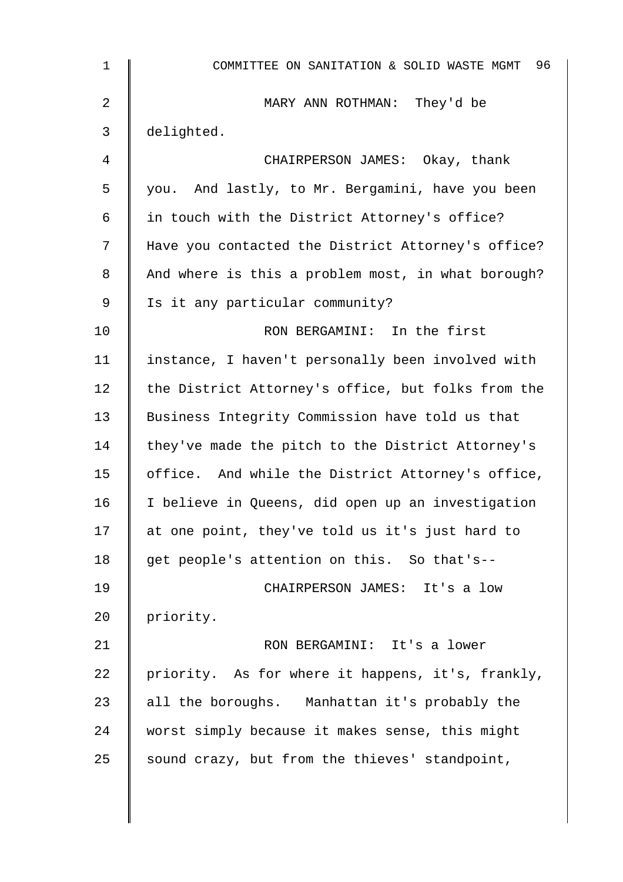| $\mathbf{1}$ | COMMITTEE ON SANITATION & SOLID WASTE MGMT 96      |
|--------------|----------------------------------------------------|
| 2            | MARY ANN ROTHMAN: They'd be                        |
| 3            | delighted.                                         |
| 4            | CHAIRPERSON JAMES: Okay, thank                     |
| 5            | you. And lastly, to Mr. Bergamini, have you been   |
| 6            | in touch with the District Attorney's office?      |
| 7            | Have you contacted the District Attorney's office? |
| 8            | And where is this a problem most, in what borough? |
| 9            | Is it any particular community?                    |
| 10           | RON BERGAMINI: In the first                        |
| 11           | instance, I haven't personally been involved with  |
| 12           | the District Attorney's office, but folks from the |
| 13           | Business Integrity Commission have told us that    |
| 14           | they've made the pitch to the District Attorney's  |
| 15           | office. And while the District Attorney's office,  |
| 16           | I believe in Queens, did open up an investigation  |
| 17           | at one point, they've told us it's just hard to    |
| 18           | get people's attention on this. So that's--        |
| 19           | CHAIRPERSON JAMES: It's a low                      |
| 20           | priority.                                          |
| 21           | RON BERGAMINI: It's a lower                        |
| 22           | priority. As for where it happens, it's, frankly,  |
| 23           | all the boroughs. Manhattan it's probably the      |
| 24           | worst simply because it makes sense, this might    |
| 25           | sound crazy, but from the thieves' standpoint,     |
|              |                                                    |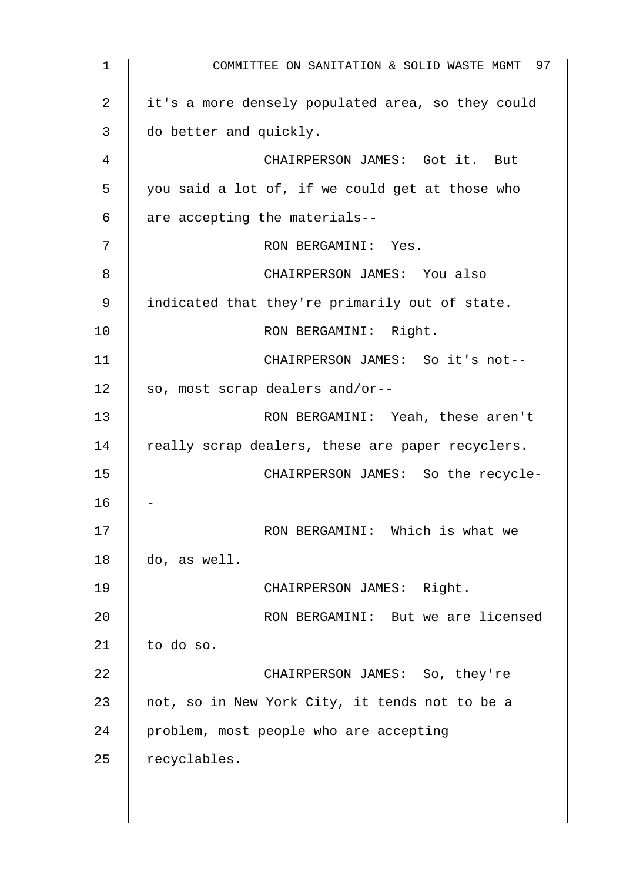1 **Number 1** COMMITTEE ON SANITATION & SOLID WASTE MGMT 97 2 | it's a more densely populated area, so they could 3 do better and quickly. 4 || CHAIRPERSON JAMES: Got it. But 5 you said a lot of, if we could get at those who  $6 \parallel$  are accepting the materials--7 || RON BERGAMINI: Yes. 8 CHAIRPERSON JAMES: You also 9 | indicated that they're primarily out of state. 10 || RON BERGAMINI: Right. 11 | CHAIRPERSON JAMES: So it's not--12  $\parallel$  so, most scrap dealers and/or--13 | RON BERGAMINI: Yeah, these aren't 14  $\parallel$  really scrap dealers, these are paper recyclers. 15 CHAIRPERSON JAMES: So the recycle-16 17 | RON BERGAMINI: Which is what we 18 do, as well. 19 CHAIRPERSON JAMES: Right. 20 **CON BERGAMINI:** But we are licensed 21  $\parallel$  to do so. 22 **CHAIRPERSON JAMES:** So, they're 23  $\parallel$  not, so in New York City, it tends not to be a 24 problem, most people who are accepting  $25$  recyclables.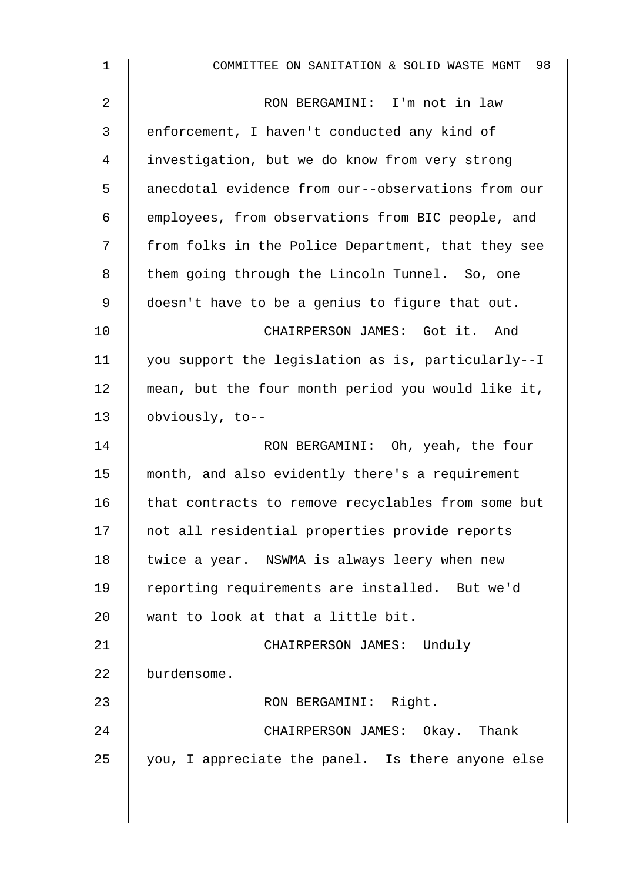| $\mathbf{1}$ | 98<br>COMMITTEE ON SANITATION & SOLID WASTE MGMT   |
|--------------|----------------------------------------------------|
| 2            | RON BERGAMINI: I'm not in law                      |
| 3            | enforcement, I haven't conducted any kind of       |
| 4            | investigation, but we do know from very strong     |
| 5            | anecdotal evidence from our--observations from our |
| 6            | employees, from observations from BIC people, and  |
| 7            | from folks in the Police Department, that they see |
| 8            | them going through the Lincoln Tunnel. So, one     |
| 9            | doesn't have to be a genius to figure that out.    |
| 10           | CHAIRPERSON JAMES: Got it. And                     |
| 11           | you support the legislation as is, particularly--I |
| 12           | mean, but the four month period you would like it, |
| 13           | obviously, to--                                    |
| 14           | RON BERGAMINI: Oh, yeah, the four                  |
| 15           | month, and also evidently there's a requirement    |
| 16           | that contracts to remove recyclables from some but |
| 17           | not all residential properties provide reports     |
| 18           | twice a year. NSWMA is always leery when new       |
| 19           | reporting requirements are installed. But we'd     |
| 20           | want to look at that a little bit.                 |
| 21           | CHAIRPERSON JAMES: Unduly                          |
| 22           | burdensome.                                        |
| 23           | RON BERGAMINI: Right.                              |
| 24           | CHAIRPERSON JAMES: Okay. Thank                     |
| 25           | you, I appreciate the panel. Is there anyone else  |
|              |                                                    |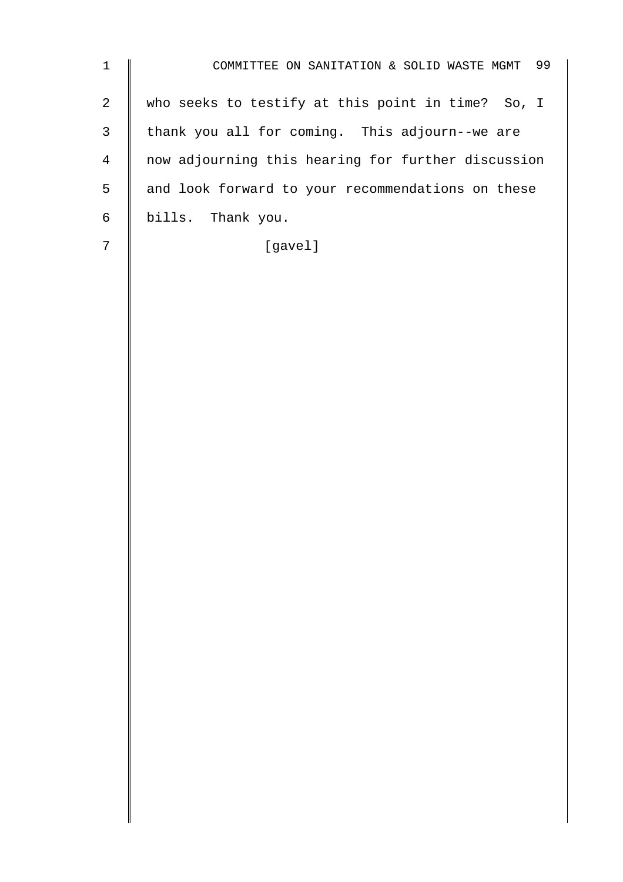1 | COMMITTEE ON SANITATION & SOLID WASTE MGMT 99 2 | who seeks to testify at this point in time? So, I 3 thank you all for coming. This adjourn--we are 4 now adjourning this hearing for further discussion 5 and look forward to your recommendations on these 6 bills. Thank you. 7 | [gavel]